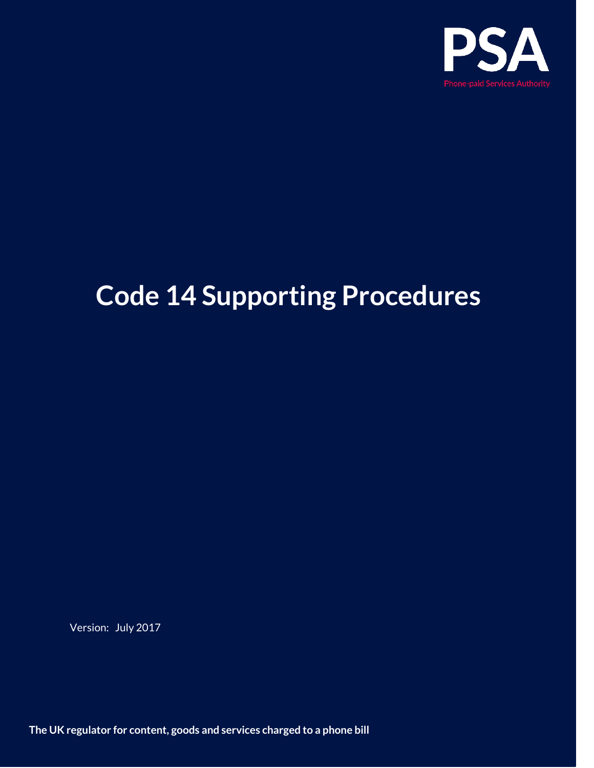

# **Code 14 Supporting Procedures**

Version: July 2017

**The UK regulator for content, goods and services charged to a phone bill**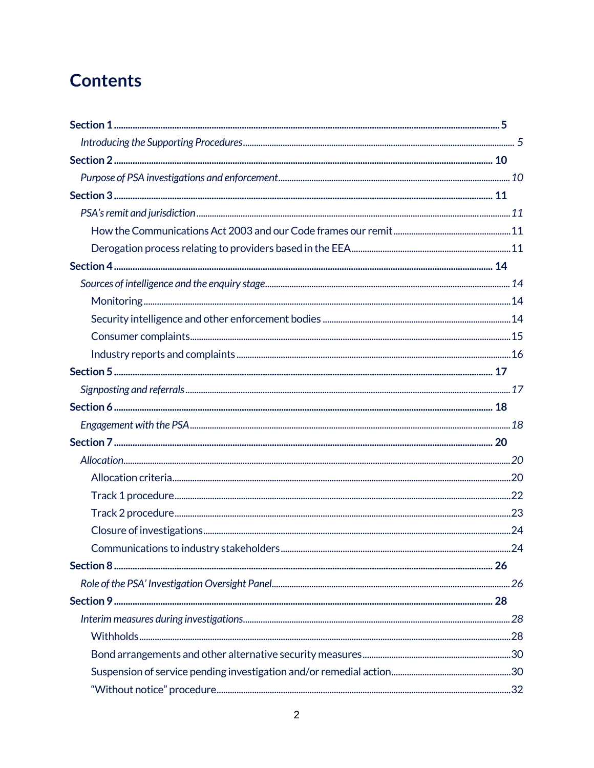## **Contents**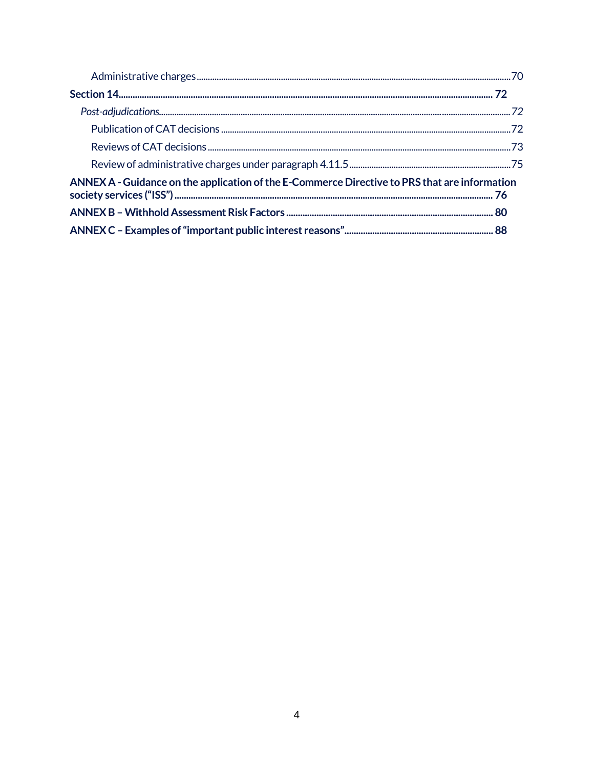| ANNEX A - Guidance on the application of the E-Commerce Directive to PRS that are information |  |
|-----------------------------------------------------------------------------------------------|--|
|                                                                                               |  |
|                                                                                               |  |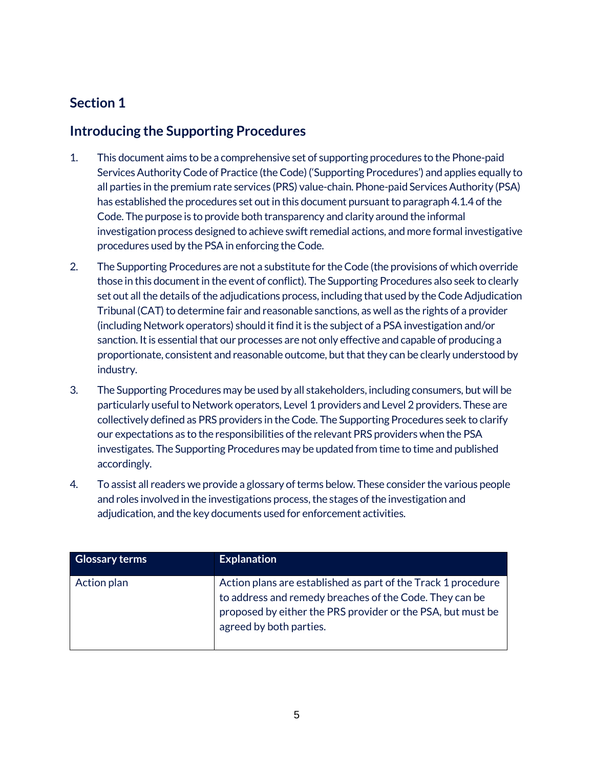## <span id="page-4-1"></span><span id="page-4-0"></span>**Introducing the Supporting Procedures**

- 1. This document aims to be a comprehensive set of supporting procedures to the Phone-paid Services AuthorityCode of Practice (the Code) ('Supporting Procedures') and applies equally to all parties in the premium rate services (PRS) value-chain. Phone-paid Services Authority (PSA) has established the procedures set out in this document pursuant to paragraph 4.1.4 of the Code. The purpose is to provide both transparency and clarity around the informal investigation process designed to achieve swift remedial actions, and more formal investigative procedures used by the PSAin enforcing the Code.
- 2. The Supporting Procedures are not a substitute for the Code (the provisions of which override those in this document in the event of conflict). The Supporting Procedures also seek to clearly set out all the details of the adjudications process, including that used by the Code Adjudication Tribunal (CAT) to determine fair and reasonable sanctions, as well as the rights of a provider (including Network operators) should it find it is the subject of a PSAinvestigation and/or sanction. It is essential that our processes are not only effective and capable of producing a proportionate, consistent and reasonable outcome, but that they can be clearly understood by industry.
- 3. The Supporting Procedures may be used by all stakeholders, including consumers, but will be particularly useful to Network operators, Level 1 providers and Level 2 providers. These are collectively defined as PRS providers in the Code. The Supporting Procedures seek to clarify our expectations as to the responsibilities of the relevant PRS providers when the PSA investigates. The Supporting Procedures may be updated from time to time and published accordingly.
- 4. To assist all readers we provide a glossary of terms below. These consider the various people and roles involved in the investigations process, the stages of the investigation and adjudication, and the key documents used for enforcement activities.

| <b>Glossary terms</b> | <b>Explanation</b>                                                                                                                                                                                                 |
|-----------------------|--------------------------------------------------------------------------------------------------------------------------------------------------------------------------------------------------------------------|
| Action plan           | Action plans are established as part of the Track 1 procedure<br>to address and remedy breaches of the Code. They can be<br>proposed by either the PRS provider or the PSA, but must be<br>agreed by both parties. |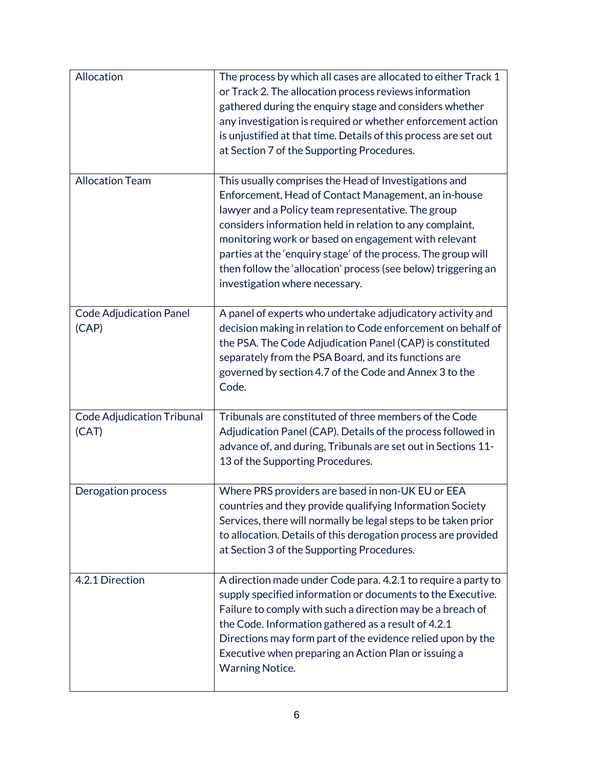| Allocation                                 | The process by which all cases are allocated to either Track 1<br>or Track 2. The allocation process reviews information<br>gathered during the enquiry stage and considers whether<br>any investigation is required or whether enforcement action<br>is unjustified at that time. Details of this process are set out<br>at Section 7 of the Supporting Procedures.                                                                                         |
|--------------------------------------------|--------------------------------------------------------------------------------------------------------------------------------------------------------------------------------------------------------------------------------------------------------------------------------------------------------------------------------------------------------------------------------------------------------------------------------------------------------------|
| <b>Allocation Team</b>                     | This usually comprises the Head of Investigations and<br>Enforcement, Head of Contact Management, an in-house<br>lawyer and a Policy team representative. The group<br>considers information held in relation to any complaint,<br>monitoring work or based on engagement with relevant<br>parties at the 'enquiry stage' of the process. The group will<br>then follow the 'allocation' process (see below) triggering an<br>investigation where necessary. |
| <b>Code Adjudication Panel</b><br>(CAP)    | A panel of experts who undertake adjudicatory activity and<br>decision making in relation to Code enforcement on behalf of<br>the PSA. The Code Adjudication Panel (CAP) is constituted<br>separately from the PSA Board, and its functions are<br>governed by section 4.7 of the Code and Annex 3 to the<br>Code.                                                                                                                                           |
| <b>Code Adjudication Tribunal</b><br>(CAT) | Tribunals are constituted of three members of the Code<br>Adjudication Panel (CAP). Details of the process followed in<br>advance of, and during, Tribunals are set out in Sections 11-<br>13 of the Supporting Procedures.                                                                                                                                                                                                                                  |
| Derogation process                         | Where PRS providers are based in non-UK EU or EEA<br>countries and they provide qualifying Information Society<br>Services, there will normally be legal steps to be taken prior<br>to allocation. Details of this derogation process are provided<br>at Section 3 of the Supporting Procedures.                                                                                                                                                             |
| 4.2.1 Direction                            | A direction made under Code para. 4.2.1 to require a party to<br>supply specified information or documents to the Executive.<br>Failure to comply with such a direction may be a breach of<br>the Code. Information gathered as a result of 4.2.1<br>Directions may form part of the evidence relied upon by the<br>Executive when preparing an Action Plan or issuing a<br><b>Warning Notice.</b>                                                           |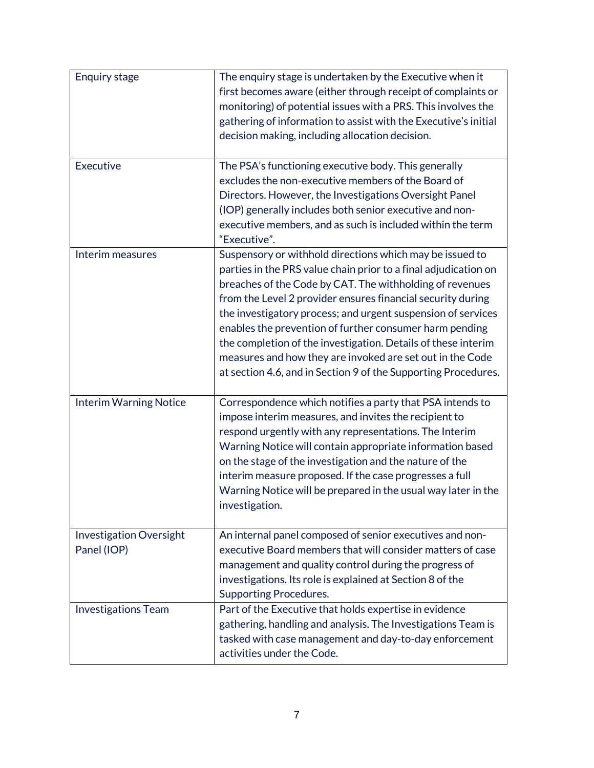| <b>Enquiry stage</b>                          | The enquiry stage is undertaken by the Executive when it<br>first becomes aware (either through receipt of complaints or<br>monitoring) of potential issues with a PRS. This involves the<br>gathering of information to assist with the Executive's initial<br>decision making, including allocation decision.                                                                                                                                                                                                                                                                   |
|-----------------------------------------------|-----------------------------------------------------------------------------------------------------------------------------------------------------------------------------------------------------------------------------------------------------------------------------------------------------------------------------------------------------------------------------------------------------------------------------------------------------------------------------------------------------------------------------------------------------------------------------------|
| Executive                                     | The PSA's functioning executive body. This generally<br>excludes the non-executive members of the Board of<br>Directors. However, the Investigations Oversight Panel<br>(IOP) generally includes both senior executive and non-<br>executive members, and as such is included within the term<br>"Executive".                                                                                                                                                                                                                                                                     |
| Interim measures                              | Suspensory or withhold directions which may be issued to<br>parties in the PRS value chain prior to a final adjudication on<br>breaches of the Code by CAT. The withholding of revenues<br>from the Level 2 provider ensures financial security during<br>the investigatory process; and urgent suspension of services<br>enables the prevention of further consumer harm pending<br>the completion of the investigation. Details of these interim<br>measures and how they are invoked are set out in the Code<br>at section 4.6, and in Section 9 of the Supporting Procedures. |
| <b>Interim Warning Notice</b>                 | Correspondence which notifies a party that PSA intends to<br>impose interim measures, and invites the recipient to<br>respond urgently with any representations. The Interim<br>Warning Notice will contain appropriate information based<br>on the stage of the investigation and the nature of the<br>interim measure proposed. If the case progresses a full<br>Warning Notice will be prepared in the usual way later in the<br>investigation.                                                                                                                                |
| <b>Investigation Oversight</b><br>Panel (IOP) | An internal panel composed of senior executives and non-<br>executive Board members that will consider matters of case<br>management and quality control during the progress of<br>investigations. Its role is explained at Section 8 of the<br><b>Supporting Procedures.</b>                                                                                                                                                                                                                                                                                                     |
| <b>Investigations Team</b>                    | Part of the Executive that holds expertise in evidence<br>gathering, handling and analysis. The Investigations Team is<br>tasked with case management and day-to-day enforcement<br>activities under the Code.                                                                                                                                                                                                                                                                                                                                                                    |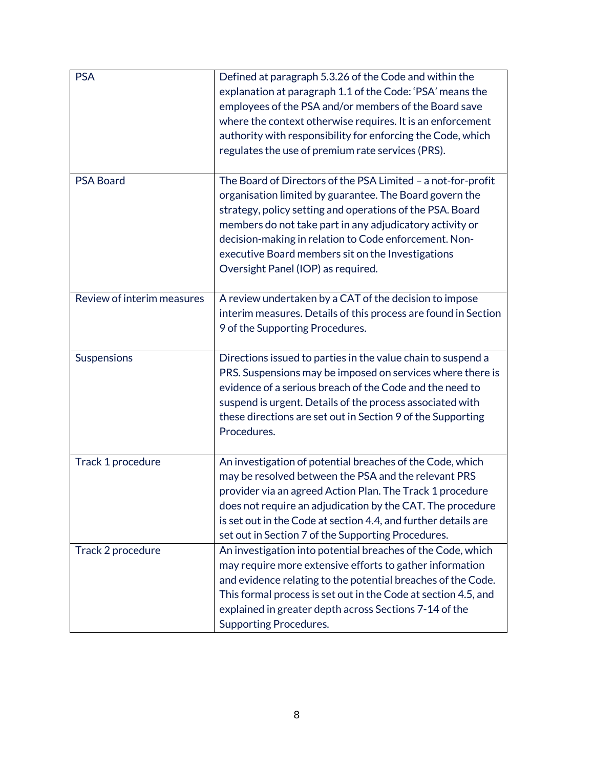| <b>PSA</b>                 | Defined at paragraph 5.3.26 of the Code and within the<br>explanation at paragraph 1.1 of the Code: 'PSA' means the<br>employees of the PSA and/or members of the Board save<br>where the context otherwise requires. It is an enforcement<br>authority with responsibility for enforcing the Code, which<br>regulates the use of premium rate services (PRS).                                       |
|----------------------------|------------------------------------------------------------------------------------------------------------------------------------------------------------------------------------------------------------------------------------------------------------------------------------------------------------------------------------------------------------------------------------------------------|
| <b>PSA Board</b>           | The Board of Directors of the PSA Limited - a not-for-profit<br>organisation limited by guarantee. The Board govern the<br>strategy, policy setting and operations of the PSA. Board<br>members do not take part in any adjudicatory activity or<br>decision-making in relation to Code enforcement. Non-<br>executive Board members sit on the Investigations<br>Oversight Panel (IOP) as required. |
| Review of interim measures | A review undertaken by a CAT of the decision to impose<br>interim measures. Details of this process are found in Section<br>9 of the Supporting Procedures.                                                                                                                                                                                                                                          |
| <b>Suspensions</b>         | Directions issued to parties in the value chain to suspend a<br>PRS. Suspensions may be imposed on services where there is<br>evidence of a serious breach of the Code and the need to<br>suspend is urgent. Details of the process associated with<br>these directions are set out in Section 9 of the Supporting<br>Procedures.                                                                    |
| Track 1 procedure          | An investigation of potential breaches of the Code, which<br>may be resolved between the PSA and the relevant PRS<br>provider via an agreed Action Plan. The Track 1 procedure<br>does not require an adjudication by the CAT. The procedure<br>is set out in the Code at section 4.4, and further details are<br>set out in Section 7 of the Supporting Procedures.                                 |
| Track 2 procedure          | An investigation into potential breaches of the Code, which<br>may require more extensive efforts to gather information<br>and evidence relating to the potential breaches of the Code.<br>This formal process is set out in the Code at section 4.5, and<br>explained in greater depth across Sections 7-14 of the<br><b>Supporting Procedures.</b>                                                 |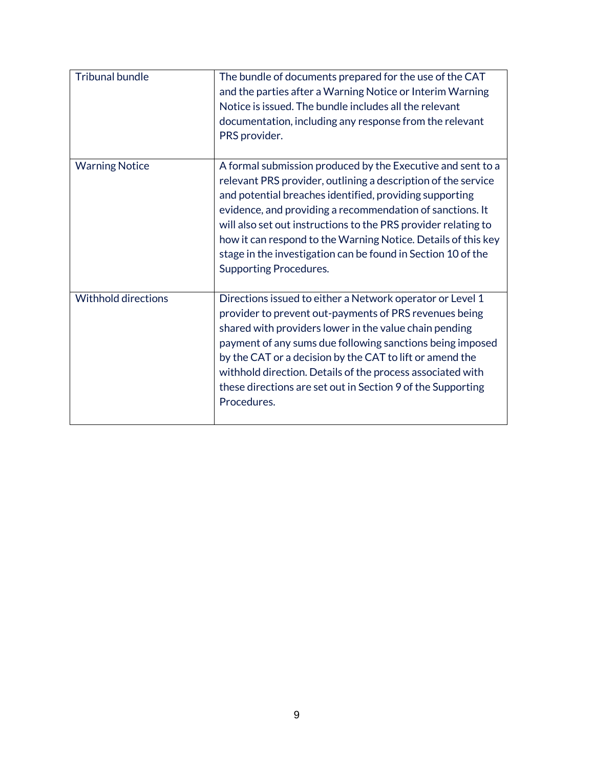| <b>Tribunal bundle</b>     | The bundle of documents prepared for the use of the CAT<br>and the parties after a Warning Notice or Interim Warning<br>Notice is issued. The bundle includes all the relevant<br>documentation, including any response from the relevant<br>PRS provider.                                                                                                                                                                                                                               |
|----------------------------|------------------------------------------------------------------------------------------------------------------------------------------------------------------------------------------------------------------------------------------------------------------------------------------------------------------------------------------------------------------------------------------------------------------------------------------------------------------------------------------|
| <b>Warning Notice</b>      | A formal submission produced by the Executive and sent to a<br>relevant PRS provider, outlining a description of the service<br>and potential breaches identified, providing supporting<br>evidence, and providing a recommendation of sanctions. It<br>will also set out instructions to the PRS provider relating to<br>how it can respond to the Warning Notice. Details of this key<br>stage in the investigation can be found in Section 10 of the<br><b>Supporting Procedures.</b> |
| <b>Withhold directions</b> | Directions issued to either a Network operator or Level 1<br>provider to prevent out-payments of PRS revenues being<br>shared with providers lower in the value chain pending<br>payment of any sums due following sanctions being imposed<br>by the CAT or a decision by the CAT to lift or amend the<br>withhold direction. Details of the process associated with<br>these directions are set out in Section 9 of the Supporting<br>Procedures.                                       |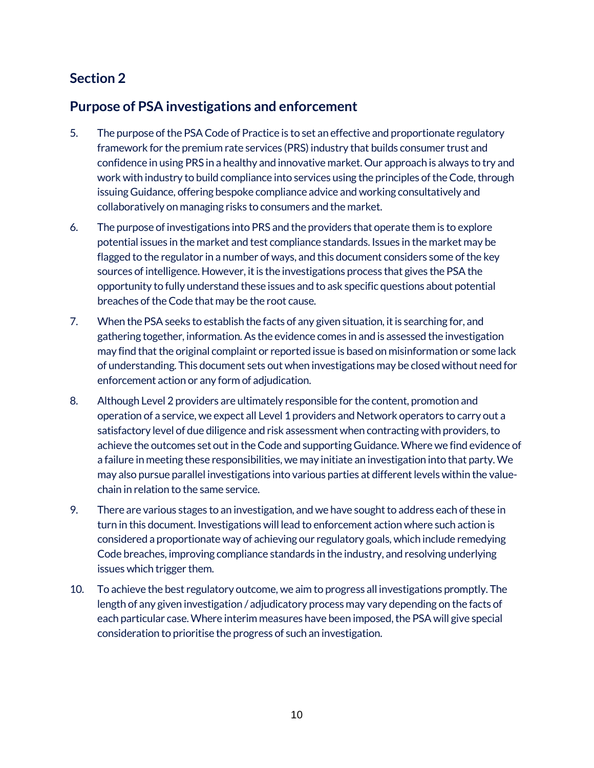## <span id="page-9-1"></span><span id="page-9-0"></span>**Purpose of PSA investigations and enforcement**

- 5. The purpose of the PSA Code of Practice is to set an effective and proportionate regulatory framework for the premium rate services (PRS) industry that builds consumer trust and confidence in using PRS in a healthy and innovative market. Our approach is always to try and work with industry to build compliance into services using the principles of the Code, through issuing Guidance, offering bespoke compliance advice and working consultatively and collaboratively on managing risks to consumers and the market.
- 6. The purpose of investigations into PRS and the providers that operate them is to explore potential issues in the market and test compliance standards. Issues in the market may be flagged to the regulator in a number of ways, and this document considers some of the key sources of intelligence. However, it is the investigations process that gives the PSA the opportunity to fully understand these issues and to ask specific questions about potential breaches of the Code that may be the root cause.
- 7. When the PSAseeks to establish the facts of any given situation, it is searching for, and gathering together, information. As the evidence comes in and is assessed the investigation may find that the original complaint or reported issue is based on misinformation or some lack of understanding. This document sets out when investigations may be closed without need for enforcement action or any form of adjudication.
- 8. Although Level 2 providers are ultimately responsible for the content, promotion and operation of a service, we expect all Level 1 providers and Network operators to carry out a satisfactory level of due diligence and risk assessment when contracting with providers, to achieve the outcomes set out in the Code and supporting Guidance. Where we find evidence of a failure in meeting these responsibilities, we may initiate an investigation into that party. We may also pursue parallel investigations into various parties at different levels within the valuechain in relation to the same service.
- 9. There are various stages to an investigation, and we have sought to address each of these in turn in this document. Investigations will lead to enforcement action where such action is considered a proportionate way of achieving our regulatory goals, which include remedying Code breaches, improving compliance standards in the industry, and resolving underlying issues which trigger them.
- 10. To achieve the best regulatory outcome, we aim to progress all investigations promptly. The length of any given investigation / adjudicatory process may vary depending on the facts of each particular case. Where interim measures have been imposed, the PSA will give special consideration to prioritise the progress of such an investigation.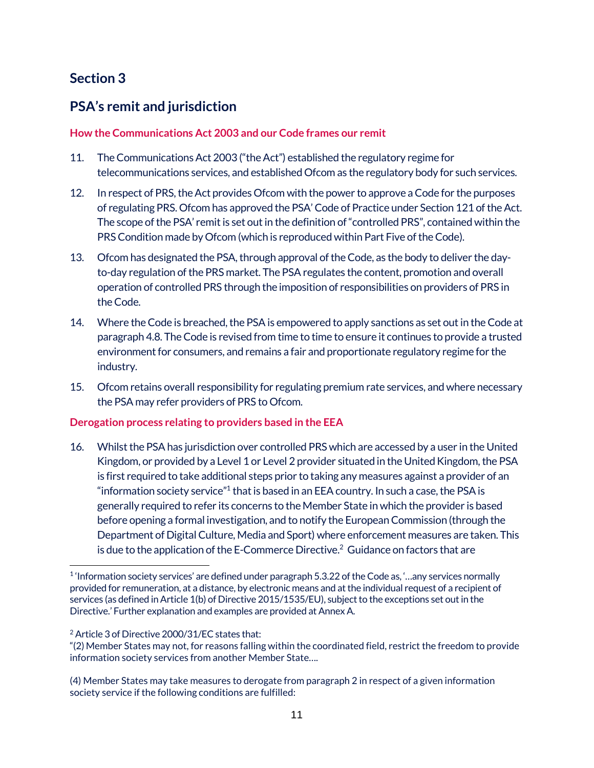## <span id="page-10-1"></span><span id="page-10-0"></span>**PSA's remit and jurisdiction**

#### <span id="page-10-2"></span>**How the Communications Act 2003 and our Code frames our remit**

- 11. The Communications Act 2003 ("the Act") established the regulatory regime for telecommunications services, and established Ofcom as the regulatory body for such services.
- 12. In respect of PRS, the Act provides Ofcom with the power to approve a Code for the purposes of regulating PRS. Ofcom has approved the PSA' Code of Practice under Section 121 of the Act. The scope of the PSA' remit is set out in the definition of "controlled PRS", contained within the PRS Condition made by Ofcom (which is reproduced within Part Five of the Code).
- 13. Ofcom has designated the PSA, through approval of the Code, as the body to deliver the dayto-day regulation of the PRS market. The PSAregulates the content, promotion and overall operation of controlled PRS through the imposition of responsibilities on providers of PRS in the Code.
- 14. Where the Code is breached, the PSAis empowered to apply sanctions as set out in the Code at paragraph 4.8. The Code is revised from time to time to ensure it continues to provide a trusted environment for consumers, and remains a fair and proportionate regulatory regime for the industry.
- 15. Ofcom retains overall responsibility for regulating premium rate services, and where necessary the PSA may refer providers of PRS to Ofcom.

#### <span id="page-10-3"></span>**Derogation process relating to providers based in the EEA**

16. Whilst the PSAhas jurisdiction over controlled PRS which are accessed by a user in the United Kingdom, or provided by a Level 1 or Level 2 provider situated in the United Kingdom, the PSA is first required to take additional steps prior to taking any measures against a provider of an "information society service" $1$  that is based in an EEA country. In such a case, the PSA is generally required to refer its concerns to the Member State in which the provider is based before opening a formal investigation, and to notify the European Commission (through the Department of Digital Culture, Media and Sport) where enforcement measures are taken. This is due to the application of the E-Commerce Directive.<sup>2</sup> Guidance on factors that are

 $\overline{a}$  $1$  'Information society services' are defined under paragraph 5.3.22 of the Code as, '...any services normally provided for remuneration, at a distance, by electronic means and at the individual request of a recipient of services (as defined in Article 1(b) of Directive 2015/1535/EU), subject to the exceptions set out in the Directive.' Further explanation and examples are provided at Annex A.

<sup>&</sup>lt;sup>2</sup> Article 3 of Directive 2000/31/EC states that:

<sup>&</sup>quot;(2) Member States may not, for reasons falling within the coordinated field, restrict the freedom to provide information society services from another Member State….

<sup>(4)</sup> Member States may take measures to derogate from paragraph 2 in respect of a given information society service if the following conditions are fulfilled: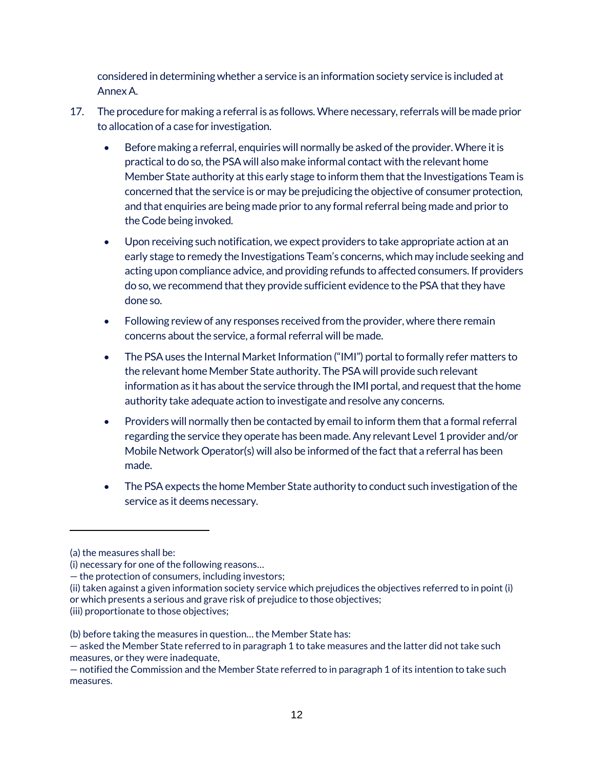considered in determining whether a service is an information society service is included at Annex A.

- 17. The procedure for making a referral is as follows. Where necessary, referrals will be made prior to allocation of a case for investigation.
	- Before making a referral, enquiries will normally be asked of the provider. Where it is practical to do so, the PSA will also make informal contact with the relevant home Member State authority at this early stage to inform them that the Investigations Team is concerned that the service is or may be prejudicing the objective of consumer protection, and that enquiries are being made prior to any formal referral being made and prior to the Code being invoked.
	- Upon receiving such notification, we expect providers to take appropriate action at an early stage to remedy the Investigations Team's concerns, which may include seeking and acting upon compliance advice, and providing refunds to affected consumers. If providers do so, we recommend that they provide sufficient evidence to the PSA that they have done so.
	- Following review of any responses received from the provider, where there remain concerns about the service, a formal referral will be made.
	- The PSA uses the Internal Market Information ("IMI") portal to formally refer matters to the relevant home Member State authority. The PSA will provide such relevant information as it has about the service through the IMI portal, and request that the home authority take adequate action to investigate and resolve any concerns.
	- Providers will normally then be contacted by email to inform them that a formal referral regarding the service they operate has been made. Any relevant Level 1 provider and/or Mobile Network Operator(s) will also be informed of the fact that a referral has been made.
	- The PSA expects the home Member State authority to conduct such investigation of the service as it deems necessary.

 $\overline{a}$ 

<sup>(</sup>a) the measures shall be:

<sup>(</sup>i) necessary for one of the following reasons…

<sup>—</sup> the protection of consumers, including investors;

<sup>(</sup>ii) taken against a given information society service which prejudices the objectives referred to in point (i) or which presents a serious and grave risk of prejudice to those objectives;

<sup>(</sup>iii) proportionate to those objectives;

<sup>(</sup>b) before taking the measures in question… the Member State has:

<sup>—</sup> asked the Member State referred to in paragraph 1 to take measures and the latter did not take such measures, or they were inadequate,

<sup>—</sup> notified the Commission and the Member State referred to in paragraph 1 of its intention to take such measures.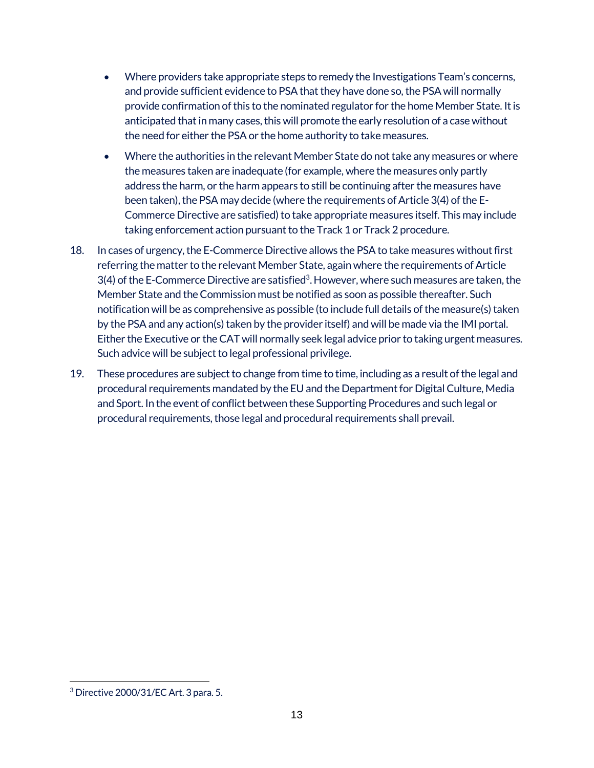- Where providers take appropriate steps to remedy the Investigations Team's concerns, and provide sufficient evidence to PSAthat they have done so, the PSA will normally provide confirmation of this to the nominated regulator for the home Member State. It is anticipated that in many cases, this will promote the early resolution of a case without the need for either the PSAor the home authority to take measures.
- Where the authorities in the relevant Member State do not take any measures or where the measures taken are inadequate (for example, where the measures only partly address the harm, or the harm appears to still be continuing after the measures have been taken), the PSA may decide (where the requirements of Article 3(4) of the E-Commerce Directive are satisfied) to take appropriate measures itself. This may include taking enforcement action pursuant to the Track 1 or Track 2 procedure.
- 18. In cases of urgency, the E-Commerce Directive allows the PSA to take measures without first referring the matter to the relevant Member State, again where the requirements of Article 3(4) of the E-Commerce Directive are satisfied3. However, where such measures are taken, the Member State and the Commission must be notified as soon as possible thereafter. Such notification will be as comprehensive as possible (to include full details of the measure(s) taken by the PSAand any action(s) taken by the provider itself) and will be made via the IMI portal. Either the Executive or the CAT will normally seek legal advice prior to taking urgent measures. Such advice will be subject to legal professional privilege.
- 19. These procedures are subject to change from time to time, including as a result of the legal and procedural requirements mandated by the EU and the Department for Digital Culture, Media and Sport. In the event of conflict between these Supporting Procedures and such legal or procedural requirements, those legal and procedural requirements shall prevail.

 $\overline{a}$  $3$  Directive 2000/31/EC Art. 3 para. 5.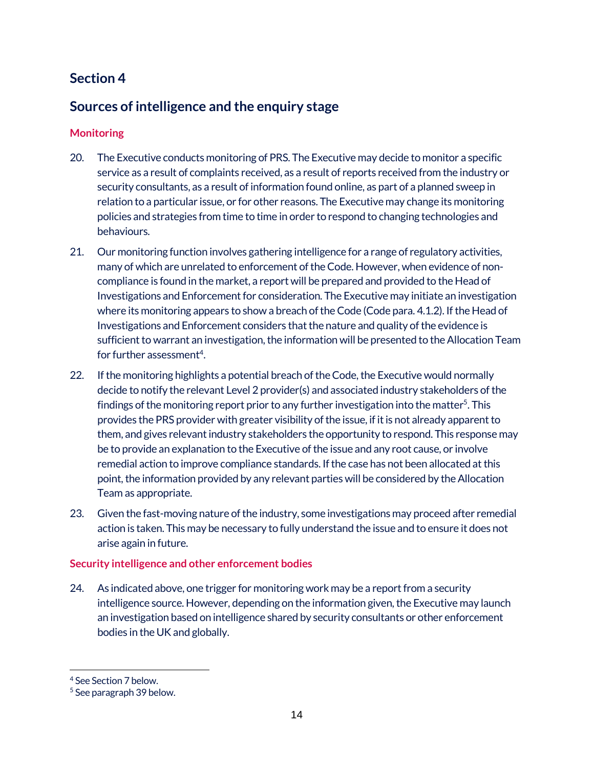## <span id="page-13-1"></span><span id="page-13-0"></span>**Sources of intelligence and the enquiry stage**

#### <span id="page-13-2"></span>**Monitoring**

- 20. The Executive conducts monitoring of PRS. The Executive may decide to monitor a specific service as a result of complaints received, as a result of reports received from the industry or security consultants, as a result of information found online, as part of a planned sweep in relation to a particular issue, or for other reasons. The Executive may change its monitoring policies and strategies from time to time in order to respond to changing technologies and behaviours.
- 21. Our monitoring function involves gathering intelligence for a range of regulatory activities, many of which are unrelated to enforcement of the Code. However, when evidence of noncompliance is found in the market, a report will be prepared and provided to the Head of Investigations and Enforcement for consideration. The Executive may initiate an investigation where its monitoring appears to show a breach of the Code (Code para. 4.1.2). If the Head of Investigations and Enforcement considers that the nature and quality of the evidence is sufficient to warrant an investigation, the information will be presented to the Allocation Team for further assessment<sup>4</sup>.
- 22. If the monitoring highlights a potential breach of the Code, the Executive would normally decide to notify the relevant Level 2 provider(s) and associated industry stakeholders of the findings of the monitoring report prior to any further investigation into the matter<sup>5</sup>. This provides the PRS provider with greater visibility of the issue, if it is not already apparent to them, and gives relevant industry stakeholders the opportunity to respond. This response may be to provide an explanation to the Executive of the issue and any root cause, or involve remedial action to improve compliance standards. If the case has not been allocated at this point, the information provided by any relevant parties will be considered by the Allocation Team as appropriate.
- 23. Given the fast-moving nature of the industry, some investigations may proceed after remedial action is taken. This may be necessary to fully understand the issue and to ensure it does not arise again in future.

#### <span id="page-13-3"></span>**Security intelligence and other enforcement bodies**

24. As indicated above, one trigger for monitoring work may be a report from a security intelligence source. However, depending on the information given, the Executive may launch an investigation based on intelligence shared by security consultants or other enforcement bodies in the UK and globally.

 $\overline{a}$ 

<sup>4</sup> See Section 7 below.

<sup>5</sup> See paragraph 39 below.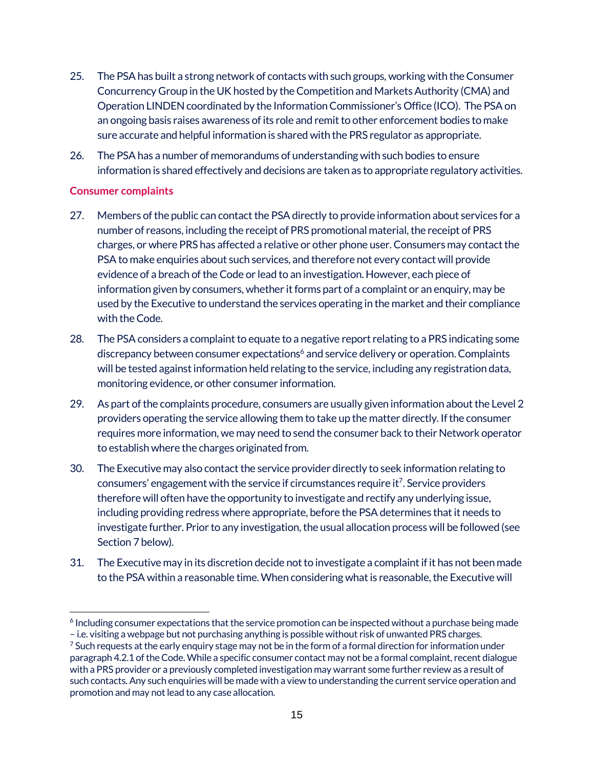- 25. The PSAhas built a strong network of contacts with such groups, working with the Consumer Concurrency Group in the UK hosted by the Competition and Markets Authority (CMA) and Operation LINDEN coordinated by the Information Commissioner's Office (ICO). The PSAon an ongoing basis raises awareness of its role and remit to other enforcement bodies to make sure accurate and helpful information is shared with the PRS regulator as appropriate.
- 26. The PSAhas a number of memorandums of understanding with such bodies to ensure information is shared effectively and decisions are taken as to appropriate regulatory activities.

#### <span id="page-14-0"></span>**Consumer complaints**

- 27. Members of the public can contact the PSA directly to provide information about services for a number of reasons, including the receipt of PRS promotional material, the receipt of PRS charges, or where PRS has affected a relative or other phone user. Consumers may contact the PSA to make enquiries about such services, and therefore not every contact will provide evidence of a breach of the Code or lead to an investigation. However, each piece of information given by consumers, whether it forms part of a complaint or an enquiry, may be used by the Executive to understand the services operating in the market and their compliance with the Code.
- 28. The PSAconsiders a complaint to equate to a negative report relating to a PRS indicating some discrepancy between consumer expectations<sup>6</sup> and service delivery or operation. Complaints will be tested against information held relating to the service, including any registration data, monitoring evidence, or other consumer information.
- 29. As part of the complaints procedure, consumers are usually given information about the Level 2 providers operating the service allowing them to take up the matter directly. If the consumer requires more information, we may need to send the consumer back to their Network operator to establish where the charges originated from.
- 30. The Executive may also contact the service provider directly to seek information relating to consumers' engagement with the service if circumstances require it<sup>7</sup>. Service providers therefore will often have the opportunity to investigate and rectify any underlying issue, including providing redress where appropriate, before the PSA determines that it needs to investigate further. Prior to any investigation, the usual allocation process will be followed (see Section 7 below).
- 31. The Executive may in its discretion decide not to investigate a complaint if it has not been made to the PSA within a reasonable time. When considering what is reasonable, the Executive will

 $\overline{a}$ <sup>6</sup> Including consumer expectations that the service promotion can be inspected without a purchase being made – i.e. visiting a webpage but not purchasing anything is possible without risk of unwanted PRS charges.

 $7$  Such requests at the early enquiry stage may not be in the form of a formal direction for information under paragraph 4.2.1 of the Code. While a specific consumer contact may not be a formal complaint, recent dialogue with a PRS provider or a previously completed investigation may warrant some further review as a result of such contacts. Any such enquiries will be made with a view to understanding the current service operation and promotion and may not lead to any case allocation.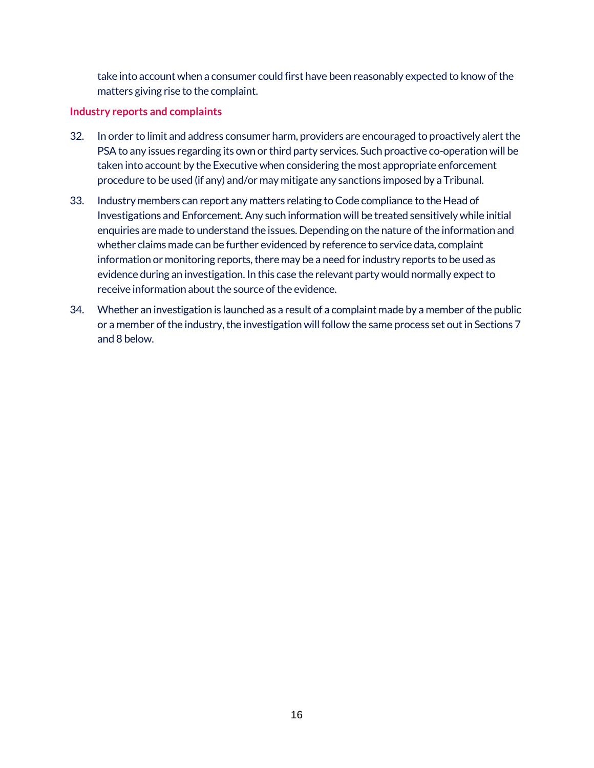take into account when a consumer could first have been reasonably expected to know of the matters giving rise to the complaint.

#### <span id="page-15-0"></span>**Industry reports and complaints**

- 32. In order to limit and address consumer harm, providers are encouraged to proactively alert the PSA to any issues regarding its own or third party services. Such proactive co-operation will be taken into account by the Executive when considering the most appropriate enforcement procedure to be used (if any) and/or may mitigate any sanctions imposed by a Tribunal.
- 33. Industry members can report any matters relating to Code compliance to the Head of Investigations and Enforcement. Any such information will be treated sensitively while initial enquiries are made to understand the issues. Depending on the nature of the information and whether claims made can be further evidenced by reference to service data, complaint information or monitoring reports, there may be a need for industry reports to be used as evidence during an investigation. In this case the relevant party would normally expect to receive information about the source of the evidence.
- 34. Whether an investigation is launched as a result of a complaint made by a member of the public or a member of the industry, the investigation will follow the same process set out in Sections 7 and 8 below.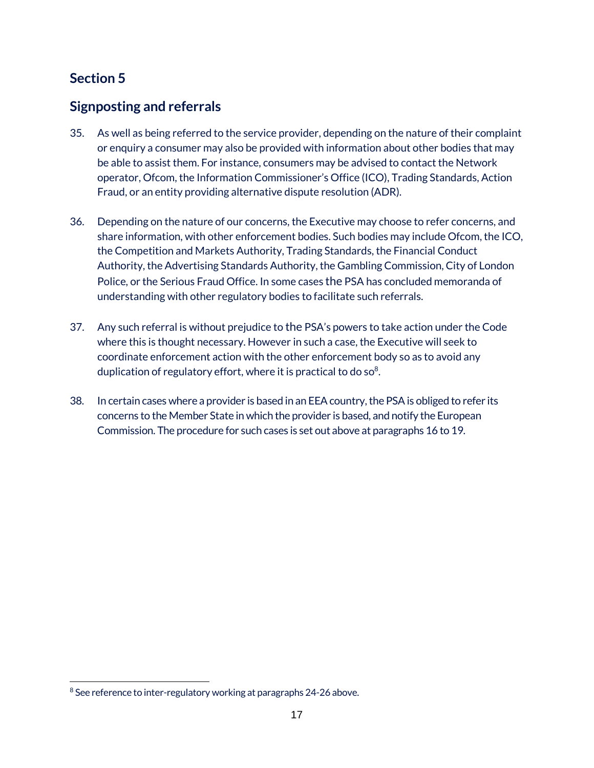## <span id="page-16-1"></span><span id="page-16-0"></span>**Signposting and referrals**

- 35. As well as being referred to the service provider, depending on the nature of their complaint or enquiry a consumer may also be provided with information about other bodies that may be able to assist them. For instance, consumers may be advised to contact the Network operator, Ofcom, the Information Commissioner's Office (ICO), Trading Standards, Action Fraud, or an entity providing alternative dispute resolution (ADR).
- 36. Depending on the nature of our concerns, the Executive may choose to refer concerns, and share information, with other enforcement bodies. Such bodies may include Ofcom, the ICO, the Competition and Markets Authority, Trading Standards, the Financial Conduct Authority, the Advertising Standards Authority, the Gambling Commission, City of London Police, or the Serious Fraud Office. In some cases the PSA has concluded memoranda of understanding with other regulatory bodies to facilitate such referrals.
- 37. Any such referral is without prejudice to the PSA's powers to take action under the Code where this is thought necessary. However in such a case, the Executive will seek to coordinate enforcement action with the other enforcement body so as to avoid any duplication of regulatory effort, where it is practical to do so $8$ .
- 38. In certain cases where a provider is based in an EEA country, the PSA is obliged to refer its concerns to the Member State in which the provider is based, and notify the European Commission. The procedure for such cases is set out above at paragraphs 16 to 19.

 $\overline{a}$ <sup>8</sup> See reference to inter-regulatory working at paragraphs 24-26 above.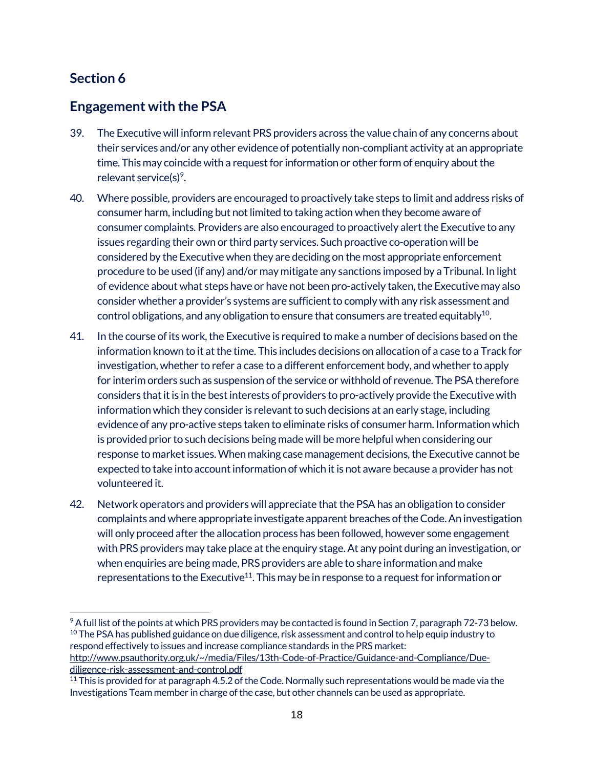## <span id="page-17-1"></span><span id="page-17-0"></span>**Engagement with the PSA**

- 39. The Executive will inform relevant PRS providers across the value chain of any concerns about their services and/or any other evidence of potentially non-compliant activity at an appropriate time. This may coincide with a request for information or other form of enquiry about the relevant service(s)<sup>9</sup>.
- 40. Where possible, providers are encouraged to proactively take steps to limit and address risks of consumer harm, including but not limited to taking action when they become aware of consumer complaints. Providers are also encouraged to proactively alert the Executive to any issues regarding their own or third party services. Such proactive co-operation will be considered by the Executive when they are deciding on the most appropriate enforcement procedure to be used (if any) and/or may mitigate any sanctions imposed by a Tribunal. In light of evidence about what steps have or have not been pro-actively taken, the Executive may also consider whether a provider's systems are sufficient to comply with any risk assessment and control obligations, and any obligation to ensure that consumers are treated equitably $^{10}$ .
- 41. In the course of its work, the Executive is required to make a number of decisions based on the information known to it at the time. This includes decisions on allocation of a case to a Track for investigation, whether to refer a case to a different enforcement body, and whether to apply for interim orders such as suspension of the service or withhold of revenue. The PSA therefore considers that it is in the best interests of providers to pro-actively provide the Executive with information which they consider is relevant to such decisions at an early stage, including evidence of any pro-active steps taken to eliminate risks of consumer harm. Information which is provided prior to such decisions being made will be more helpful when considering our response to market issues.When making case management decisions, the Executive cannot be expected to take into account information of which it is not aware because a provider has not volunteered it.
- 42. Network operators and providers will appreciate that the PSA has an obligation to consider complaints and where appropriate investigate apparent breaches of the Code. An investigation will only proceed after the allocation process has been followed, however some engagement with PRS providers may take place at the enquiry stage. At any point during an investigation, or when enquiries are being made, PRS providers are able to share information and make representations to the Executive<sup>11</sup>. This may be in response to a request for information or

[diligence-risk-assessment-and-control.pdf](http://www.psauthority.org.uk/%7E/media/Files/13th-Code-of-Practice/Guidance-and-Compliance/Due-diligence-risk-assessment-and-control.pdf)

 $\overline{a}$ <sup>9</sup> A full list of the points at which PRS providers may be contacted is found in Section 7, paragraph 72-73 below.  $10$  The PSA has published guidance on due diligence, risk assessment and control to help equip industry to respond effectively to issues and increase compliance standards in the PRS market: [http://www.psauthority.org.uk/~/media/Files/13th-Code-of-Practice/Guidance-and-Compliance/Due-](http://www.psauthority.org.uk/%7E/media/Files/13th-Code-of-Practice/Guidance-and-Compliance/Due-diligence-risk-assessment-and-control.pdf)

 $11$  This is provided for at paragraph 4.5.2 of the Code. Normally such representations would be made via the Investigations Team member in charge of the case, but other channels can be used as appropriate.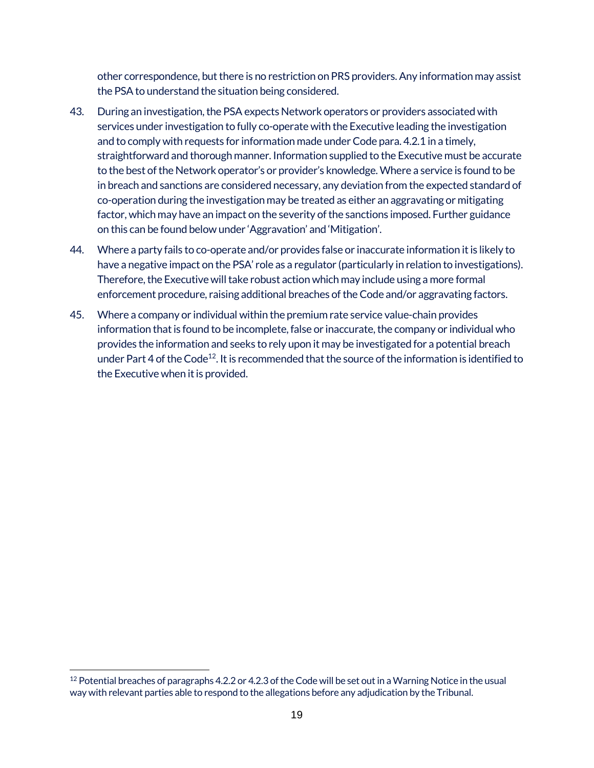other correspondence, but there is no restriction on PRS providers. Any information may assist the PSA to understand the situation being considered.

- 43. During an investigation, the PSA expects Network operators or providers associated with services under investigation to fully co-operate with the Executive leading the investigation and to comply with requests for information made under Code para. 4.2.1 in a timely, straightforward and thorough manner. Information supplied to the Executive must be accurate to the best of the Network operator's or provider's knowledge. Where a service is found to be in breach and sanctions are considered necessary, any deviation from the expected standard of co-operation during the investigation may be treated as either an aggravating or mitigating factor, which may have an impact on the severity of the sanctions imposed. Further guidance on this can be found below under 'Aggravation' and 'Mitigation'.
- 44. Where a party fails to co-operate and/or provides false or inaccurate information it is likely to have a negative impact on the PSA' role as a regulator (particularly in relation to investigations). Therefore, the Executive will take robust action which may include using a more formal enforcement procedure, raising additional breaches of the Code and/or aggravating factors.
- 45. Where a company or individual within the premium rate service value-chain provides information that is found to be incomplete, false or inaccurate, the company or individual who provides the information and seeks to rely upon it may be investigated for a potential breach under Part 4 of the Code<sup>12</sup>. It is recommended that the source of the information is identified to the Executive when it is provided.

 $\overline{a}$  $12$  Potential breaches of paragraphs 4.2.2 or 4.2.3 of the Code will be set out in a Warning Notice in the usual way with relevant parties able to respond to the allegations before any adjudication by the Tribunal.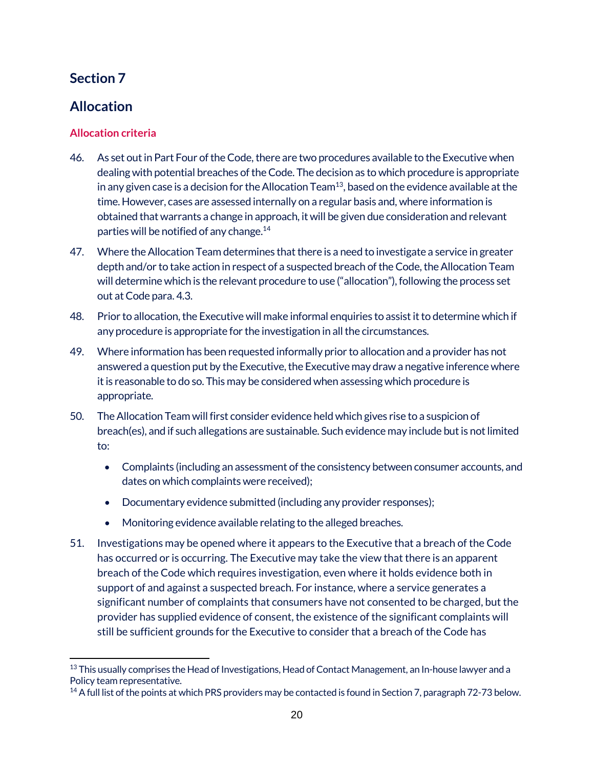## <span id="page-19-1"></span><span id="page-19-0"></span>**Allocation**

#### <span id="page-19-2"></span>**Allocation criteria**

- 46. As set out in Part Four of the Code, there are two procedures available to the Executive when dealing with potential breaches of the Code. The decision as to which procedure is appropriate in any given case is a decision for the Allocation Team<sup>13</sup>, based on the evidence available at the time. However, cases are assessed internally on a regular basis and, where information is obtained that warrants a change in approach, it will be given due consideration and relevant parties will be notified of any change.<sup>14</sup>
- 47. Where the Allocation Team determines that there is a need to investigate a service in greater depth and/or to take action in respect of a suspected breach of the Code, the Allocation Team will determine which is the relevant procedure to use ("allocation"), following the process set out at Code para. 4.3.
- 48. Prior to allocation, the Executive will make informal enquiries to assist it to determine which if any procedure is appropriate for the investigation in all the circumstances.
- 49. Where information has been requested informally prior to allocation and a provider has not answered a question put by the Executive, the Executive may draw a negative inference where it is reasonable to do so. This may be considered when assessing which procedure is appropriate.
- 50. The Allocation Team will first consider evidence held which gives rise to a suspicion of breach(es), and if such allegations are sustainable. Such evidence may include but is not limited to:
	- Complaints (including an assessment of the consistency between consumer accounts, and dates on which complaints were received);
	- Documentary evidence submitted (including any provider responses);
	- Monitoring evidence available relating to the alleged breaches.
- 51. Investigations may be opened where it appears to the Executive that a breach of the Code has occurred or is occurring. The Executive may take the view that there is an apparent breach of the Code which requires investigation, even where it holds evidence both in support of and against a suspected breach. For instance, where a service generates a significant number of complaints that consumers have not consented to be charged, but the provider has supplied evidence of consent, the existence of the significant complaints will still be sufficient grounds for the Executive to consider that a breach of the Code has

 $\overline{a}$ 13 This usually comprises the Head of Investigations, Head of Contact Management, an In-house lawyer and a Policy team representative.

<sup>&</sup>lt;sup>14</sup> A full list of the points at which PRS providers may be contacted is found in Section 7, paragraph 72-73 below.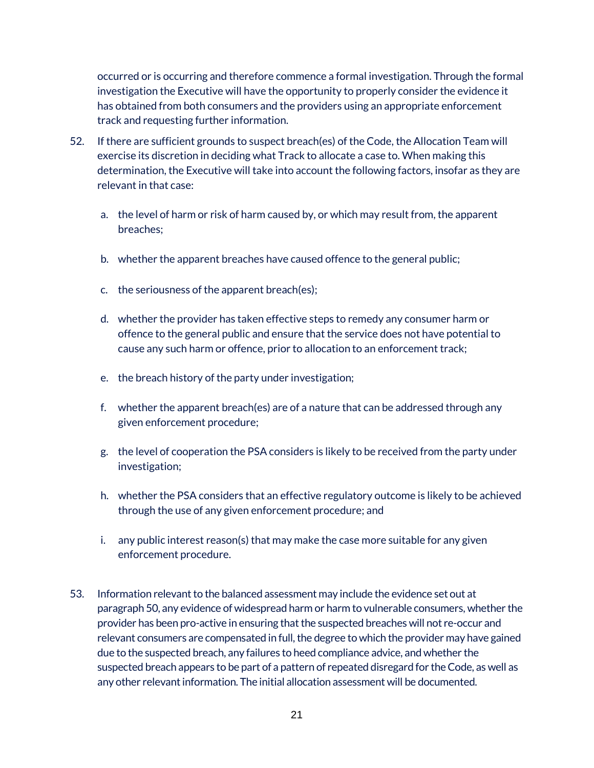occurred or is occurring and therefore commence a formal investigation. Through the formal investigation the Executive will have the opportunity to properly consider the evidence it has obtained from both consumers and the providers using an appropriate enforcement track and requesting further information.

- 52. If there are sufficient grounds to suspect breach(es) of the Code, the Allocation Team will exercise its discretion in deciding what Track to allocate a case to. When making this determination, the Executive will take into account the following factors, insofar as they are relevant in that case:
	- a. the level of harm or risk of harm caused by, or which may result from, the apparent breaches;
	- b. whether the apparent breaches have caused offence to the general public;
	- c. the seriousness of the apparent breach(es);
	- d. whether the provider has taken effective steps to remedy any consumer harm or offence to the general public and ensure that the service does not have potential to cause any such harm or offence, prior to allocation to an enforcement track;
	- e. the breach history of the party under investigation;
	- f. whether the apparent breach(es) are of a nature that can be addressed through any given enforcement procedure;
	- g. the level of cooperation the PSA considers is likely to be received from the party under investigation;
	- h. whether the PSA considers that an effective regulatory outcome is likely to be achieved through the use of any given enforcement procedure; and
	- i. any public interest reason(s) that may make the case more suitable for any given enforcement procedure.
- 53. Information relevant to the balanced assessment may include the evidence set out at paragraph 50, any evidence of widespread harm or harm to vulnerable consumers, whether the provider has been pro-active in ensuring that the suspected breaches will not re-occur and relevant consumers are compensated in full, the degree to which the provider may have gained due to the suspected breach, any failures to heed compliance advice, and whether the suspected breach appears to be part of a pattern of repeated disregard for the Code, as well as any other relevant information. The initial allocation assessment will be documented.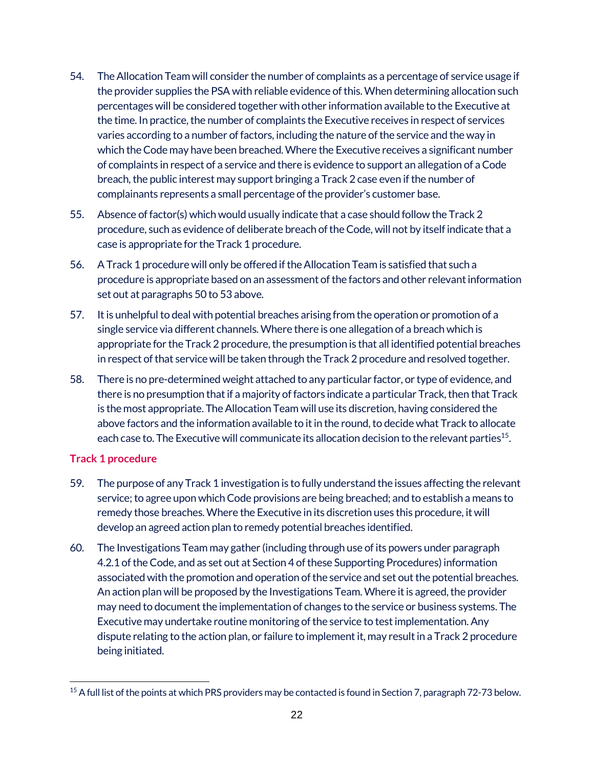- 54. The Allocation Team will consider the number of complaints as a percentage of service usage if the provider supplies the PSA with reliable evidence of this. When determining allocation such percentages will be considered together with other information available to the Executive at the time. In practice, the number of complaints the Executive receives in respect of services varies according to a number of factors, including the nature of the service and the way in which the Code may have been breached. Where the Executive receives a significant number of complaints in respect of a service and there is evidence to support an allegation of a Code breach, the public interest may support bringing a Track 2 case even if the number of complainants represents a small percentage of the provider's customer base.
- 55. Absence of factor(s) which would usually indicate that a case should follow the Track 2 procedure, such as evidence of deliberate breach of the Code, will not by itself indicate that a case is appropriate for the Track 1 procedure.
- 56. A Track 1 procedure will only be offered if the Allocation Team is satisfied that such a procedure is appropriate based on an assessment of the factors and other relevant information set out at paragraphs 50 to 53 above.
- 57. It is unhelpful to deal with potential breaches arising from the operation or promotion of a single service via different channels. Where there is one allegation of a breach which is appropriate for the Track 2 procedure, the presumption is that all identified potential breaches in respect of that service will be taken through the Track 2 procedure and resolved together.
- 58. There is no pre-determined weight attached to any particular factor, or type of evidence, and there is no presumption that if a majority of factors indicate a particular Track, then that Track is the most appropriate. The Allocation Team will use its discretion, having considered the above factors and the information available to it in the round, to decide what Track to allocate each case to. The Executive will communicate its allocation decision to the relevant parties<sup>15</sup>.

#### <span id="page-21-0"></span>**Track 1 procedure**

 $\overline{a}$ 

- 59. The purpose of any Track 1 investigation is to fully understand the issues affecting the relevant service; to agree upon which Code provisions are being breached; and to establish a means to remedy those breaches. Where the Executive in its discretion uses this procedure, it will develop an agreed action plan to remedy potential breaches identified.
- 60. The Investigations Team may gather (including through use of its powers under paragraph 4.2.1 of the Code, and as set out at Section 4 of these Supporting Procedures) information associated with the promotion and operation of the service and set out the potential breaches. An action plan will be proposed by the Investigations Team. Where it is agreed, the provider may need to document the implementation of changes to the service or business systems. The Executive may undertake routine monitoring of the service to test implementation. Any dispute relating to the action plan, or failure to implement it, may result in a Track 2 procedure being initiated.

<sup>&</sup>lt;sup>15</sup> A full list of the points at which PRS providers may be contacted is found in Section 7, paragraph 72-73 below.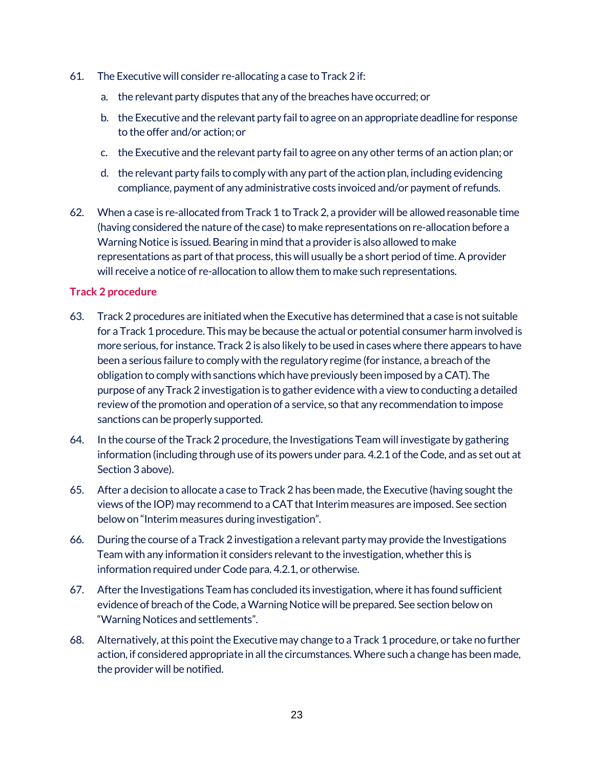- 61. The Executive will consider re-allocating a case to Track 2 if:
	- a. the relevant party disputes that any of the breaches have occurred; or
	- b. the Executive and the relevant party fail to agree on an appropriate deadline for response to the offer and/or action; or
	- c. the Executive and the relevant party fail to agree on any other terms of an action plan; or
	- d. the relevant party fails to comply with any part of the action plan, including evidencing compliance, payment of any administrative costs invoiced and/or payment of refunds.
- 62. When a case is re-allocated from Track 1 to Track 2, a provider will be allowed reasonable time (having considered the nature of the case) to make representations on re-allocation before a Warning Notice is issued. Bearing in mind that a provider is also allowed to make representations as part of that process, this will usually be a short period of time. A provider will receive a notice of re-allocation to allow them to make such representations.

#### <span id="page-22-0"></span>**Track 2 procedure**

- 63. Track 2 procedures are initiated when the Executive has determined that a case is not suitable for a Track 1 procedure. This may be because the actual or potential consumer harm involved is more serious, for instance. Track 2 is also likely to be used in cases where there appears to have been a serious failure to comply with the regulatory regime (for instance, a breach of the obligation to comply with sanctions which have previously been imposed by a CAT). The purpose of any Track 2 investigation is to gather evidence with a view to conducting a detailed review of the promotion and operation of a service, so that any recommendation to impose sanctions can be properly supported.
- 64. In the course of the Track 2 procedure, the Investigations Team will investigate by gathering information (including through use of its powers under para. 4.2.1 of the Code, and as set out at Section 3 above).
- 65. After a decision to allocate a case to Track 2 has been made, the Executive (having sought the views of the IOP) may recommend to a CAT that Interim measures are imposed. See section below on "Interim measures during investigation".
- 66. During the course of a Track 2 investigation a relevant party may provide the Investigations Team with any information it considers relevant to the investigation, whether this is information required under Code para. 4.2.1, or otherwise.
- 67. After the Investigations Team has concluded its investigation, where it has found sufficient evidence of breach of the Code, a Warning Notice will be prepared. See section below on "Warning Notices and settlements".
- 68. Alternatively, at this point the Executive may change to a Track 1 procedure, or take no further action, if considered appropriate in all the circumstances. Where such a change has been made, the provider will be notified.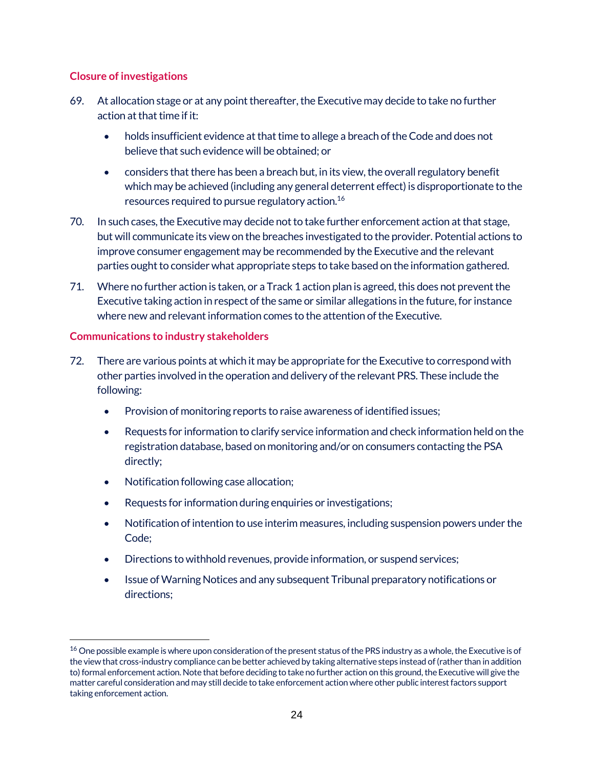#### <span id="page-23-0"></span>**Closure of investigations**

- 69. At allocation stage or at any point thereafter, the Executive may decide to take no further action at that time if it:
	- holds insufficient evidence at that time to allege a breach of the Code and does not believe that such evidence will be obtained; or
	- considers that there has been a breach but, in its view, the overall regulatory benefit which may be achieved (including any general deterrent effect) is disproportionate to the resources required to pursue regulatory action.16
- 70. In such cases, the Executive may decide not to take further enforcement action at that stage, but will communicate its view on the breaches investigated to the provider. Potential actions to improve consumer engagement may be recommended by the Executive and the relevant parties ought to consider what appropriate steps to take based on the information gathered.
- 71. Where no further action is taken, or a Track 1 action plan is agreed, this does not prevent the Executive taking action in respect of the same or similar allegations in the future, for instance where new and relevant information comes to the attention of the Executive.

#### <span id="page-23-1"></span>**Communications to industry stakeholders**

 $\overline{a}$ 

- 72. There are various points at which it may be appropriate for the Executive to correspond with other parties involved in the operation and delivery of the relevant PRS. These include the following:
	- Provision of monitoring reports to raise awareness of identified issues;
	- Requests for information to clarify service information and check information held on the registration database, based on monitoring and/or on consumers contacting the PSA directly;
	- Notification following case allocation;
	- Requests for information during enquiries or investigations;
	- Notification of intention to use interim measures, including suspension powers under the Code;
	- Directions to withhold revenues, provide information, or suspend services;
	- Issue of Warning Notices and any subsequent Tribunal preparatory notifications or directions;

<sup>&</sup>lt;sup>16</sup> One possible example is where upon consideration of the present status of the PRS industry as a whole, the Executive is of the view that cross-industry compliance can be better achieved by taking alternative steps instead of (rather than in addition to) formal enforcement action. Note that before deciding to take no further action on this ground, the Executive will give the matter careful consideration and may still decide to take enforcement action where other public interest factors support taking enforcement action.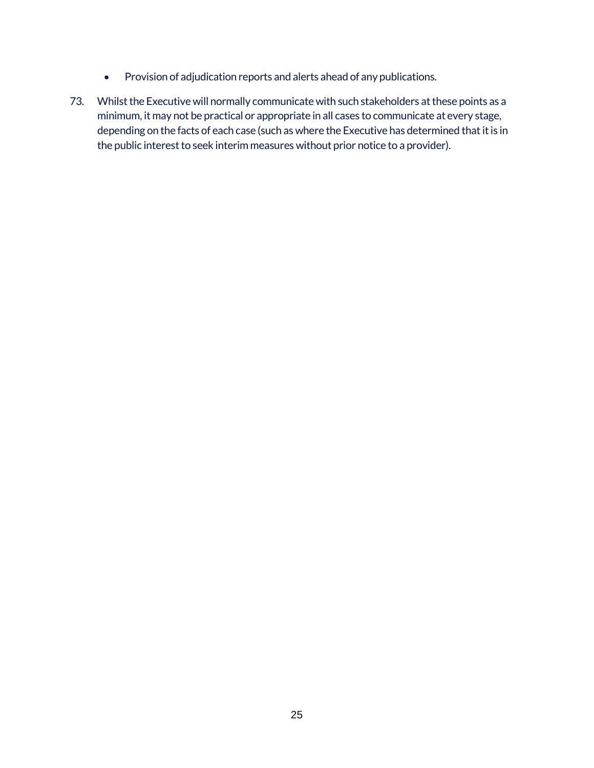- Provision of adjudication reports and alerts ahead of any publications.
- 73. Whilst the Executive will normally communicate with such stakeholders at these points as a minimum, it may not be practical or appropriate in all cases to communicate at every stage, depending on the facts of each case (such as where the Executive has determined that it is in the public interest to seek interim measures without prior notice to a provider).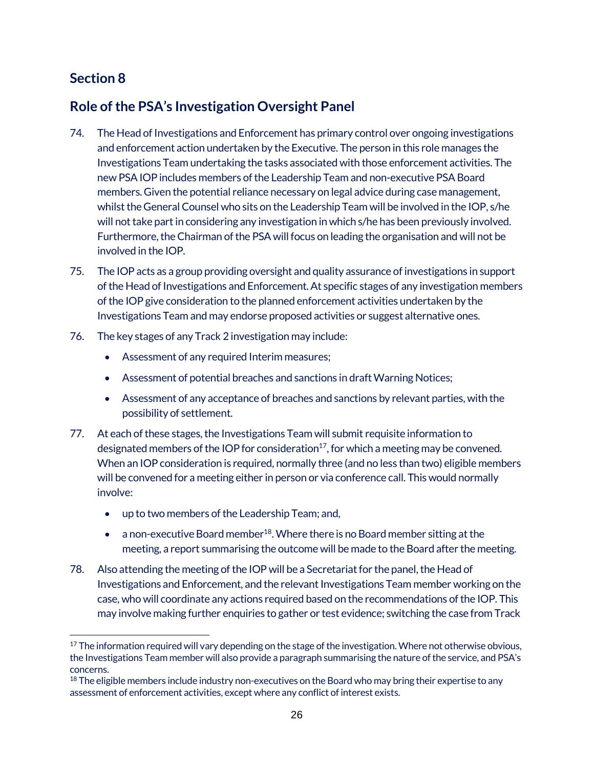$\overline{a}$ 

## <span id="page-25-1"></span><span id="page-25-0"></span>**Role of the PSA's Investigation Oversight Panel**

- 74. The Head of Investigations and Enforcement has primary control over ongoing investigations and enforcement action undertaken by the Executive. The person in this role manages the Investigations Team undertaking the tasks associated with those enforcement activities. The new PSA IOP includes members of the Leadership Team and non-executive PSABoard members. Given the potential reliance necessary on legal advice during case management, whilst the General Counsel who sits on the Leadership Team will be involved in the IOP, s/he will not take part in considering any investigation in which s/he has been previously involved. Furthermore, the Chairman of the PSA will focus on leading the organisation and will not be involved in the IOP.
- 75. The IOP acts as a group providing oversight and quality assurance of investigations in support of the Head of Investigations and Enforcement. At specific stages of any investigation members of the IOP give consideration to the planned enforcement activities undertaken by the Investigations Team and may endorse proposed activities or suggest alternative ones.
- 76. The key stages of any Track 2 investigation may include:
	- Assessment of any required Interim measures;
	- Assessment of potential breaches and sanctions in draft Warning Notices;
	- Assessment of any acceptance of breaches and sanctions by relevant parties, with the possibility of settlement.
- 77. At each of these stages, the Investigations Team will submit requisite information to designated members of the IOP for consideration<sup>17</sup>, for which a meeting may be convened. When an IOP consideration is required, normally three (and no less than two) eligible members will be convened for a meeting either in person or via conference call. This would normally involve:
	- up to two members of the Leadership Team; and,
	- a non-executive Board member<sup>18</sup>. Where there is no Board member sitting at the meeting, a report summarising the outcome will be made to the Board after the meeting.
- 78. Also attending the meeting of the IOP will be a Secretariat for the panel, the Head of Investigations and Enforcement, and the relevant Investigations Team member working on the case, who will coordinate any actions required based on the recommendations of the IOP. This may involve making further enquiries to gather or test evidence; switching the case from Track

 $17$  The information required will vary depending on the stage of the investigation. Where not otherwise obvious, the Investigations Team member will also provide a paragraph summarising the nature of the service, and PSA's concerns.

 $18$  The eligible members include industry non-executives on the Board who may bring their expertise to any assessment of enforcement activities, except where any conflict of interest exists.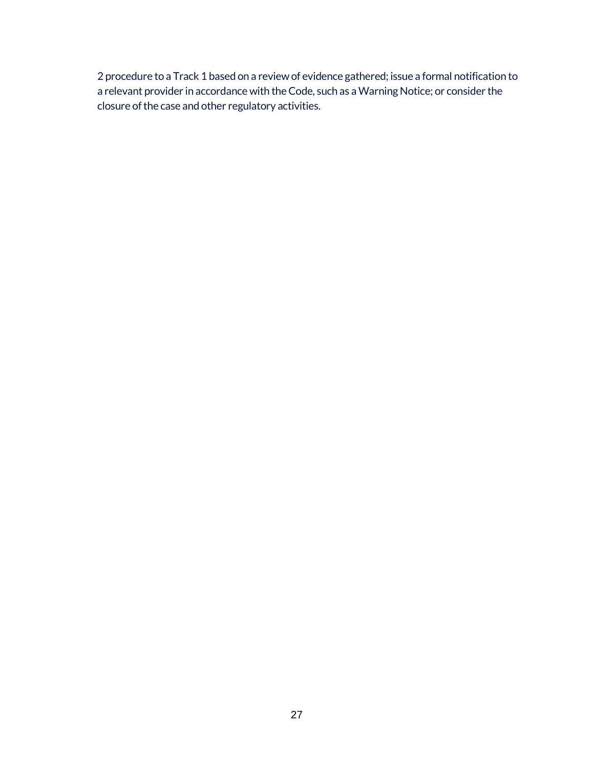2 procedure to a Track 1 based on a review of evidence gathered; issue a formal notification to a relevant provider in accordance with the Code, such as a Warning Notice; or consider the closure of the case and other regulatory activities.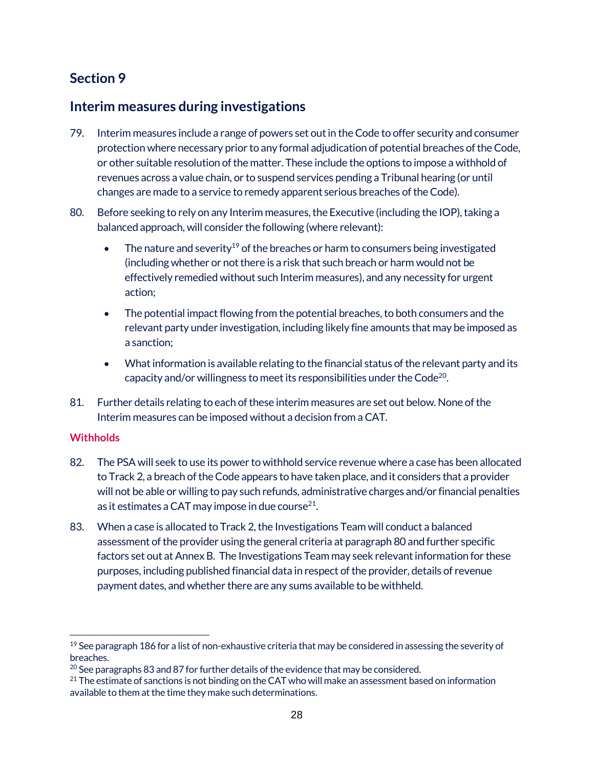#### <span id="page-27-1"></span><span id="page-27-0"></span>**Interim measures during investigations**

- 79. Interim measures include a range of powers set out in the Code to offer security and consumer protection where necessary prior to any formal adjudication of potential breaches of the Code, or other suitable resolution of the matter. These include the options to impose a withhold of revenues across a value chain, or to suspend services pending a Tribunal hearing (or until changes are made to a service to remedy apparent serious breaches of the Code).
- 80. Before seeking to rely on any Interim measures, the Executive (including the IOP), taking a balanced approach, will consider the following (where relevant):
	- The nature and severity<sup>19</sup> of the breaches or harm to consumers being investigated (including whether or not there is a risk that such breach or harm would not be effectively remedied without such Interim measures), and any necessity for urgent action;
	- The potential impact flowing from the potential breaches, to both consumers and the relevant party under investigation, including likely fine amounts that may be imposed as a sanction;
	- What information is available relating to the financial status of the relevant party and its capacity and/or willingness to meet its responsibilities under the Code<sup>20</sup>.
- 81. Further details relating to each of these interim measures are set out below. None of the Interim measures can be imposed without a decision from a CAT.

#### <span id="page-27-2"></span>**Withholds**

 $\overline{a}$ 

- 82. The PSA will seek to use its power to withhold service revenue where a case has been allocated to Track 2, a breach of the Code appears to have taken place, and it considers that a provider will not be able or willing to pay such refunds, administrative charges and/or financial penalties as it estimates a CAT may impose in due course $^{21}$ .
- 83. When a case is allocated to Track 2, the Investigations Team will conduct a balanced assessment of the provider using the general criteria at paragraph 80 and further specific factors set out at Annex B. The Investigations Team may seek relevant information for these purposes, including published financial data in respect of the provider, details of revenue payment dates, and whether there are any sums available to be withheld.

 $19$  See paragraph 186 for a list of non-exhaustive criteria that may be considered in assessing the severity of breaches.

 $20$  See paragraphs 83 and 87 for further details of the evidence that may be considered.

<sup>&</sup>lt;sup>21</sup> The estimate of sanctions is not binding on the CAT who will make an assessment based on information available to them at the time they make such determinations.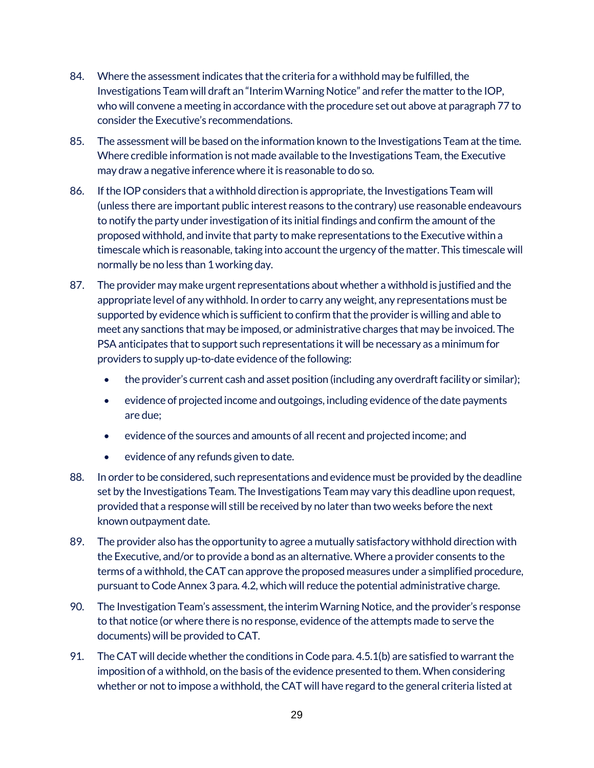- 84. Where the assessment indicates that the criteria for a withhold may be fulfilled, the Investigations Team will draft an "Interim Warning Notice" and refer the matter to the IOP, who will convene a meeting in accordance with the procedure set out above at paragraph 77 to consider the Executive's recommendations.
- 85. The assessment will be based on the information known to the Investigations Team at the time. Where credible information is not made available to the Investigations Team, the Executive may draw a negative inference where it is reasonable to do so.
- 86. If the IOP considers that a withhold direction is appropriate, the Investigations Team will (unless there are important public interest reasons to the contrary) use reasonable endeavours to notify the party under investigation of its initial findings and confirm the amount of the proposed withhold, and invite that party to make representations to the Executive within a timescale which is reasonable, taking into account the urgency of the matter. This timescale will normally be no less than 1 working day.
- 87. The provider may make urgent representations about whether a withhold is justified and the appropriate level of any withhold. In order to carry any weight, any representations must be supported by evidence which is sufficient to confirm that the provider is willing and able to meet any sanctions that may be imposed, or administrative charges that may be invoiced. The PSAanticipates that to support such representations it will be necessary as a minimum for providers to supply up-to-date evidence of the following:
	- the provider's current cash and asset position (including any overdraft facility or similar);
	- evidence of projected income and outgoings, including evidence of the date payments are due;
	- evidence of the sources and amounts of all recent and projected income; and
	- evidence of any refunds given to date.
- 88. In order to be considered, such representations and evidence must be provided by the deadline set by the Investigations Team. The Investigations Team may vary this deadline upon request, provided that a response will still be received by no later than two weeks before the next known outpayment date.
- 89. The provider also has the opportunity to agree a mutually satisfactory withhold direction with the Executive, and/or to provide a bond as an alternative. Where a provider consents to the terms of a withhold, the CAT can approve the proposed measures under a simplified procedure, pursuant to Code Annex 3 para. 4.2, which will reduce the potential administrative charge.
- 90. The Investigation Team's assessment, the interim Warning Notice, and the provider's response to that notice (or where there is no response, evidence of the attempts made to serve the documents)will be provided to CAT.
- 91. The CAT will decide whether the conditions in Code para. 4.5.1(b) are satisfied to warrant the imposition of a withhold, on the basis of the evidence presented to them. When considering whether or not to impose a withhold, the CAT will have regard to the general criteria listed at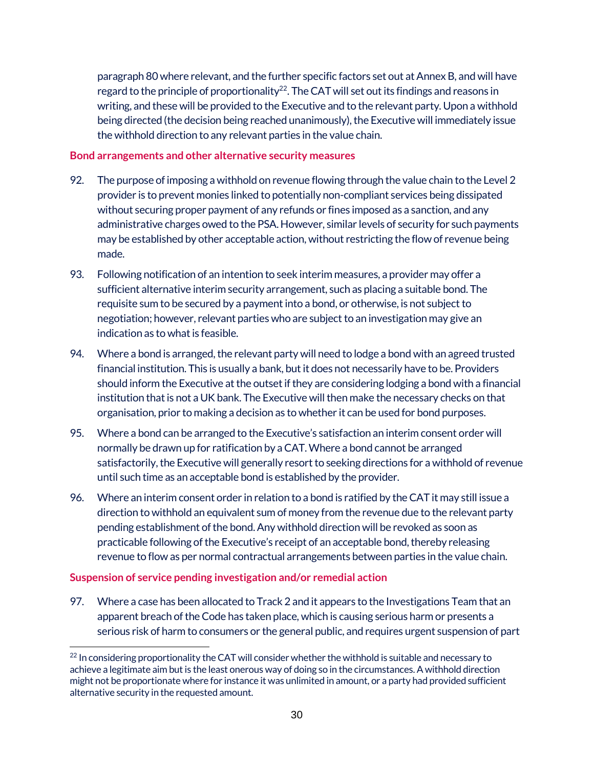paragraph 80 where relevant, and the further specific factors set out at Annex B, and will have regard to the principle of proportionality<sup>22</sup>. The CAT will set out its findings and reasons in writing, and these will be provided to the Executive and to the relevant party. Upon a withhold being directed (the decision being reached unanimously), the Executive will immediately issue the withhold direction to any relevant parties in the value chain.

#### <span id="page-29-0"></span>**Bond arrangements and other alternative security measures**

- 92. The purpose of imposing a withhold on revenue flowing through the value chain to the Level 2 provider is to prevent monies linked to potentially non-compliant services being dissipated without securing proper payment of any refunds or fines imposed as a sanction, and any administrative charges owed to the PSA. However, similar levels of security for such payments may be established by other acceptable action, without restricting the flow of revenue being made.
- 93. Following notification of an intention to seek interim measures, a provider may offer a sufficient alternative interim security arrangement, such as placing a suitable bond. The requisite sum to be secured by a payment into a bond, or otherwise, is not subject to negotiation; however, relevant parties who are subject to an investigation may give an indication as to what is feasible.
- 94. Where a bond is arranged, the relevant party will need to lodge a bond with an agreed trusted financial institution. This is usually a bank, but it does not necessarily have to be. Providers should inform the Executive at the outset if they are considering lodging a bond with a financial institution that is not a UK bank. The Executive will then make the necessary checks on that organisation, prior to making a decision as to whether it can be used for bond purposes.
- 95. Where a bond can be arranged to the Executive's satisfaction an interim consent order will normally be drawn up for ratification by a CAT. Where a bond cannot be arranged satisfactorily, the Executive will generally resort to seeking directions for a withhold of revenue until such time as an acceptable bond is established by the provider.
- 96. Where an interim consent order in relation to a bond is ratified by the CAT it may still issue a direction to withhold an equivalent sum of money from the revenue due to the relevant party pending establishment of the bond. Any withhold direction will be revoked as soon as practicable following of the Executive's receipt of an acceptable bond, thereby releasing revenue to flow as per normal contractual arrangements between parties in the value chain.

#### <span id="page-29-1"></span>**Suspension of service pending investigation and/or remedial action**

97. Where a case has been allocated to Track 2 and it appears to the Investigations Team that an apparent breach of the Code has taken place, which is causing serious harm or presents a serious risk of harm to consumers or the general public, and requires urgent suspension of part

 $\overline{a}$ <sup>22</sup> In considering proportionality the CAT will consider whether the withhold is suitable and necessary to achieve a legitimate aim but is the least onerous way of doing so in the circumstances. A withhold direction might not be proportionate where for instance it was unlimited in amount, or a party had provided sufficient alternative security in the requested amount.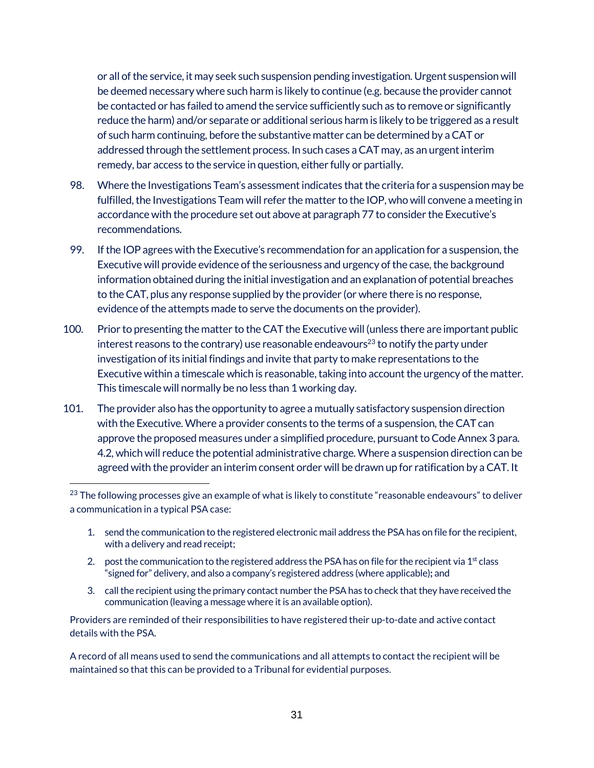or all of the service, it may seek such suspension pending investigation. Urgent suspension will be deemed necessary where such harm is likely to continue (e.g. because the provider cannot be contacted or has failed to amend the service sufficiently such as to remove or significantly reduce the harm) and/or separate or additional serious harm is likely to be triggered as a result of such harm continuing, before the substantive matter can be determined by a CAT or addressed through the settlement process. In such cases a CAT may, as an urgent interim remedy, bar access to the service in question, either fully or partially.

- 98. Where the Investigations Team's assessment indicates that the criteria for a suspension may be fulfilled, the Investigations Team will refer the matter to the IOP, who will convene a meeting in accordance with the procedure set out above at paragraph 77 to consider the Executive's recommendations.
- 99. If the IOP agrees with the Executive's recommendation for an application for a suspension, the Executive will provide evidence of the seriousness and urgency of the case, the background information obtained during the initial investigation and an explanation of potential breaches to the CAT, plus any response supplied by the provider (or where there is no response, evidence of the attempts made to serve the documents on the provider).
- 100. Prior to presenting the matter to the CAT the Executive will (unless there are important public interest reasons to the contrary) use reasonable endeavours<sup>23</sup> to notify the party under investigation of its initial findings and invite that party to make representations to the Executive within a timescale which is reasonable, taking into account the urgency of the matter. This timescale will normally be no less than 1 working day.
- 101. The provider also has the opportunity to agree a mutually satisfactory suspension direction with the Executive. Where a provider consents to the terms of a suspension, the CAT can approve the proposed measures under a simplified procedure, pursuant to Code Annex 3 para. 4.2, which will reduce the potential administrative charge. Where a suspension direction can be agreed with the provider an interim consent order will be drawn up for ratification by a CAT. It

 $\ddot{ }$ 

- 1. send the communication to the registered electronic mail address the PSAhas on file for the recipient, with a delivery and read receipt;
- 2. post the communication to the registered address the PSA has on file for the recipient via  $1<sup>st</sup>$  class "signed for" delivery, and also a company's registered address (where applicable)**;** and
- 3. call the recipient using the primary contact number the PSAhas to check that they have received the communication (leaving a message where it is an available option).

Providers are reminded of their responsibilities to have registered their up-to-date and active contact details with the PSA.

A record of all means used to send the communications and all attempts to contact the recipient will be maintained so that this can be provided to a Tribunal for evidential purposes.

<sup>&</sup>lt;sup>23</sup> The following processes give an example of what is likely to constitute "reasonable endeavours" to deliver a communication in a typical PSA case: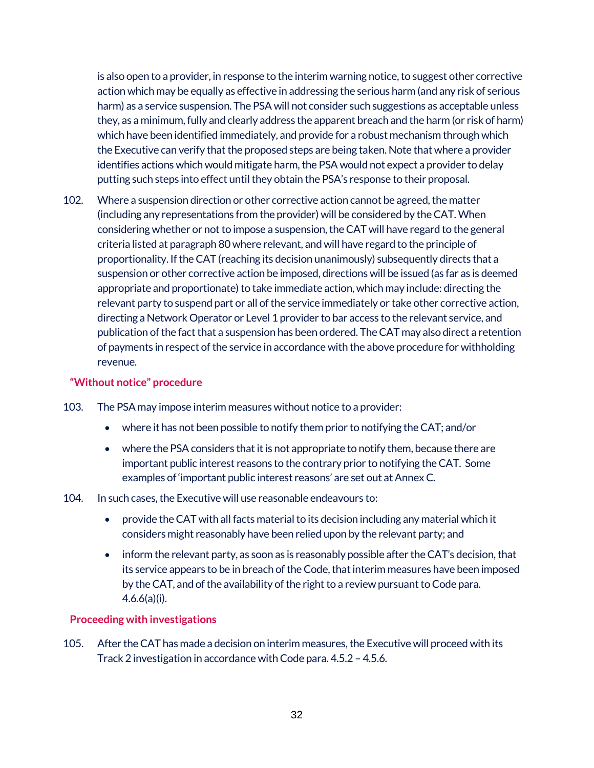is also open to a provider, in response to the interim warning notice, to suggest other corrective action which may be equally as effective in addressing the serious harm (and any risk of serious harm) as a service suspension. The PSA will not consider such suggestions as acceptable unless they, as a minimum, fully and clearly address the apparent breach and the harm (or risk of harm) which have been identified immediately, and provide for a robust mechanism through which the Executive can verify that the proposed steps are being taken. Note that where a provider identifies actions which would mitigate harm, the PSA would not expect a provider to delay putting such steps into effect until they obtain the PSA's response to their proposal.

102. Where a suspension direction or other corrective action cannot be agreed, the matter (including any representations from the provider) will be considered by the CAT. When considering whether or not to impose a suspension, the CAT will have regard to the general criteria listed at paragraph 80 where relevant, and will have regard to the principle of proportionality. If the CAT (reaching its decision unanimously) subsequently directs that a suspension or other corrective action be imposed, directions will be issued (as far as is deemed appropriate and proportionate) to take immediate action, which may include: directing the relevant party to suspend part or all of the service immediately or take other corrective action, directing a Network Operator or Level 1 provider to bar access to the relevant service, and publication of the fact that a suspension has been ordered. The CAT may also direct a retention of payments in respect of the service in accordance with the above procedure for withholding revenue.

#### <span id="page-31-0"></span>**"Without notice" procedure**

- 103. The PSA may impose interim measures without notice to a provider:
	- where it has not been possible to notify them prior to notifying the CAT; and/or
	- where the PSA considers that it is not appropriate to notify them, because there are important public interest reasons to the contrary prior to notifying the CAT. Some examples of 'important public interest reasons' are set out at Annex C.

#### 104. In such cases, the Executive will use reasonable endeavours to:

- provide the CAT with all facts material to its decision including any material which it considers might reasonably have been relied upon by the relevant party; and
- inform the relevant party, as soon as is reasonably possible after the CAT's decision, that its service appears to be in breach of the Code, that interim measures have been imposed by the CAT, and of the availability of the right to a review pursuant to Code para. 4.6.6(a)(i).

#### <span id="page-31-1"></span>**Proceeding with investigations**

105. After the CAT has made a decision on interim measures, the Executive will proceed with its Track 2 investigation in accordance with Code para. 4.5.2 – 4.5.6.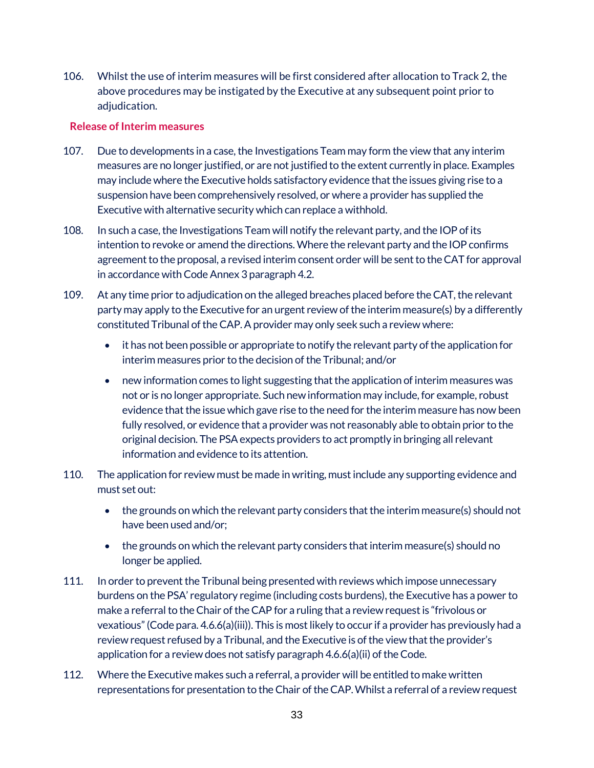106. Whilst the use of interim measures will be first considered after allocation to Track 2, the above procedures may be instigated by the Executive at any subsequent point prior to adjudication.

#### <span id="page-32-0"></span>**Release of Interim measures**

- 107. Due to developments in a case, the Investigations Team may form the view that any interim measures are no longer justified, or are not justified to the extent currently in place. Examples may include where the Executive holds satisfactory evidence that the issues giving rise to a suspension have been comprehensively resolved, or where a provider has supplied the Executive with alternative security which can replace a withhold.
- 108. In such a case, the Investigations Team will notify the relevant party, and the IOP of its intention to revoke or amend the directions. Where the relevant party and the IOP confirms agreement to the proposal, a revised interim consent order will be sent to the CAT for approval in accordance with Code Annex 3 paragraph 4.2.
- 109. At any time prior to adjudication on the alleged breaches placed before the CAT, the relevant party may apply to the Executive for an urgent review of the interim measure(s) by a differently constituted Tribunal of the CAP. A provider may only seek such a review where:
	- it has not been possible or appropriate to notify the relevant party of the application for interim measures prior to the decision of the Tribunal; and/or
	- new information comes to light suggesting that the application of interim measures was not or is no longer appropriate. Such new information may include, for example, robust evidence that the issue which gave rise to the need for the interim measure has now been fully resolved, or evidence that a provider was not reasonably able to obtain prior to the original decision. The PSAexpects providers to act promptly in bringing all relevant information and evidence to its attention.
- 110. The application for review must be made in writing, must include any supporting evidence and must set out:
	- the grounds on which the relevant party considers that the interim measure(s) should not have been used and/or;
	- the grounds on which the relevant party considers that interim measure(s) should no longer be applied.
- 111. In order to prevent the Tribunal being presented with reviews which impose unnecessary burdens on the PSA' regulatory regime (including costs burdens), the Executive has a power to make a referral to the Chair of the CAP for a ruling that a review request is "frivolous or vexatious" (Code para. 4.6.6(a)(iii)). This is most likely to occur if a provider has previously had a review request refused by a Tribunal, and the Executive is of the view that the provider's application for a review does not satisfy paragraph 4.6.6(a)(ii) of the Code.
- 112. Where the Executive makes such a referral, a provider will be entitled to make written representations for presentation to the Chair of the CAP. Whilst a referral of a review request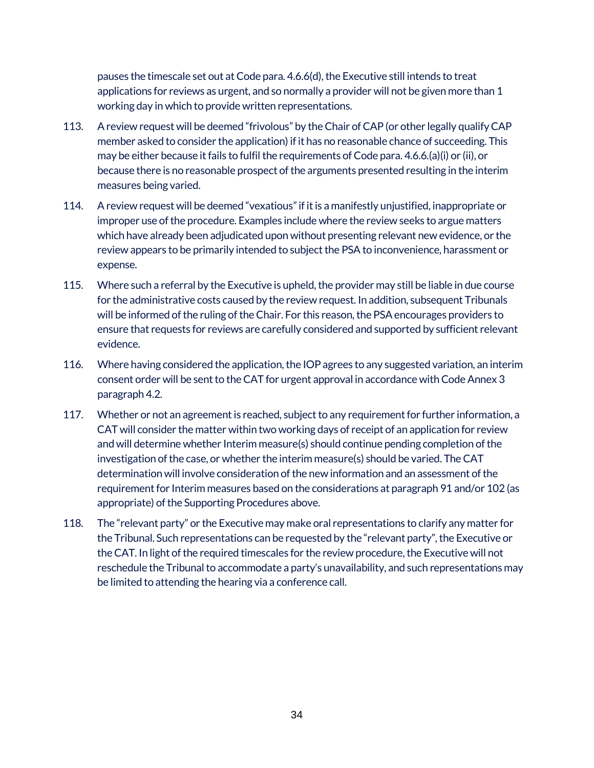pauses the timescale set out at Code para. 4.6.6(d), the Executive still intends to treat applications for reviews as urgent, and so normally a provider will not be given more than 1 working day in which to provide written representations.

- 113. A review request will be deemed "frivolous" by the Chair of CAP (or other legally qualify CAP member asked to consider the application) if it has no reasonable chance of succeeding. This may be either because it fails to fulfil the requirements of Code para. 4.6.6.(a)(i) or (ii), or because there is no reasonable prospect of the arguments presented resulting in the interim measures being varied.
- 114. A review request will be deemed "vexatious" if it is a manifestly unjustified, inappropriate or improper use of the procedure. Examples include where the review seeks to argue matters which have already been adjudicated upon without presenting relevant new evidence, or the review appears to be primarily intended to subject the PSA to inconvenience, harassment or expense.
- 115. Where such a referral by the Executive is upheld, the provider may still be liable in due course for the administrative costs caused by the review request. In addition, subsequent Tribunals will be informed of the ruling of the Chair. For this reason, the PSA encourages providers to ensure that requests for reviews are carefully considered and supported by sufficient relevant evidence.
- 116. Where having considered the application, the IOP agrees to any suggested variation, an interim consent order will be sent to the CAT for urgent approval in accordance with Code Annex 3 paragraph 4.2.
- 117. Whether or not an agreement is reached, subject to any requirement for further information, a CAT will consider the matter within two working days of receipt of an application for review and will determine whether Interim measure(s) should continue pending completion of the investigation of the case, or whether the interim measure(s) should be varied. The CAT determination will involve consideration of the new information and an assessment of the requirement for Interim measures based on the considerations at paragraph 91 and/or 102 (as appropriate) of the Supporting Procedures above.
- 118. The "relevant party" or the Executive may make oral representations to clarify any matter for the Tribunal. Such representations can be requested by the "relevant party", the Executive or the CAT. In light of the required timescales for the review procedure, the Executive will not reschedule the Tribunal to accommodate a party's unavailability, and such representations may be limited to attending the hearing via a conference call.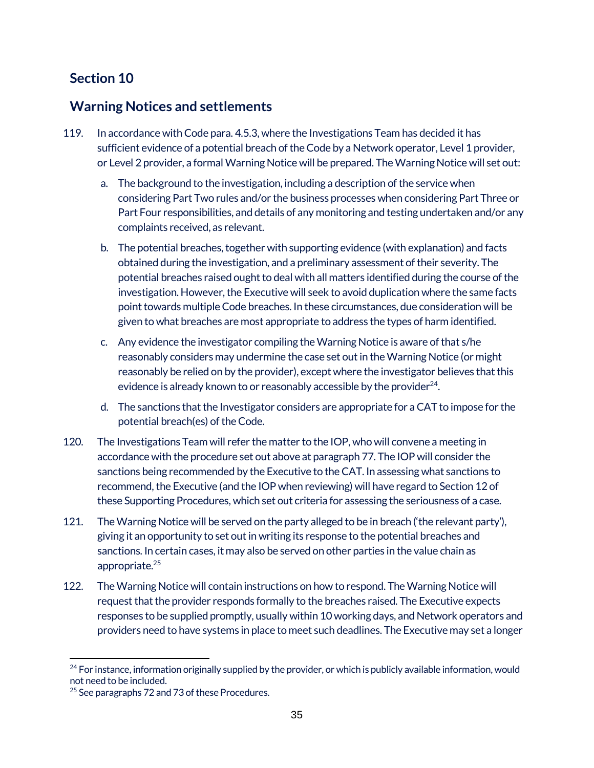#### <span id="page-34-1"></span><span id="page-34-0"></span>**Warning Notices and settlements**

- 119. In accordance with Code para. 4.5.3, where the Investigations Team has decided it has sufficient evidence of a potential breach of the Code by a Network operator, Level 1 provider, or Level 2 provider, a formal Warning Notice will be prepared. The Warning Notice will set out:
	- a. The background to the investigation, including a description of the service when considering Part Two rules and/or the business processes when considering Part Three or Part Four responsibilities, and details of any monitoring and testing undertaken and/or any complaints received, as relevant.
	- b. The potential breaches, together with supporting evidence (with explanation) and facts obtained during the investigation, and a preliminary assessment of their severity. The potential breaches raised ought to deal with all matters identified during the course of the investigation. However, the Executive will seek to avoid duplication where the same facts point towards multiple Code breaches. In these circumstances, due consideration will be given to what breaches are most appropriate to address the types of harm identified.
	- c. Any evidence the investigator compiling the Warning Notice is aware of that s/he reasonably considers may undermine the case set out in the Warning Notice (or might reasonably be relied on by the provider), except where the investigator believes that this evidence is already known to or reasonably accessible by the provider  $24$ .
	- d. The sanctions that the Investigator considers are appropriate for a CAT to impose for the potential breach(es) of the Code.
- 120. The Investigations Team will refer the matter to the IOP, who will convene a meeting in accordance with the procedure set out above at paragraph 77. The IOP will consider the sanctions being recommended by the Executive to the CAT. In assessing what sanctions to recommend, the Executive (and the IOP when reviewing) will have regard to Section 12 of these Supporting Procedures, which set out criteria for assessing the seriousness of a case.
- 121. The Warning Notice will be served on the party alleged to be in breach ('the relevant party'), giving it an opportunity to set out in writing its response to the potential breaches and sanctions. In certain cases, it may also be served on other parties in the value chain as appropriate.25
- 122. The Warning Notice will contain instructions on how to respond. The Warning Notice will request that the provider responds formally to the breaches raised. The Executive expects responses to be supplied promptly, usually within 10 working days, and Network operators and providers need to have systems in place to meet such deadlines. The Executive may set a longer

 $\overline{a}$ <sup>24</sup> For instance, information originally supplied by the provider, or which is publicly available information, would not need to be included.

<sup>&</sup>lt;sup>25</sup> See paragraphs 72 and 73 of these Procedures.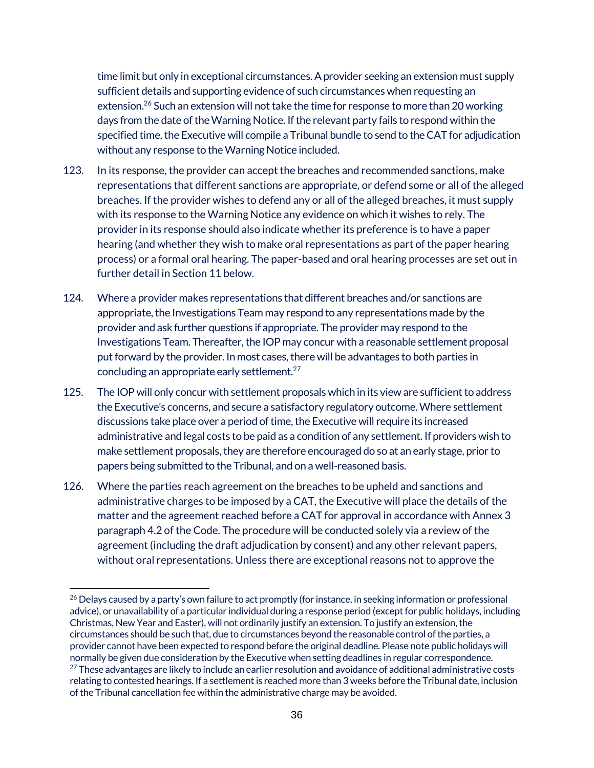time limit but only in exceptional circumstances. A provider seeking an extension must supply sufficient details and supporting evidence of such circumstances when requesting an extension.<sup>26</sup> Such an extension will not take the time for response to more than 20 working days from the date of the Warning Notice. If the relevant party fails to respond within the specified time, the Executive will compile a Tribunal bundle to send to the CAT for adjudication without any response to the Warning Notice included.

- 123. In its response, the provider can accept the breaches and recommended sanctions, make representations that different sanctions are appropriate, or defend some or all of the alleged breaches. If the provider wishes to defend any or all of the alleged breaches, it must supply with its response to the Warning Notice any evidence on which it wishes to rely. The provider in its response should also indicate whether its preference is to have a paper hearing (and whether they wish to make oral representations as part of the paper hearing process) or a formal oral hearing. The paper-based and oral hearing processes are set out in further detail in Section 11 below.
- 124. Where a provider makes representations that different breaches and/or sanctions are appropriate, the Investigations Team may respond to any representations made by the provider and ask further questions if appropriate. The provider may respond to the Investigations Team. Thereafter, the IOP may concur with a reasonable settlement proposal put forward by the provider. In most cases, there will be advantages to both parties in concluding an appropriate early settlement.27
- 125. The IOP will only concur with settlement proposals which in its view are sufficient to address the Executive's concerns, and secure a satisfactory regulatory outcome. Where settlement discussions take place over a period of time, the Executive will require its increased administrative and legal costs to be paid as a condition of any settlement. If providers wish to make settlement proposals, they are therefore encouraged do so at an early stage, prior to papers being submitted to the Tribunal, and on a well-reasoned basis.
- 126. Where the parties reach agreement on the breaches to be upheld and sanctions and administrative charges to be imposed by a CAT, the Executive will place the details of the matter and the agreement reached before a CAT for approval in accordance with Annex 3 paragraph 4.2 of the Code. The procedure will be conducted solely via a review of the agreement (including the draft adjudication by consent) and any other relevant papers, without oral representations. Unless there are exceptional reasons not to approve the

 $\overline{a}$ <sup>26</sup> Delays caused by a party's own failure to act promptly (for instance, in seeking information or professional advice), or unavailability of a particular individual during a response period (except for public holidays, including Christmas, New Year and Easter), will not ordinarily justify an extension. To justify an extension, the circumstances should be such that, due to circumstances beyond the reasonable control of the parties, a provider cannot have been expected to respond before the original deadline. Please note public holidays will normally be given due consideration by the Executive when setting deadlines in regular correspondence.  $^{27}$  These advantages are likely to include an earlier resolution and avoidance of additional administrative costs relating to contested hearings. If a settlement is reached more than 3 weeks before the Tribunal date, inclusion of the Tribunal cancellation fee within the administrative charge may be avoided.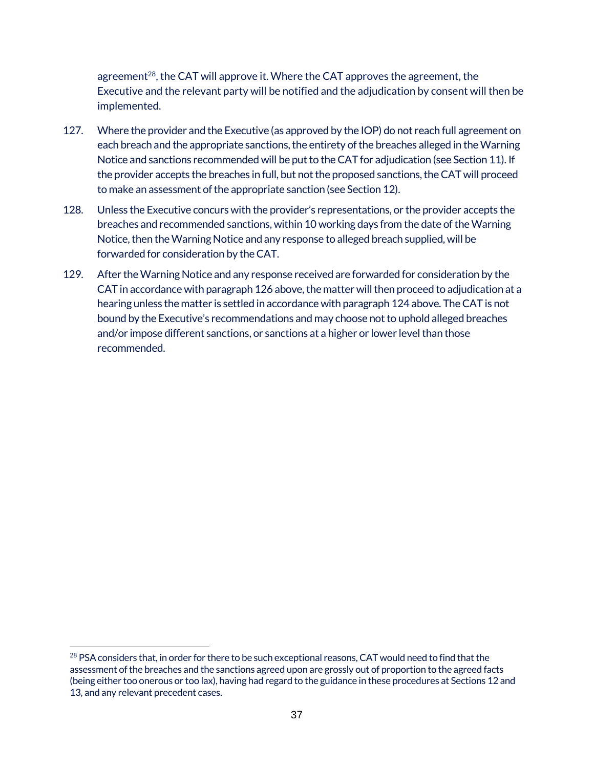agreement<sup>28</sup>, the CAT will approve it. Where the CAT approves the agreement, the Executive and the relevant party will be notified and the adjudication by consent will then be implemented.

- 127. Where the provider and the Executive (as approved by the IOP) do not reach full agreement on each breach and the appropriate sanctions, the entirety of the breaches alleged in the Warning Notice and sanctions recommended will be put to the CAT for adjudication (see Section 11). If the provider accepts the breaches in full, but not the proposed sanctions, the CAT will proceed to make an assessment of the appropriate sanction (see Section 12).
- 128. Unless the Executive concurs with the provider's representations, or the provider accepts the breaches and recommended sanctions, within 10 working days from the date of the Warning Notice, then the Warning Notice and any response to alleged breach supplied, will be forwarded for consideration by the CAT.
- 129. After the Warning Notice and any response received are forwarded for consideration by the CAT in accordance with paragraph 126 above, the matter will then proceed to adjudication at a hearing unless the matter is settled in accordance with paragraph 124 above. The CAT is not bound by the Executive's recommendations and may choose not to uphold alleged breaches and/or impose different sanctions, or sanctions at a higher or lower level than those recommended.

 $\overline{a}$ <sup>28</sup> PSA considers that, in order for there to be such exceptional reasons, CAT would need to find that the assessment of the breaches and the sanctions agreed upon are grossly out of proportion to the agreed facts (being either too onerous or too lax), having had regard to the guidance in these procedures at Sections 12 and 13, and any relevant precedent cases.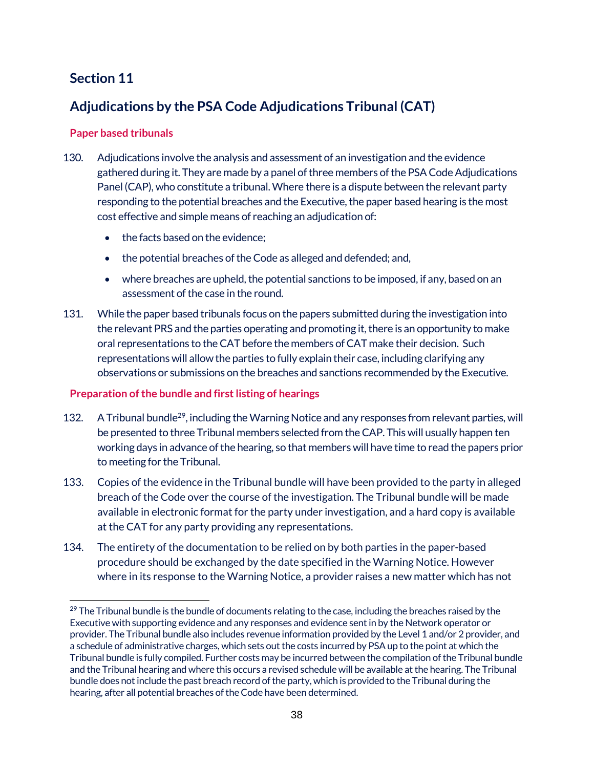# **Section 11**

# **Adjudications by the PSA Code Adjudications Tribunal (CAT)**

# **Paper based tribunals**

- 130. Adjudications involve the analysis and assessment of an investigation and the evidence gathered during it. They are made by a panel of three members of the PSACode Adjudications Panel (CAP), who constitute a tribunal. Where there is a dispute between the relevant party responding to the potential breaches and the Executive, the paper based hearing is the most cost effective and simple means of reaching an adjudication of:
	- the facts based on the evidence;
	- the potential breaches of the Code as alleged and defended; and,
	- where breaches are upheld, the potential sanctions to be imposed, if any, based on an assessment of the case in the round.
- 131. While the paper based tribunals focus on the papers submitted during the investigation into the relevant PRS and the parties operating and promoting it, there is an opportunity to make oral representations to the CAT before the members of CAT make their decision. Such representations will allow the parties to fully explain their case, including clarifying any observations or submissions on the breaches and sanctions recommended by the Executive.

# **Preparation of the bundle and first listing of hearings**

- 132. A Tribunal bundle<sup>29</sup>, including the Warning Notice and any responses from relevant parties, will be presented to three Tribunal members selected from the CAP. This will usually happen ten working days in advance of the hearing, so that members will have time to read the papers prior to meeting for the Tribunal.
- 133. Copies of the evidence in the Tribunal bundle will have been provided to the party in alleged breach of the Code over the course of the investigation. The Tribunal bundle will be made available in electronic format for the party under investigation, and a hard copy is available at the CAT for any party providing any representations.
- 134. The entirety of the documentation to be relied on by both parties in the paper-based procedure should be exchanged by the date specified in the Warning Notice. However where in its response to the Warning Notice, a provider raises a new matter which has not

 $\overline{a}$ <sup>29</sup> The Tribunal bundle is the bundle of documents relating to the case, including the breaches raised by the Executive with supporting evidence and any responses and evidence sent in by the Network operator or provider. The Tribunal bundle also includes revenue information provided by the Level 1 and/or 2 provider, and a schedule of administrative charges, which sets out the costs incurred by PSAup to the point at which the Tribunal bundle is fully compiled. Further costs may be incurred between the compilation of the Tribunal bundle and the Tribunal hearing and where this occurs a revised schedule will be available at the hearing. The Tribunal bundle does not include the past breach record of the party, which is provided to the Tribunal during the hearing, after all potential breaches of the Code have been determined.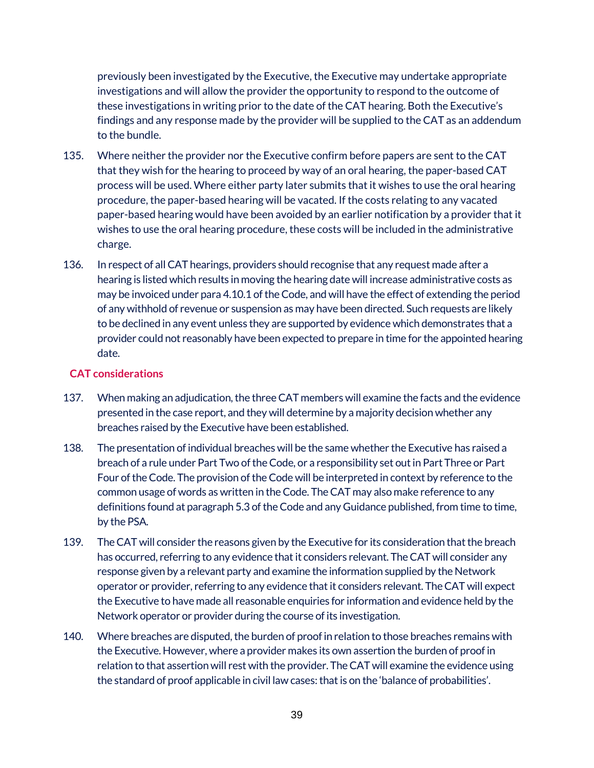previously been investigated by the Executive, the Executive may undertake appropriate investigations and will allow the provider the opportunity to respond to the outcome of these investigations in writing prior to the date of the CAT hearing. Both the Executive's findings and any response made by the provider will be supplied to the CAT as an addendum to the bundle.

- 135. Where neither the provider nor the Executive confirm before papers are sent to the CAT that they wish for the hearing to proceed by way of an oral hearing, the paper-based CAT process will be used. Where either party later submits that it wishes to use the oral hearing procedure, the paper-based hearing will be vacated. If the costs relating to any vacated paper-based hearing would have been avoided by an earlier notification by a provider that it wishes to use the oral hearing procedure, these costs will be included in the administrative charge.
- 136. In respect of all CAT hearings, providers should recognise that any request made after a hearing is listed which results in moving the hearing date will increase administrative costs as may be invoiced under para 4.10.1 of the Code, and will have the effect of extending the period of any withhold of revenue or suspension as may have been directed. Such requests are likely to be declined in any event unless they are supported by evidence which demonstrates that a provider could not reasonably have been expected to prepare in time for the appointed hearing date.

### **CAT considerations**

- 137. When making an adjudication, the three CAT members will examine the facts and the evidence presented in the case report, and they will determine by a majority decision whether any breaches raised by the Executive have been established.
- 138. The presentation of individual breaches will be the same whether the Executive has raised a breach of a rule under Part Two of the Code, or a responsibility set out in Part Three or Part Four of the Code. The provision of the Code will be interpreted in context by reference to the common usage of words as written in the Code. The CAT may also make reference to any definitions found at paragraph 5.3 of the Code and any Guidance published, from time to time, by the PSA.
- 139. The CAT will consider the reasons given by the Executive for its consideration that the breach has occurred, referring to any evidence that it considers relevant. The CAT will consider any response given by a relevant party and examine the information supplied by the Network operator or provider, referring to any evidence that it considers relevant. The CAT will expect the Executive to have made all reasonable enquiries for information and evidence held by the Network operator or provider during the course of its investigation.
- 140. Where breaches are disputed, the burden of proof in relation to those breaches remains with the Executive. However, where a provider makes its own assertion the burden of proof in relation to that assertion will rest with the provider. The CAT will examine the evidence using the standard of proof applicable in civil law cases: that is on the 'balance of probabilities'.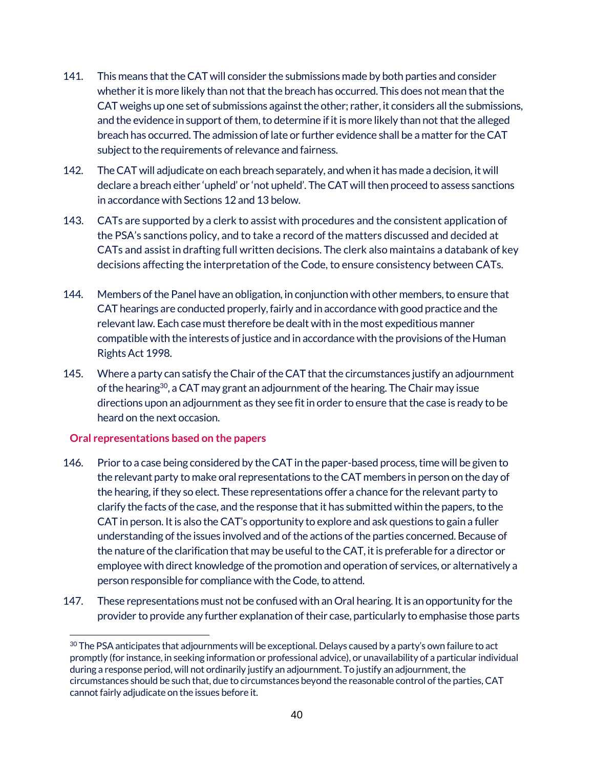- 141. This means that the CAT will consider the submissions made by both parties and consider whether it is more likely than not that the breach has occurred. This does not mean that the CAT weighs up one set of submissions against the other; rather, it considers all the submissions, and the evidence in support of them, to determine if it is more likely than not that the alleged breach has occurred. The admission of late or further evidence shall be a matter for the CAT subject to the requirements of relevance and fairness.
- 142. The CAT will adjudicate on each breach separately, and when it has made a decision, it will declare a breach either 'upheld' or 'not upheld'. The CAT will then proceed to assess sanctions in accordance with Sections 12 and 13 below.
- 143. CATs are supported by a clerk to assist with procedures and the consistent application of the PSA's sanctions policy, and to take a record of the matters discussed and decided at CATs and assist in drafting full written decisions. The clerk also maintains a databank of key decisions affecting the interpretation of the Code, to ensure consistency between CATs.
- 144. Members of the Panel have an obligation, in conjunction with other members, to ensure that CAT hearings are conducted properly, fairly and in accordance with good practice and the relevant law. Each case must therefore be dealt with in the most expeditious manner compatible with the interests of justice and in accordance with the provisions of the Human Rights Act 1998.
- 145. Where a party can satisfy the Chair of the CAT that the circumstances justify an adjournment of the hearing<sup>30</sup>, a CAT may grant an adjournment of the hearing. The Chair may issue directions upon an adjournment as they see fit in order to ensure that the case is ready to be heard on the next occasion.

### **Oral representations based on the papers**

- 146. Prior to a case being considered by the CAT in the paper-based process, time will be given to the relevant party to make oral representations to the CAT members in person on the day of the hearing, if they so elect. These representations offer a chance for the relevant party to clarify the facts of the case, and the response that it has submitted within the papers, to the CAT in person. It is also the CAT's opportunity to explore and ask questions to gain a fuller understanding of the issues involved and of the actions of the parties concerned. Because of the nature of the clarification that may be useful to the CAT, it is preferable for a director or employee with direct knowledge of the promotion and operation of services, or alternatively a person responsible for compliance with the Code, to attend.
- 147. These representations must not be confused with an Oral hearing. It is an opportunity for the provider to provide any further explanation of their case, particularly to emphasise those parts

 $\overline{a}$  $30$  The PSA anticipates that adjournments will be exceptional. Delays caused by a party's own failure to act promptly (for instance, in seeking information or professional advice), or unavailability of a particular individual during a response period, will not ordinarily justify an adjournment. To justify an adjournment, the circumstances should be such that, due to circumstances beyond the reasonable control of the parties, CAT cannot fairly adjudicate on the issues before it.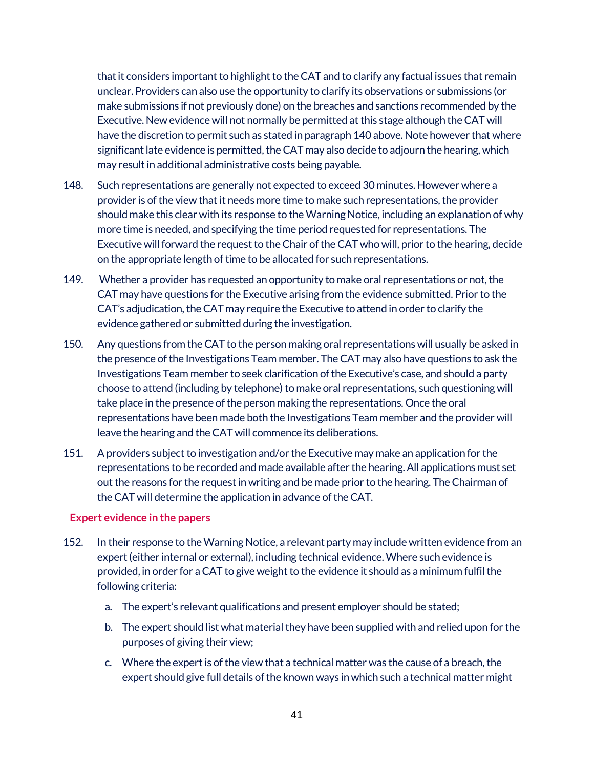that it considers important to highlight to the CAT and to clarify any factual issues that remain unclear. Providers can also use the opportunity to clarify its observations or submissions (or make submissions if not previously done) on the breaches and sanctions recommended by the Executive. New evidence will not normally be permitted at this stage although the CAT will have the discretion to permit such as stated in paragraph 140 above. Note however that where significant late evidence is permitted, the CAT may also decide to adjourn the hearing, which may result in additional administrative costs being payable.

- 148. Such representations are generally not expected to exceed 30 minutes. However where a provider is of the view that it needs more time to make such representations, the provider should make this clear with its response to the Warning Notice, including an explanation of why more time is needed, and specifying the time period requested for representations. The Executive will forward the request to the Chair of the CAT who will, prior to the hearing, decide on the appropriate length of time to be allocated for such representations.
- 149. Whether a provider has requested an opportunity to make oral representations or not, the CAT may have questions for the Executive arising from the evidence submitted. Prior to the CAT's adjudication, the CAT may require the Executive to attend in order to clarify the evidence gathered or submitted during the investigation.
- 150. Any questions from the CAT to the person making oral representations will usually be asked in the presence of the Investigations Team member. The CAT may also have questions to ask the Investigations Team member to seek clarification of the Executive's case, and should a party choose to attend (including by telephone) to make oral representations, such questioning will take place in the presence of the person making the representations. Once the oral representations have been made both the Investigations Team member and the provider will leave the hearing and the CAT will commence its deliberations.
- 151. A providers subject to investigation and/or the Executive may make an application for the representations to be recorded and made available after the hearing. All applications must set out the reasons for the request in writing and be made prior to the hearing. The Chairman of the CAT will determine the application in advance of the CAT.

### **Expert evidence in the papers**

- 152. In their response to the Warning Notice, a relevant party may include written evidence from an expert (either internal or external), including technical evidence. Where such evidence is provided, in order for a CAT to give weight to the evidence it should as a minimum fulfil the following criteria:
	- a. The expert's relevant qualifications and present employer should be stated;
	- b. The expert should list what material they have been supplied with and relied upon for the purposes of giving their view;
	- c. Where the expert is of the view that a technical matter was the cause of a breach, the expert should give full details of the known ways in which such a technical matter might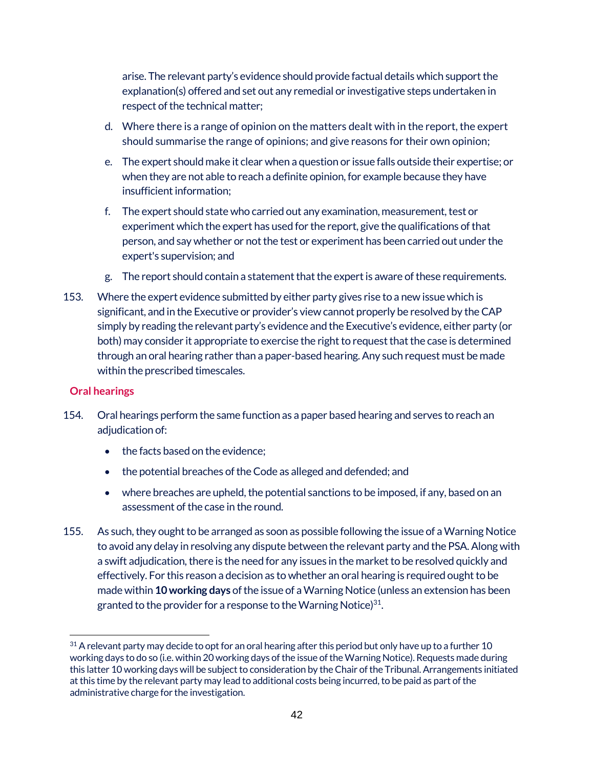arise. The relevant party's evidence should provide factual details which support the explanation(s) offered and set out any remedial or investigative steps undertaken in respect of the technical matter;

- d. Where there is a range of opinion on the matters dealt with in the report, the expert should summarise the range of opinions; and give reasons for their own opinion;
- e. The expert should make it clear when a question or issue falls outside their expertise; or when they are not able to reach a definite opinion, for example because they have insufficient information;
- f. The expert should state who carried out any examination, measurement, test or experiment which the expert has used for the report, give the qualifications of that person, and say whether or not the test or experiment has been carried out under the expert's supervision; and
- g. The report should contain a statement that the expert is aware of these requirements.
- 153. Where the expert evidence submitted by either party gives rise to a new issue which is significant, and in the Executive or provider's view cannot properly be resolved by the CAP simply by reading the relevant party's evidence and the Executive's evidence, either party (or both) may consider it appropriate to exercise the right to request that the case is determined through an oral hearing rather than a paper-based hearing. Any such request must be made within the prescribed timescales.

# **Oral hearings**

- 154. Oral hearings perform the same function as a paper based hearing and serves to reach an adjudication of:
	- the facts based on the evidence;
	- the potential breaches of the Code as alleged and defended; and
	- where breaches are upheld, the potential sanctions to be imposed, if any, based on an assessment of the case in the round.
- 155. As such, they ought to be arranged as soon as possible following the issue of a Warning Notice to avoid any delay in resolving any dispute between the relevant party and the PSA. Along with a swift adjudication, there is the need for any issues in the market to be resolved quickly and effectively. For this reason a decision as to whether an oral hearing is required ought to be made within **10 working days** of the issue of a Warning Notice (unless an extension has been granted to the provider for a response to the Warning Notice $3^{31}$ .

 $\overline{a}$  $31$  A relevant party may decide to opt for an oral hearing after this period but only have up to a further 10 working days to do so (i.e. within 20 working days of the issue of the Warning Notice). Requests made during this latter 10 working days will be subject to consideration by the Chair of the Tribunal. Arrangements initiated at this time by the relevant party may lead to additional costs being incurred, to be paid as part of the administrative charge for the investigation.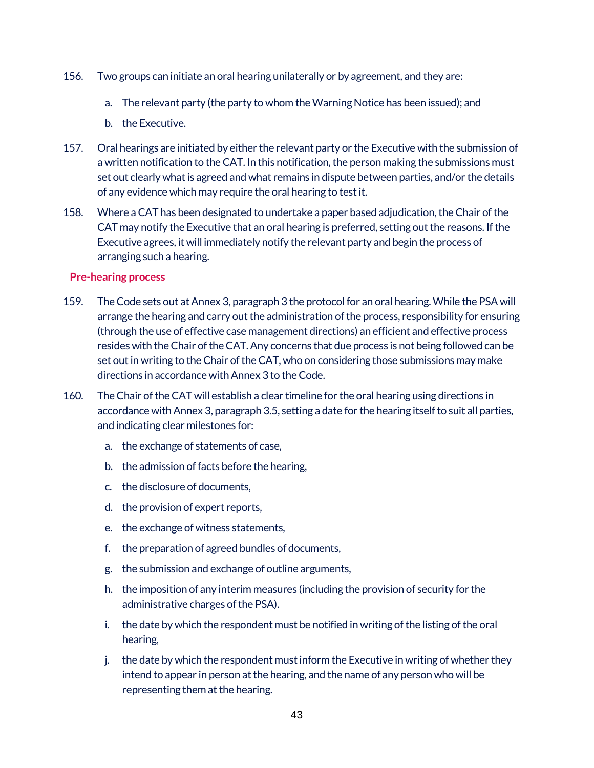- 156. Two groups can initiate an oral hearing unilaterally or by agreement, and they are:
	- a. The relevant party (the party to whom the Warning Notice has been issued); and
	- b. the Executive.
- 157. Oral hearings are initiated by either the relevant party or the Executive with the submission of a written notification to the CAT. In this notification, the person making the submissions must set out clearly what is agreed and what remains in dispute between parties, and/or the details of any evidence which may require the oral hearing to test it.
- 158. Where a CAT has been designated to undertake a paper based adjudication, the Chair of the CAT may notify the Executive that an oral hearing is preferred, setting out the reasons. If the Executive agrees, it will immediately notify the relevant party and begin the process of arranging such a hearing.

#### **Pre-hearing process**

- 159. The Code sets out at Annex 3, paragraph 3 the protocol for an oral hearing. While the PSA will arrange the hearing and carry out the administration of the process, responsibility for ensuring (through the use of effective case management directions) an efficient and effective process resides with the Chair of the CAT. Any concerns that due process is not being followed can be set out in writing to the Chair of the CAT, who on considering those submissions may make directions in accordance with Annex 3 to the Code.
- 160. The Chair of the CAT will establish a clear timeline for the oral hearing using directions in accordance with Annex 3, paragraph 3.5, setting a date for the hearing itself to suit all parties, and indicating clear milestones for:
	- a. the exchange of statements of case,
	- b. the admission of facts before the hearing,
	- c. the disclosure of documents,
	- d. the provision of expert reports,
	- e. the exchange of witness statements,
	- f. the preparation of agreed bundles of documents,
	- g. the submission and exchange of outline arguments,
	- h. the imposition of any interim measures (including the provision of security for the administrative charges of the PSA).
	- i. the date by which the respondent must be notified in writing of the listing of the oral hearing,
	- j. the date by which the respondent must inform the Executive in writing of whether they intend to appear in person at the hearing, and the name of any person who will be representing them at the hearing.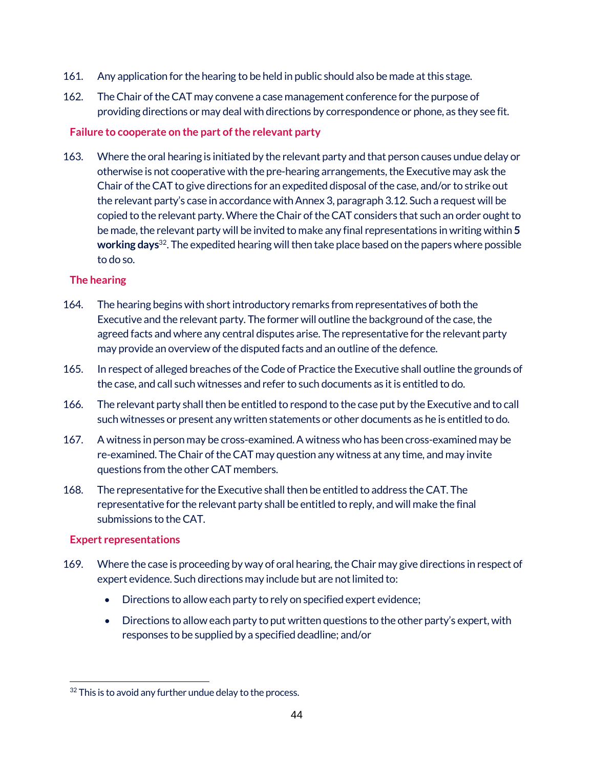- 161. Any application for the hearing to be held in public should also be made at this stage.
- 162. The Chair of the CAT may convene a case management conference for the purpose of providing directions or may deal with directions by correspondence or phone, as they see fit.

## **Failure to cooperate on the part of the relevant party**

163. Where the oral hearing is initiated by the relevant party and that person causes undue delay or otherwise is not cooperative with the pre-hearing arrangements, the Executive may ask the Chair of the CAT to give directions for an expedited disposal of the case, and/or to strike out the relevant party's case in accordance with Annex 3, paragraph 3.12. Such a request will be copied to the relevant party. Where the Chair of the CAT considers that such an order ought to be made, the relevant party will be invited to make any final representations in writing within **5 working days**32. The expedited hearing will then take place based on the papers where possible to do so.

## **The hearing**

- 164. The hearing begins with short introductory remarks from representatives of both the Executive and the relevant party. The former will outline the background of the case, the agreed facts and where any central disputes arise. The representative for the relevant party may provide an overview of the disputed facts and an outline of the defence.
- 165. In respect of alleged breaches of the Code of Practice the Executive shall outline the grounds of the case, and call such witnesses and refer to such documents as it is entitled to do.
- 166. The relevant party shall then be entitled to respond to the case put by the Executive and to call such witnesses or present any written statements or other documents as he is entitled to do.
- 167. A witness in person may be cross-examined. A witness who has been cross-examined may be re-examined. The Chair of the CAT may question any witness at any time, and may invite questions from the other CAT members.
- 168. The representative for the Executive shall then be entitled to address the CAT. The representative for the relevant party shall be entitled to reply, and will make the final submissions to the CAT.

# **Expert representations**

- 169. Where the case is proceeding by way of oral hearing, the Chair may give directions in respect of expert evidence. Such directions may include but are not limited to:
	- Directions to allow each party to rely on specified expert evidence;
	- Directions to allow each party to put written questions to the other party's expert, with responses to be supplied by a specified deadline; and/or

 $\overline{a}$  $32$  This is to avoid any further undue delay to the process.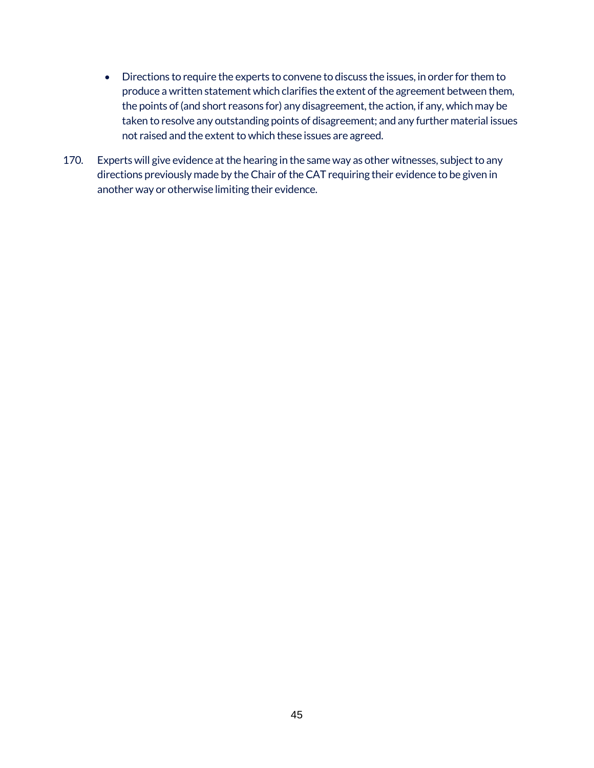- Directions to require the experts to convene to discuss the issues, in order for them to produce a written statement which clarifies the extent of the agreement between them, the points of (and short reasons for) any disagreement, the action, if any, which may be taken to resolve any outstanding points of disagreement; and any further material issues not raised and the extent to which these issues are agreed.
- 170. Experts will give evidence at the hearing in the same way as other witnesses, subject to any directions previously made by the Chair of the CAT requiring their evidence to be given in another way or otherwise limiting their evidence.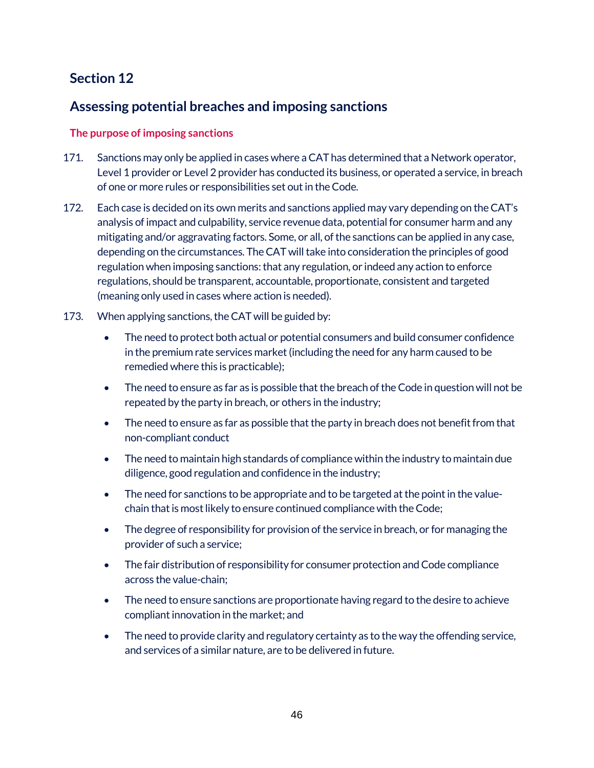# **Section 12**

# **Assessing potential breaches and imposing sanctions**

# **The purpose of imposing sanctions**

- 171. Sanctions may only be applied in cases where a CAT has determined that a Network operator, Level 1 provider or Level 2 provider has conducted its business, or operated a service, in breach of one or more rules or responsibilities set out in the Code.
- 172. Each case is decided on its own merits and sanctions applied may vary depending on the CAT's analysis of impact and culpability, service revenue data, potential for consumer harm and any mitigating and/or aggravating factors. Some, or all, of the sanctions can be applied in any case, depending on the circumstances. The CAT will take into consideration the principles of good regulation when imposing sanctions: that any regulation, or indeed any action to enforce regulations, should be transparent, accountable, proportionate, consistent and targeted (meaning only used in cases where action is needed).
- 173. When applying sanctions, the CAT will be guided by:
	- The need to protect both actual or potential consumers and build consumer confidence in the premium rate services market (including the need for any harm caused to be remedied where this is practicable);
	- The need to ensure as far as is possible that the breach of the Code in question will not be repeated by the party in breach, or others in the industry;
	- The need to ensure as far as possible that the party in breach does not benefit from that non-compliant conduct
	- The need to maintain high standards of compliance within the industry to maintain due diligence, good regulation and confidence in the industry;
	- The need for sanctions to be appropriate and to be targeted at the point in the valuechain that is most likely to ensure continued compliance with the Code;
	- The degree of responsibility for provision of the service in breach, or for managing the provider of such a service;
	- The fair distribution of responsibility for consumer protection and Code compliance across the value-chain;
	- The need to ensure sanctions are proportionate having regard to the desire to achieve compliant innovation in the market; and
	- The need to provide clarity and regulatory certainty as to the way the offending service, and services of a similar nature, are to be delivered in future.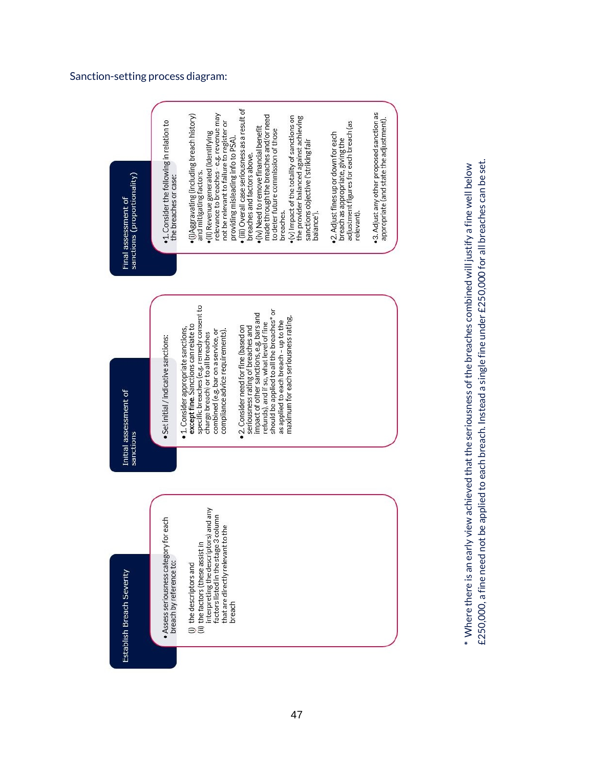#### Sanction -setting process diagram:



£250,000, a fine need not be applied to each breach. Instead a single fine under £250,000 for all breaches can be set. £250,000, a fine need not be applied to each breach. Instead a single fine under £250,000 for all breaches can be set.  $^\ast$  Where there is an early view achieved that the seriousness of the breaches combined will justify a fine well below \* Where there is an early view achieved that the seriousness of the breaches combined will justify a fine well below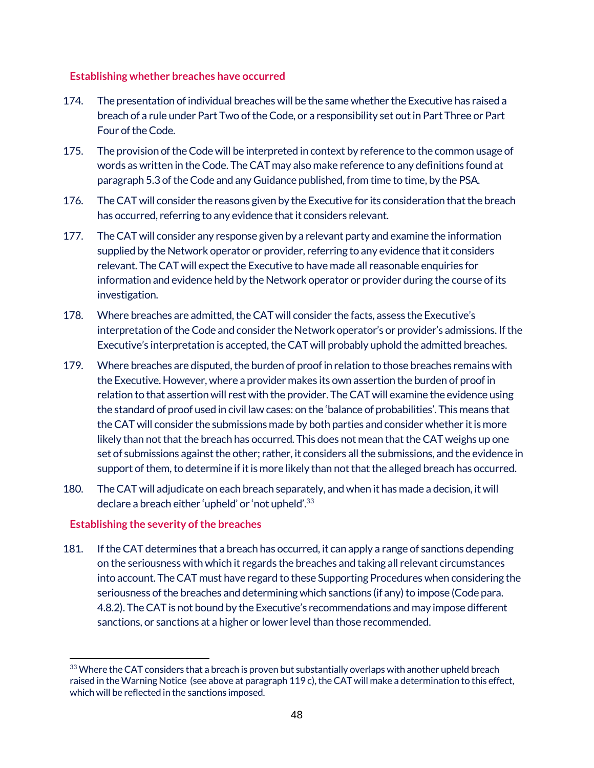## **Establishing whether breaches have occurred**

- 174. The presentation of individual breaches will be the same whether the Executive has raised a breach of a rule under Part Two of the Code, or a responsibility set out in Part Three or Part Four of the Code.
- 175. The provision of the Code will be interpreted in context by reference to the common usage of words as written in the Code. The CAT may also make reference to any definitions found at paragraph 5.3 of the Code and any Guidance published, from time to time, by the PSA.
- 176. The CAT will consider the reasons given by the Executive for its consideration that the breach has occurred, referring to any evidence that it considers relevant.
- 177. The CAT will consider any response given by a relevant party and examine the information supplied by the Network operator or provider, referring to any evidence that it considers relevant. The CAT will expect the Executive to have made all reasonable enquiries for information and evidence held by the Network operator or provider during the course of its investigation.
- 178. Where breaches are admitted, the CAT will consider the facts, assess the Executive's interpretation of the Code and consider the Network operator's or provider's admissions. If the Executive's interpretation is accepted, the CAT will probably uphold the admitted breaches.
- 179. Where breaches are disputed, the burden of proof in relation to those breaches remains with the Executive. However, where a provider makes its own assertion the burden of proof in relation to that assertion will rest with the provider. The CAT will examine the evidence using the standard of proof used in civil law cases: on the 'balance of probabilities'. This means that the CAT will consider the submissions made by both parties and consider whether it is more likely than not that the breach has occurred. This does not mean that the CAT weighs up one set of submissions against the other; rather, it considers all the submissions, and the evidence in support of them, to determine if it is more likely than not that the alleged breach has occurred.
- 180. The CAT will adjudicate on each breach separately, and when it has made a decision, it will declare a breach either 'upheld' or 'not upheld'.33

# **Establishing the severity of the breaches**

181. If the CAT determines that a breach has occurred, it can apply a range of sanctions depending on the seriousness with which it regards the breaches and taking all relevant circumstances into account. The CAT must have regard to these Supporting Procedures when considering the seriousness of the breaches and determining which sanctions (if any) to impose (Code para. 4.8.2). The CAT is not bound by the Executive's recommendations and may impose different sanctions, or sanctions at a higher or lower level than those recommended.

 $\overline{a}$ 33 Where the CAT considers that a breach is proven but substantially overlaps with another upheld breach raised in the Warning Notice (see above at paragraph 119 c), the CAT will make a determination to this effect, which will be reflected in the sanctions imposed.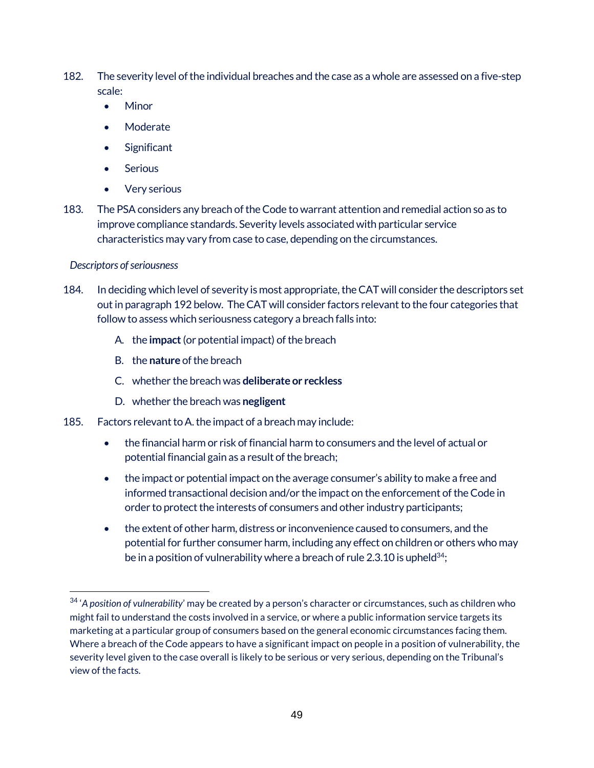- 182. The severity level of the individual breaches and the case as a whole are assessed on a five-step scale:
	- Minor
	- Moderate
	- Significant
	- Serious
	- Very serious
- 183. The PSAconsiders any breach of the Code to warrant attention and remedial action so as to improve compliance standards. Severity levels associated with particular service characteristics may vary from case to case, depending on the circumstances.

### *Descriptors of seriousness*

 $\overline{a}$ 

- 184. In deciding which level of severity is most appropriate, the CAT will consider the descriptors set out in paragraph 192 below. The CAT will consider factors relevant to the four categories that follow to assess which seriousness category a breach falls into:
	- A. the **impact** (or potential impact) of the breach
	- B. the **nature** of the breach
	- C. whether the breach was **deliberate or reckless**
	- D. whether the breach was **negligent**
- 185. Factors relevant to A. the impact of a breach may include:
	- the financial harm or risk of financial harm to consumers and the level of actual or potential financial gain as a result of the breach;
	- the impact or potential impact on the average consumer's ability to make a free and informed transactional decision and/or the impact on the enforcement of the Code in order to protect the interests of consumers and other industry participants;
	- the extent of other harm, distress or inconvenience caused to consumers, and the potential for further consumer harm, including any effect on children or others who may be in a position of vulnerability where a breach of rule 2.3.10 is upheld<sup>34</sup>;

<sup>34</sup> '*A position of vulnerability*' may be created by a person's character or circumstances, such as children who might fail to understand the costs involved in a service, or where a public information service targets its marketing at a particular group of consumers based on the general economic circumstances facing them. Where a breach of the Code appears to have a significant impact on people in a position of vulnerability, the severity level given to the case overall is likely to be serious or very serious, depending on the Tribunal's view of the facts.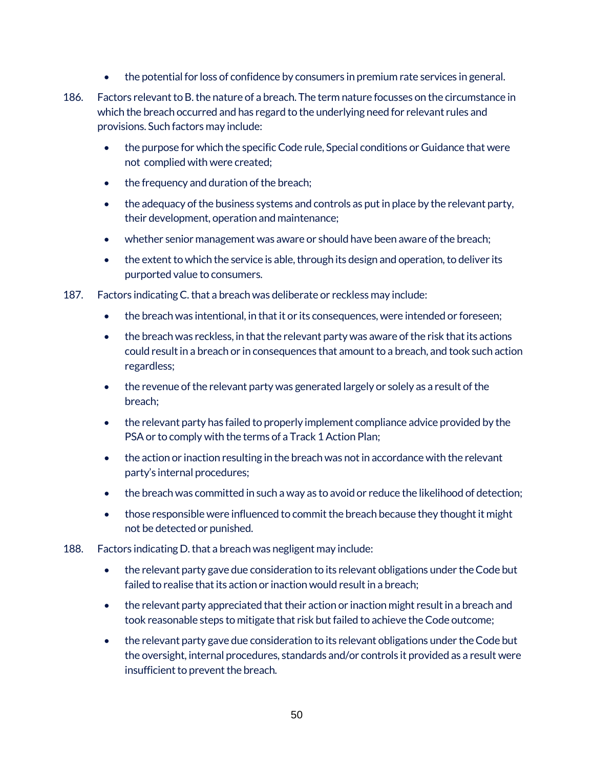- the potential for loss of confidence by consumers in premium rate services in general.
- 186. Factors relevant to B. the nature of a breach. The term nature focusses on the circumstance in which the breach occurred and has regard to the underlying need for relevant rules and provisions. Such factors may include:
	- the purpose for which the specific Code rule, Special conditions or Guidance that were not complied with were created;
	- the frequency and duration of the breach;
	- the adequacy of the business systems and controls as put in place by the relevant party, their development, operation and maintenance;
	- whether senior management was aware or should have been aware of the breach;
	- the extent to which the service is able, through its design and operation, to deliver its purported value to consumers.
- 187. Factors indicating C. that a breach was deliberate or reckless may include:
	- the breach was intentional, in that it or its consequences, were intended or foreseen;
	- the breach was reckless, in that the relevant party was aware of the risk that its actions could result in a breach or in consequences that amount to a breach, and took such action regardless;
	- the revenue of the relevant party was generated largely or solely as a result of the breach;
	- the relevant party has failed to properly implement compliance advice provided by the PSA or to comply with the terms of a Track 1 Action Plan;
	- the action or inaction resulting in the breach was not in accordance with the relevant party's internal procedures;
	- the breach was committed in such a way as to avoid or reduce the likelihood of detection;
	- those responsible were influenced to commit the breach because they thought it might not be detected or punished.
- 188. Factors indicating D. that a breach was negligent may include:
	- the relevant party gave due consideration to its relevant obligations under the Code but failed to realise that its action or inaction would result in a breach;
	- the relevant party appreciated that their action or inaction might result in a breach and took reasonable steps to mitigate that risk but failed to achieve the Code outcome;
	- the relevant party gave due consideration to its relevant obligations under the Code but the oversight, internal procedures, standards and/or controls it provided as a result were insufficient to prevent the breach.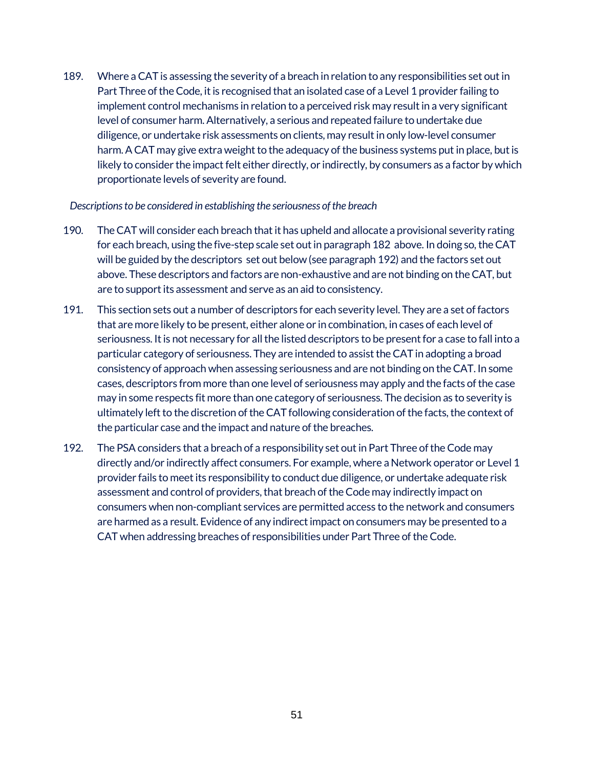189. Where a CAT is assessing the severity of a breach in relation to any responsibilities set out in Part Three of the Code, it is recognised that an isolated case of a Level 1 provider failing to implement control mechanisms in relation to a perceived risk may result in a very significant level of consumer harm. Alternatively, a serious and repeated failure to undertake due diligence, or undertake risk assessments on clients, may result in only low-level consumer harm. A CAT may give extra weight to the adequacy of the business systems put in place, but is likely to consider the impact felt either directly, or indirectly, by consumers as a factor by which proportionate levels of severity are found.

#### *Descriptions to be considered in establishing the seriousness of the breach*

- 190. The CAT will consider each breach that it has upheld and allocate a provisional severity rating for each breach, using the five-step scale set out in paragraph 182 above. In doing so, the CAT will be guided by the descriptors set out below (see paragraph 192) and the factors set out above. These descriptors and factors are non-exhaustive and are not binding on the CAT, but are to support its assessment and serve as an aid to consistency.
- 191. This section sets out a number of descriptors for each severity level. They are a set of factors that are more likely to be present, either alone or in combination, in cases of each level of seriousness. It is not necessary for all the listed descriptors to be present for a case to fall into a particular category of seriousness. They are intended to assist the CAT in adopting a broad consistency of approach when assessing seriousness and are not binding on the CAT. In some cases, descriptors from more than one level of seriousness may apply and the facts of the case may in some respects fit more than one category of seriousness. The decision as to severity is ultimately left to the discretion of the CAT following consideration of the facts, the context of the particular case and the impact and nature of the breaches.
- 192. The PSA considers that a breach of a responsibility set out in Part Three of the Code may directly and/or indirectly affect consumers. For example, where a Network operator or Level 1 provider fails to meet its responsibility to conduct due diligence, or undertake adequate risk assessment and control of providers, that breach of the Code may indirectly impact on consumers when non-compliant services are permitted access to the network and consumers are harmed as a result. Evidence of any indirect impact on consumers may be presented to a CAT when addressing breaches of responsibilities under Part Three of the Code.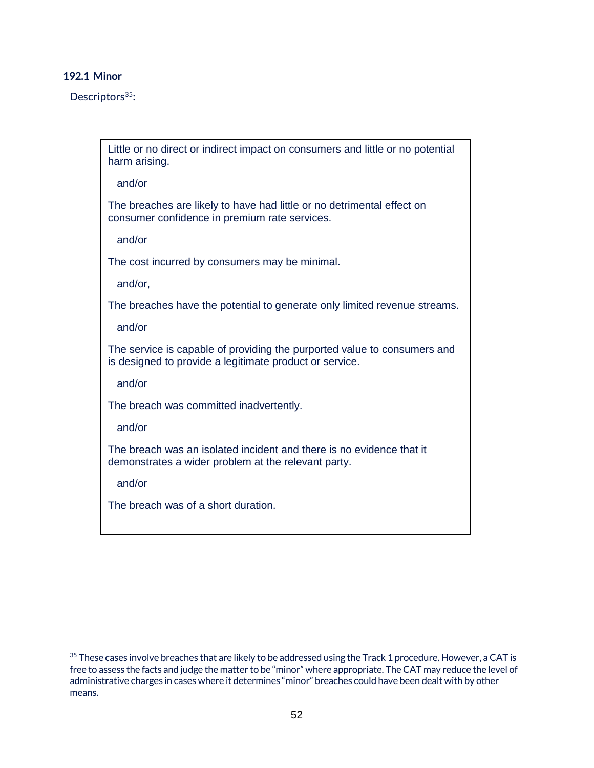#### **192.1 Minor**

Descriptors<sup>35</sup>:

Little or no direct or indirect impact on consumers and little or no potential harm arising.

and/or

The breaches are likely to have had little or no detrimental effect on consumer confidence in premium rate services.

and/or

The cost incurred by consumers may be minimal.

and/or,

The breaches have the potential to generate only limited revenue streams.

and/or

The service is capable of providing the purported value to consumers and is designed to provide a legitimate product or service.

and/or

The breach was committed inadvertently.

and/or

The breach was an isolated incident and there is no evidence that it demonstrates a wider problem at the relevant party.

and/or

The breach was of a short duration.

 $\overline{a}$ <sup>35</sup> These cases involve breaches that are likely to be addressed using the Track 1 procedure. However, a CAT is free to assess the facts and judge the matter to be "minor" where appropriate. The CAT may reduce the level of administrative charges in cases where it determines "minor" breaches could have been dealt with by other means.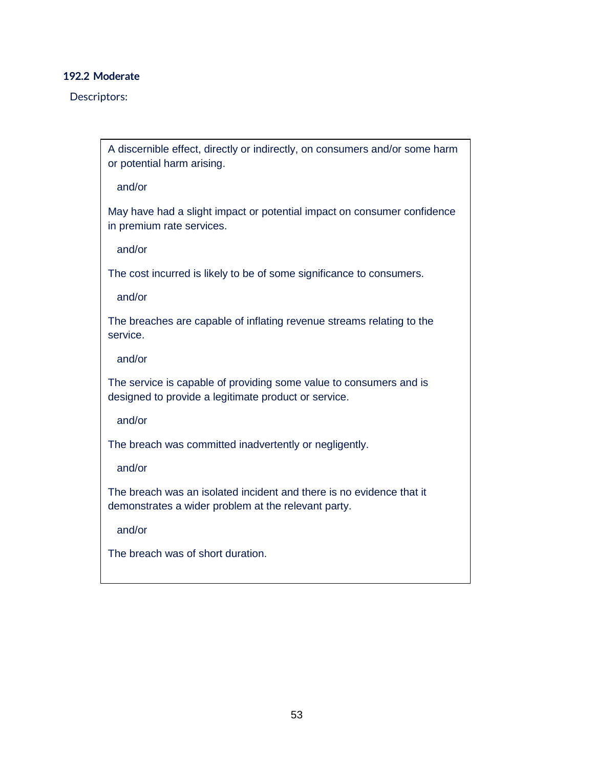### **192.2 Moderate**

Descriptors:

A discernible effect, directly or indirectly, on consumers and/or some harm or potential harm arising.

and/or

May have had a slight impact or potential impact on consumer confidence in premium rate services.

and/or

The cost incurred is likely to be of some significance to consumers.

and/or

The breaches are capable of inflating revenue streams relating to the service.

and/or

The service is capable of providing some value to consumers and is designed to provide a legitimate product or service.

and/or

The breach was committed inadvertently or negligently.

and/or

The breach was an isolated incident and there is no evidence that it demonstrates a wider problem at the relevant party.

and/or

The breach was of short duration.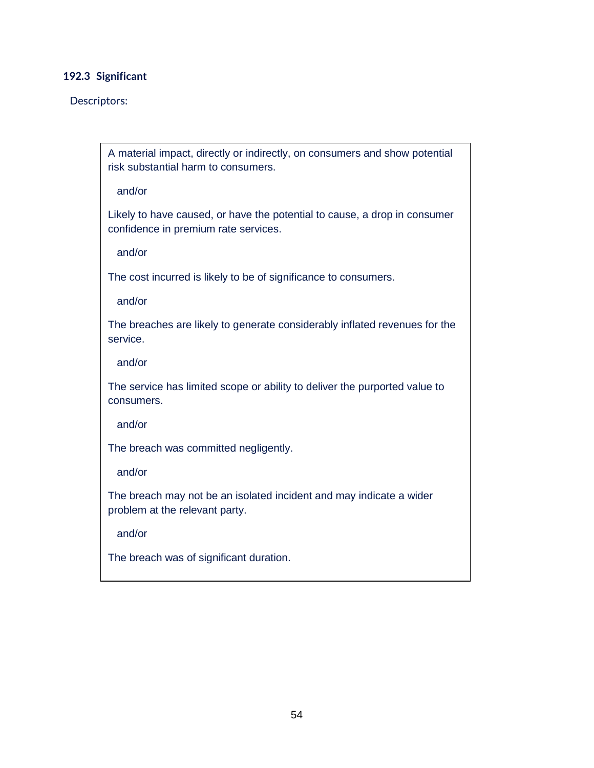### **192.3 Significant**

#### Descriptors:

A material impact, directly or indirectly, on consumers and show potential risk substantial harm to consumers.

#### and/or

Likely to have caused, or have the potential to cause, a drop in consumer confidence in premium rate services.

and/or

The cost incurred is likely to be of significance to consumers.

and/or

The breaches are likely to generate considerably inflated revenues for the service.

and/or

The service has limited scope or ability to deliver the purported value to consumers.

and/or

The breach was committed negligently.

and/or

The breach may not be an isolated incident and may indicate a wider problem at the relevant party.

and/or

The breach was of significant duration.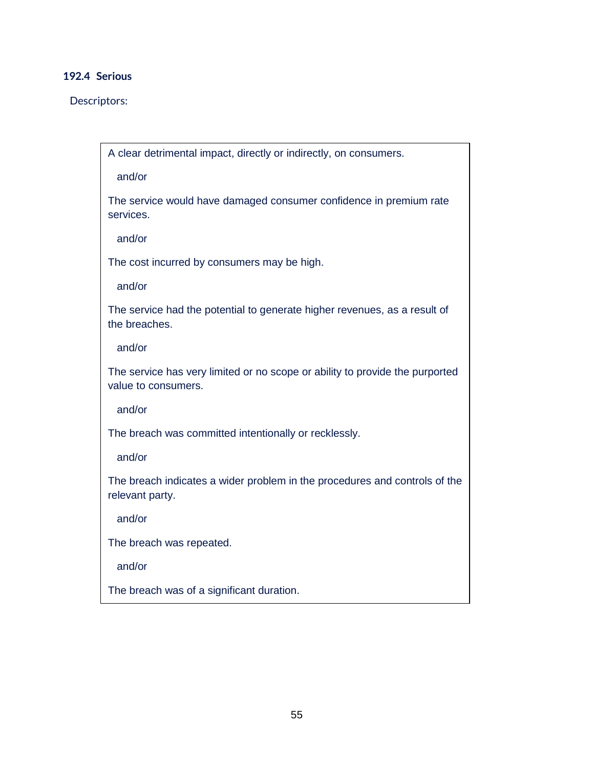# **192.4 Serious**

#### Descriptors:

A clear detrimental impact, directly or indirectly, on consumers.

and/or

The service would have damaged consumer confidence in premium rate services.

and/or

The cost incurred by consumers may be high.

and/or

The service had the potential to generate higher revenues, as a result of the breaches.

and/or

The service has very limited or no scope or ability to provide the purported value to consumers.

and/or

The breach was committed intentionally or recklessly.

and/or

The breach indicates a wider problem in the procedures and controls of the relevant party.

and/or

The breach was repeated.

and/or

The breach was of a significant duration.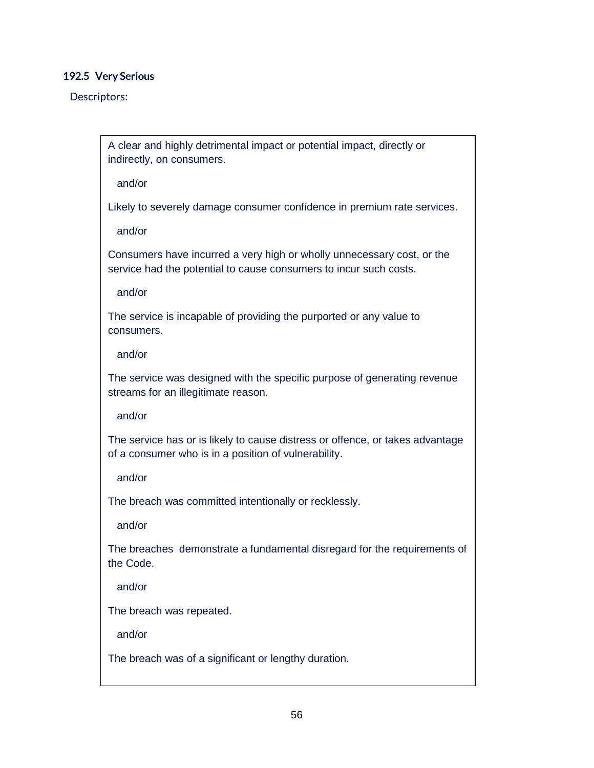#### **192.5 Very Serious**

#### Descriptors:

A clear and highly detrimental impact or potential impact, directly or indirectly, on consumers.

and/or

Likely to severely damage consumer confidence in premium rate services.

and/or

Consumers have incurred a very high or wholly unnecessary cost, or the service had the potential to cause consumers to incur such costs.

and/or

The service is incapable of providing the purported or any value to consumers.

and/or

The service was designed with the specific purpose of generating revenue streams for an illegitimate reason.

and/or

The service has or is likely to cause distress or offence, or takes advantage of a consumer who is in a position of vulnerability.

and/or

The breach was committed intentionally or recklessly.

and/or

The breaches demonstrate a fundamental disregard for the requirements of the Code.

and/or

The breach was repeated.

and/or

The breach was of a significant or lengthy duration.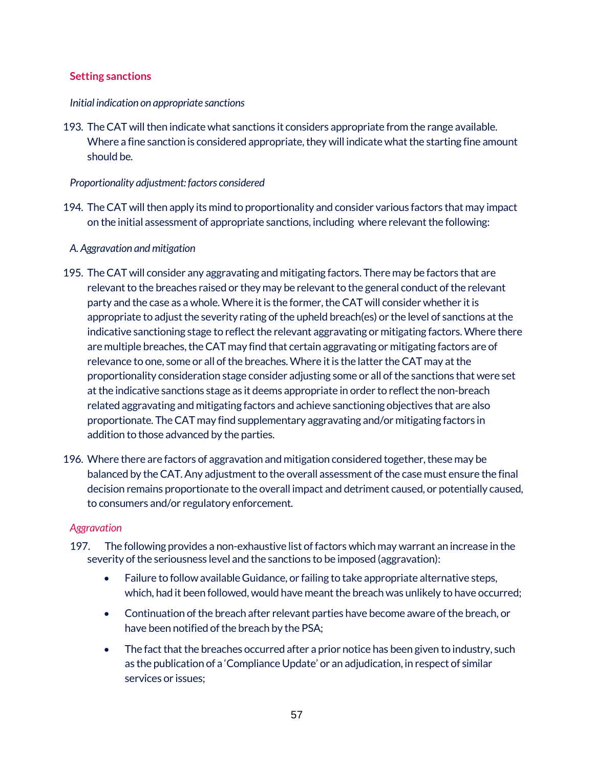## **Setting sanctions**

### *Initial indication on appropriate sanctions*

193. The CAT will then indicate what sanctions it considers appropriate from the range available. Where a fine sanction is considered appropriate, they will indicate what the starting fine amount should be.

## *Proportionality adjustment: factors considered*

194. The CAT will then apply its mind to proportionality and consider various factors that may impact on the initial assessment of appropriate sanctions, including where relevant the following:

## *A. Aggravation and mitigation*

- 195. The CAT will consider any aggravating and mitigating factors. There may be factors that are relevant to the breaches raised or they may be relevant to the general conduct of the relevant party and the case as a whole. Where it is the former, the CAT will consider whether it is appropriate to adjust the severity rating of the upheld breach(es) or the level of sanctions at the indicative sanctioning stage to reflect the relevant aggravating or mitigating factors. Where there are multiple breaches, the CAT may find that certain aggravating or mitigating factors are of relevance to one, some or all of the breaches.Where it is the latter the CAT may at the proportionality consideration stage consider adjusting some or all of the sanctions that were set at the indicative sanctions stage as it deems appropriate in order to reflect the non-breach related aggravating and mitigating factors and achieve sanctioning objectives that are also proportionate. The CAT may find supplementary aggravating and/or mitigating factors in addition to those advanced by the parties.
- 196. Where there are factors of aggravation and mitigation considered together, these may be balanced by the CAT. Any adjustment to the overall assessment of the case must ensure the final decision remains proportionate to the overall impact and detriment caused, or potentially caused, to consumers and/or regulatory enforcement.

# *Aggravation*

- 197. The following provides a non-exhaustive list of factors which may warrant an increase in the severity of the seriousness level and the sanctions to be imposed (aggravation):
	- Failure to follow available Guidance, or failing to take appropriate alternative steps, which, had it been followed, would have meant the breach was unlikely to have occurred;
	- Continuation of the breach after relevant parties have become aware of the breach, or have been notified of the breach by the PSA;
	- The fact that the breaches occurred after a prior notice has been given to industry, such as the publication of a 'Compliance Update' or an adjudication, in respect of similar services or issues;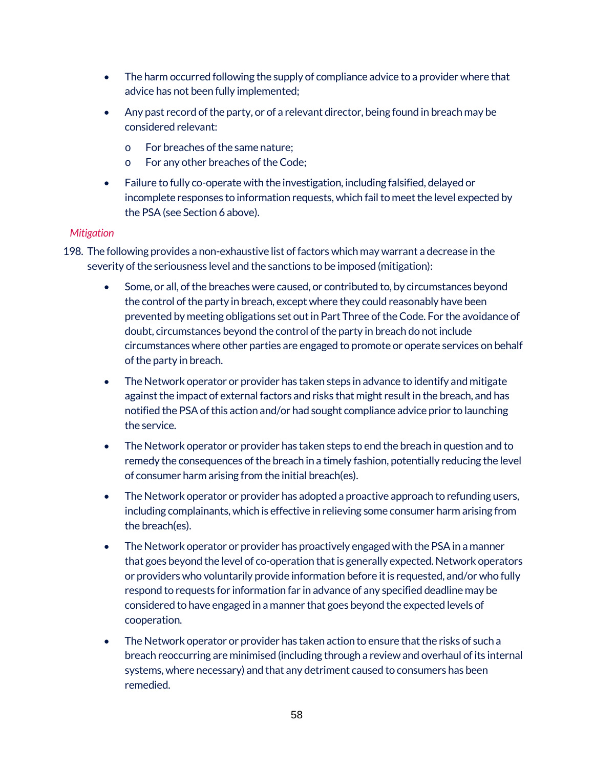- The harm occurred following the supply of compliance advice to a provider where that advice has not been fully implemented;
- Any past record of the party, or of a relevant director, being found in breach may be considered relevant:
	- o For breaches of the same nature;
	- o For any other breaches of the Code;
- Failure to fully co-operate with the investigation, including falsified, delayed or incomplete responses to information requests, which fail to meet the level expected by the PSA(see Section 6 above).

### *Mitigation*

- 198. The following provides a non-exhaustive list of factors which may warrant a decrease in the severity of the seriousness level and the sanctions to be imposed (mitigation):
	- Some, or all, of the breaches were caused, or contributed to, by circumstances beyond the control of the party in breach, except where they could reasonably have been prevented by meeting obligations set out in Part Three of the Code. For the avoidance of doubt, circumstances beyond the control of the party in breach do not include circumstances where other parties are engaged to promote or operate services on behalf of the party in breach.
	- The Network operator or provider has taken steps in advance to identify and mitigate against the impact of external factors and risks that might result in the breach, and has notified the PSAof this action and/or had sought compliance advice prior to launching the service.
	- The Network operator or provider has taken steps to end the breach in question and to remedy the consequences of the breach in a timely fashion, potentially reducing the level of consumer harm arising from the initial breach(es).
	- The Network operator or provider has adopted a proactive approach to refunding users, including complainants, which is effective in relieving some consumer harm arising from the breach(es).
	- The Network operator or provider has proactively engaged with the PSA in a manner that goes beyond the level of co-operation that is generally expected. Network operators or providers who voluntarily provide information before it is requested, and/or who fully respond to requests for information far in advance of any specified deadline may be considered to have engaged in a manner that goes beyond the expected levels of cooperation.
	- The Network operator or provider has taken action to ensure that the risks of such a breach reoccurring are minimised (including through a review and overhaul of its internal systems, where necessary) and that any detriment caused to consumers has been remedied.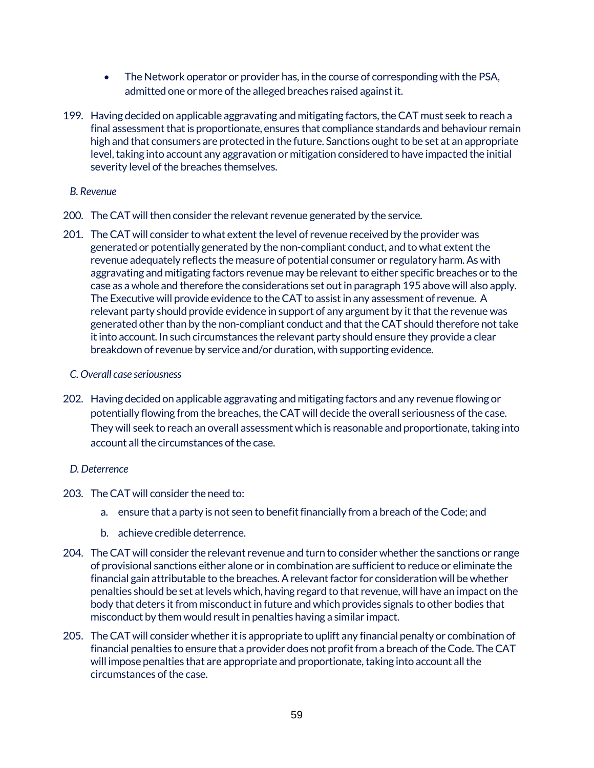- The Network operator or provider has, in the course of corresponding with the PSA, admitted one or more of the alleged breaches raised against it.
- 199. Having decided on applicable aggravating and mitigating factors, the CAT must seek to reach a final assessment that is proportionate, ensures that compliance standards and behaviour remain high and that consumers are protected in the future. Sanctions ought to be set at an appropriate level, taking into account any aggravation or mitigation considered to have impacted the initial severity level of the breaches themselves.

#### *B. Revenue*

- 200. The CAT will then consider the relevant revenue generated by the service.
- 201. The CAT will consider to what extent the level of revenue received by the provider was generated or potentially generated by the non-compliant conduct, and to what extent the revenue adequately reflects the measure of potential consumer or regulatory harm. As with aggravating and mitigating factors revenue may be relevant to either specific breaches or to the case as a whole and therefore the considerations set out in paragraph 195 above will also apply. The Executive will provide evidence to the CAT to assist in any assessment of revenue. A relevant party should provide evidence in support of any argument by it that the revenue was generated other than by the non-compliant conduct and that the CAT should therefore not take it into account. In such circumstances the relevant party should ensure they provide a clear breakdown of revenue by service and/or duration, with supporting evidence.

#### *C. Overall case seriousness*

202. Having decided on applicable aggravating and mitigating factors and any revenue flowing or potentially flowing from the breaches, the CAT will decide the overall seriousness of the case. They will seek to reach an overall assessment which is reasonable and proportionate, taking into account all the circumstances of the case.

### *D. Deterrence*

- 203. The CAT will consider the need to:
	- a. ensure that a party is not seen to benefit financially from a breach of the Code; and
	- b. achieve credible deterrence.
- 204. The CAT will consider the relevant revenue and turn to consider whether the sanctions or range of provisional sanctions either alone or in combination are sufficient to reduce or eliminate the financial gain attributable to the breaches. A relevant factor for consideration will be whether penalties should be set at levels which, having regard to that revenue, will have an impact on the body that deters it from misconduct in future and which provides signals to other bodies that misconduct by them would result in penalties having a similar impact.
- 205. The CAT will consider whether it is appropriate to uplift any financial penalty or combination of financial penalties to ensure that a provider does not profit from a breach of the Code. The CAT will impose penalties that are appropriate and proportionate, taking into account all the circumstances of the case.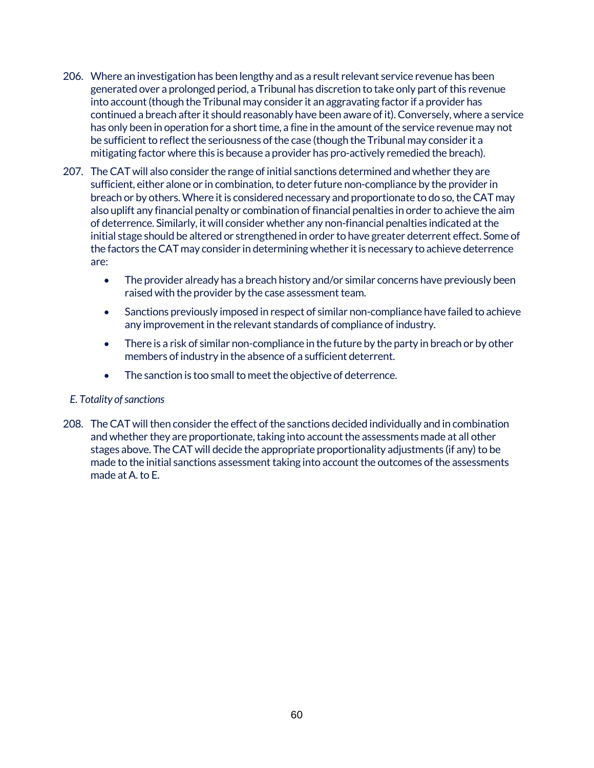- 206. Where an investigation has been lengthy and as a result relevant service revenue has been generated over a prolonged period, a Tribunal has discretion to take only part of this revenue into account (though the Tribunal may consider it an aggravating factor if a provider has continued a breach after it should reasonably have been aware of it). Conversely, where a service has only been in operation for a short time, a fine in the amount of the service revenue may not be sufficient to reflect the seriousness of the case (though the Tribunal may consider it a mitigating factor where this is because a provider has pro-actively remedied the breach).
- 207. The CAT will also consider the range of initial sanctions determined and whether they are sufficient, either alone or in combination, to deter future non-compliance by the provider in breach or by others. Where it is considered necessary and proportionate to do so, the CAT may also uplift any financial penalty or combination of financial penalties in order to achieve the aim of deterrence. Similarly, it will consider whether any non-financial penalties indicated at the initial stage should be altered or strengthened in order to have greater deterrent effect. Some of the factors the CAT may consider in determining whether it is necessary to achieve deterrence are:
	- The provider already has a breach history and/or similar concerns have previously been raised with the provider by the case assessment team.
	- Sanctions previously imposed in respect of similar non-compliance have failed to achieve any improvement in the relevant standards of compliance of industry.
	- There is a risk of similar non-compliance in the future by the party in breach or by other members of industry in the absence of a sufficient deterrent.
	- The sanction is too small to meet the objective of deterrence.

### *E. Totality of sanctions*

208. The CAT will then consider the effect of the sanctions decided individually and in combination and whether they are proportionate, taking into account the assessments made at all other stages above. The CAT will decide the appropriate proportionality adjustments (if any) to be made to the initial sanctions assessment taking into account the outcomes of the assessments made at A. to E.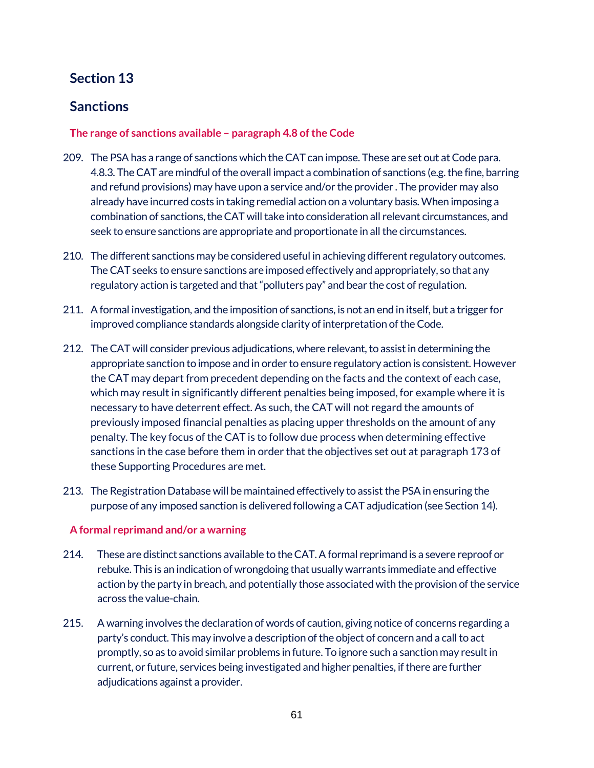# **Section 13**

# **Sanctions**

## **The range of sanctions available – paragraph 4.8 of the Code**

- 209. The PSAhas a range of sanctions which theCAT can impose. These are set out at Code para. 4.8.3. The CAT are mindful of the overall impact a combination of sanctions (e.g. the fine, barring and refund provisions) may have upon a service and/or the provider . The provider may also already have incurred costs in taking remedial action on a voluntary basis. When imposing a combination of sanctions, the CAT will take into consideration all relevant circumstances, and seek to ensure sanctions are appropriate and proportionate in all the circumstances.
- 210. The different sanctions may be considered useful in achieving different regulatory outcomes. The CAT seeks to ensure sanctions are imposed effectively and appropriately, so that any regulatory action is targeted and that "polluters pay" and bear the cost of regulation.
- 211. A formal investigation, and the imposition of sanctions, is not an end in itself, but a trigger for improved compliance standards alongside clarity of interpretation of the Code.
- 212. The CAT will consider previous adjudications, where relevant, to assist in determining the appropriate sanction to impose and in order to ensure regulatory action is consistent. However the CAT may depart from precedent depending on the facts and the context of each case, which may result in significantly different penalties being imposed, for example where it is necessary to have deterrent effect. As such, the CAT will not regard the amounts of previously imposed financial penalties as placing upper thresholds on the amount of any penalty. The key focus of the CAT is to follow due process when determining effective sanctions in the case before them in order that the objectives set out at paragraph 173 of these Supporting Procedures are met.
- 213. The Registration Database will be maintained effectively to assist the PSA in ensuring the purpose of any imposed sanction is delivered following a CAT adjudication (see Section 14).

### **A formal reprimand and/or a warning**

- 214. These are distinct sanctions available to the CAT. A formal reprimand is a severe reproof or rebuke. This is an indication of wrongdoing that usually warrants immediate and effective action by the party in breach, and potentially those associated with the provision of the service across the value-chain.
- 215. A warning involves the declaration of words of caution, giving notice of concerns regarding a party's conduct. This may involve a description of the object of concern and a call to act promptly, so as to avoid similar problems in future. To ignore such a sanction may result in current, or future, services being investigated and higher penalties, if there are further adjudications against a provider.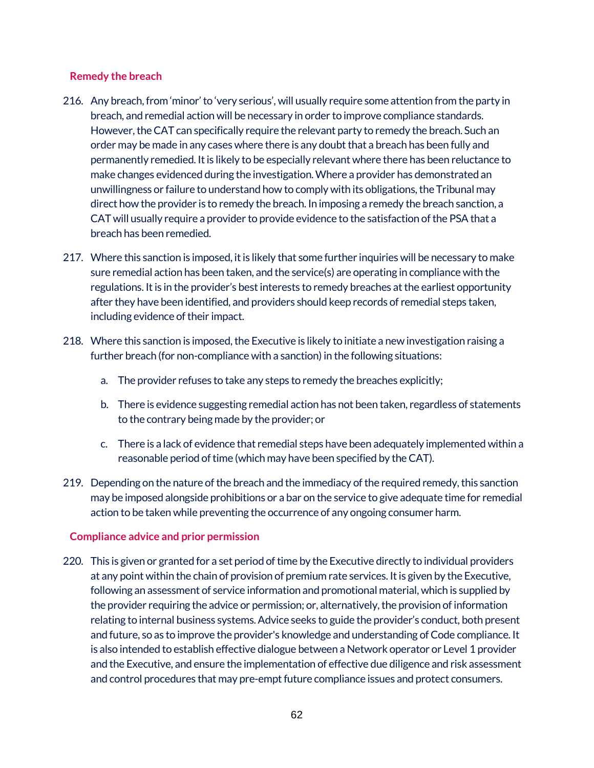## **Remedy the breach**

- 216. Any breach, from 'minor' to 'very serious', will usually require some attention from the party in breach, and remedial action will be necessary in order to improve compliance standards. However, the CAT can specifically require the relevant party to remedy the breach. Such an order may be made in any cases where there is any doubt that a breach has been fully and permanently remedied. It is likely to be especially relevant where there has been reluctance to make changes evidenced during the investigation.Where a provider has demonstrated an unwillingness or failure to understand how to comply with its obligations, the Tribunal may direct how the provider is to remedy the breach. In imposing a remedy the breach sanction, a CAT will usually require a provider to provide evidence to the satisfaction of the PSA that a breach has been remedied.
- 217. Where this sanction is imposed, it is likely that some further inquiries will be necessary to make sure remedial action has been taken, and the service(s) are operating in compliance with the regulations. It is in the provider's best interests to remedy breaches at the earliest opportunity after they have been identified, and providers should keep records of remedial steps taken, including evidence of their impact.
- 218. Where this sanction is imposed, the Executive is likely to initiate a new investigation raising a further breach (for non-compliance with a sanction) in the following situations:
	- a. The provider refuses to take any steps to remedy the breaches explicitly;
	- b. There is evidence suggesting remedial action has not been taken, regardless of statements to the contrary being made by the provider; or
	- c. There is a lack of evidence that remedial steps have been adequately implemented within a reasonable period of time (which may have been specified by the CAT).
- 219. Depending on the nature of the breach and the immediacy of the required remedy, this sanction may be imposed alongside prohibitions or a bar on the service to give adequate time for remedial action to be taken while preventing the occurrence of any ongoing consumer harm.

### **Compliance advice and prior permission**

220. This is given or granted for a set period of time by the Executive directly to individual providers at any point within the chain of provision of premium rate services. It is given by the Executive, following an assessment of service information and promotional material, which is supplied by the provider requiring the advice or permission; or, alternatively, the provision of information relating to internal business systems. Advice seeks to guide the provider's conduct, both present and future, so as to improve the provider's knowledge and understanding of Code compliance. It is also intended to establish effective dialogue between a Network operator or Level 1 provider and the Executive, and ensure the implementation of effective due diligence and risk assessment and control procedures that may pre-empt future compliance issues and protect consumers.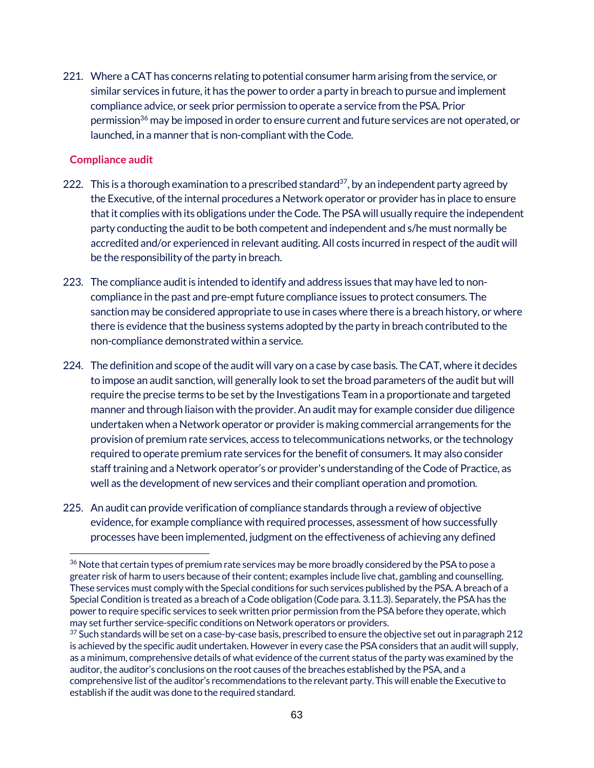221. Where a CAT has concerns relating to potential consumer harm arising from the service, or similar services in future, it has the power to order a party in breach to pursue and implement compliance advice, or seek prior permission to operate a service from the PSA. Prior permission<sup>36</sup> may be imposed in order to ensure current and future services are not operated, or launched, in a manner that is non-compliant with the Code.

### **Compliance audit**

- 222. This is a thorough examination to a prescribed standard<sup>37</sup>, by an independent party agreed by the Executive, of the internal procedures a Network operator or provider has in place to ensure that it complies with its obligations under the Code. The PSA will usually require the independent party conducting the audit to be both competent and independent and s/he must normally be accredited and/or experienced in relevant auditing. All costs incurred in respect of the audit will be the responsibility of the party in breach.
- 223. The compliance audit is intended to identify and address issues that may have led to noncompliance in the past and pre-empt future compliance issues to protect consumers. The sanction may be considered appropriate to use in cases where there is a breach history, or where there is evidence that the business systems adopted by the party in breach contributed to the non-compliance demonstrated within a service.
- 224. The definition and scope of the audit will vary on a case by case basis. The CAT, where it decides to impose an audit sanction, will generally look to set the broad parameters of the audit but will require the precise terms to be set by the Investigations Team in a proportionate and targeted manner and through liaison with the provider. An audit may for example consider due diligence undertaken when a Network operator or provider is making commercial arrangements for the provision of premium rate services, access to telecommunications networks, or the technology required to operate premium rate services for the benefit of consumers. It may also consider staff training and a Network operator's or provider's understanding of the Code of Practice, as well as the development of new services and their compliant operation and promotion.
- 225. An audit can provide verification of compliance standards through a review of objective evidence, for example compliance with required processes, assessment of how successfully processes have been implemented, judgment on the effectiveness of achieving any defined

 $\overline{a}$ <sup>36</sup> Note that certain types of premium rate services may be more broadly considered by the PSA to pose a greater risk of harm to users because of their content; examples include live chat, gambling and counselling. These services must comply with the Special conditions for such services published by the PSA. A breach of a Special Condition is treated as a breach of a Code obligation (Code para. 3.11.3). Separately, the PSAhas the power to require specific services to seek written prior permission from the PSAbefore they operate, which may set further service-specific conditions on Network operators or providers.

 $37$  Such standards will be set on a case-by-case basis, prescribed to ensure the objective set out in paragraph 212 is achieved by the specific audit undertaken. However in every case the PSAconsiders that an audit will supply, as a minimum, comprehensive details of what evidence of the current status of the party was examined by the auditor, the auditor's conclusions on the root causes of the breaches established by the PSA, and a comprehensive list of the auditor's recommendations to the relevant party. This will enable the Executive to establish if the audit was done to the required standard.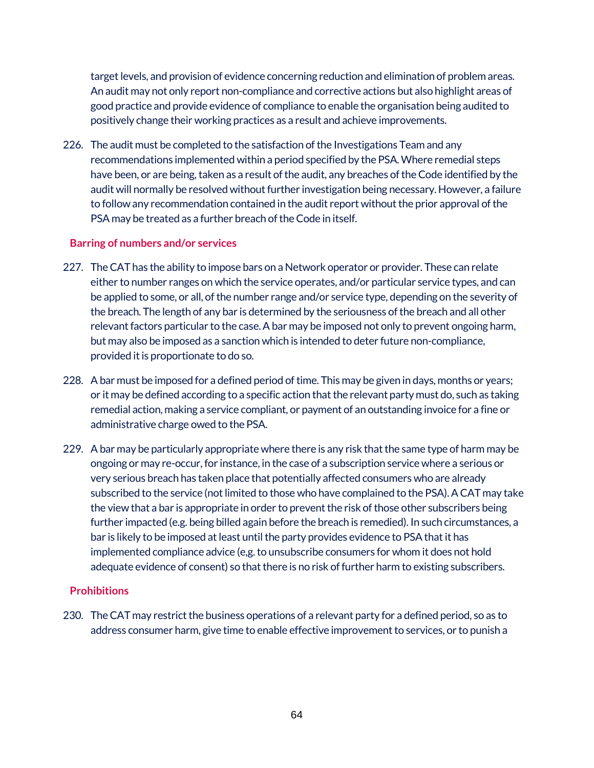target levels, and provision of evidence concerning reduction and elimination of problem areas. An audit may not only report non-compliance and corrective actions but also highlight areas of good practice and provide evidence of compliance to enable the organisation being audited to positively change their working practices as a result and achieve improvements.

226. The audit must be completed to the satisfaction of the Investigations Team and any recommendations implemented within a period specified by the PSA. Where remedial steps have been, or are being, taken as a result of the audit, any breaches of the Code identified by the audit will normally be resolved without further investigation being necessary. However, a failure to follow any recommendation contained in the audit report without the prior approval of the PSA may be treated as a further breach of the Code in itself.

#### **Barring of numbers and/or services**

- 227. The CAT has the ability to impose bars on a Network operator or provider. These can relate either to number ranges on which the service operates, and/or particular service types, and can be applied to some, or all, of the number range and/or service type, depending on the severity of the breach. The length of any bar is determined by the seriousness of the breach and all other relevant factors particular to the case. A bar may be imposed not only to prevent ongoing harm, but may also be imposed as a sanction which is intended to deter future non-compliance, provided it is proportionate to do so.
- 228. A bar must be imposed for a defined period of time. This may be given in days, months or years; or it may be defined according to a specific action that the relevant party must do, such as taking remedial action, making a service compliant, or payment of an outstanding invoice for a fine or administrative charge owed to the PSA.
- 229. A bar may be particularly appropriate where there is any risk that the same type of harm may be ongoing or may re-occur, for instance, in the case of a subscription service where a serious or very serious breach has taken place that potentially affected consumers who are already subscribed to the service (not limited to those who have complained to the PSA). A CAT may take the view that a bar is appropriate in order to prevent the risk of those other subscribers being further impacted (e.g. being billed again before the breach is remedied). In such circumstances, a bar is likely to be imposed at least until the party provides evidence to PSA that it has implemented compliance advice (e,g. to unsubscribe consumers for whom it does not hold adequate evidence of consent) so that there is no risk of further harm to existing subscribers.

### **Prohibitions**

230. The CAT may restrict the business operations of a relevant party for a defined period, so as to address consumer harm, give time to enable effective improvement to services, or to punish a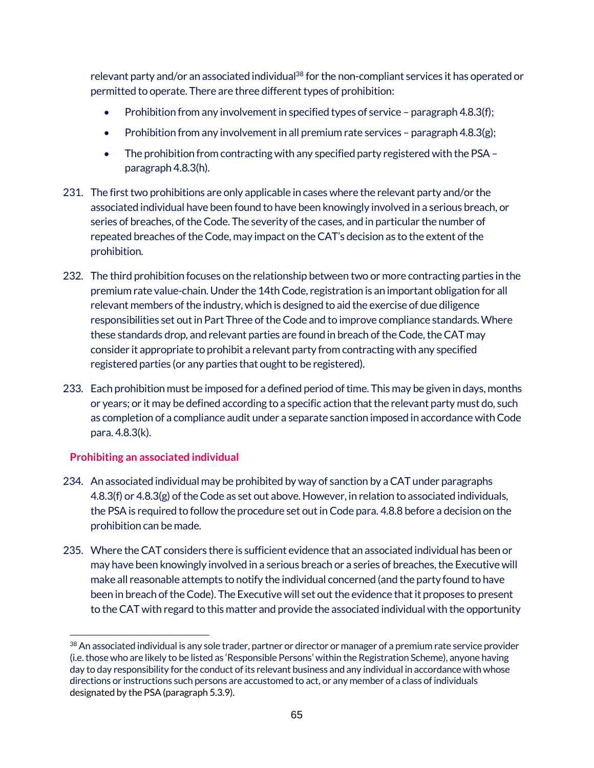relevant party and/or an associated individual<sup>38</sup> for the non-compliant services it has operated or permitted to operate. There are three different types of prohibition:

- Prohibition from any involvement in specified types of service paragraph 4.8.3(f);
- Prohibition from any involvement in all premium rate services paragraph 4.8.3(g);
- The prohibition from contracting with any specified party registered with the PSA– paragraph 4.8.3(h).
- 231. The first two prohibitions are only applicable in cases where the relevant party and/or the associated individual have been found to have been knowingly involved in a serious breach, or series of breaches, of the Code. The severity of the cases, and in particular the number of repeated breaches of the Code, may impact on the CAT's decision as to the extent of the prohibition.
- 232. The third prohibition focuses on the relationship between two or more contracting parties in the premium rate value-chain. Under the 14th Code, registration is an important obligation for all relevant members of the industry, which is designed to aid the exercise of due diligence responsibilities set out in Part Three of the Code and to improve compliance standards. Where these standards drop, and relevant parties are found in breach of the Code, the CAT may consider it appropriate to prohibit a relevant party from contracting with any specified registered parties (or any parties that ought to be registered).
- 233. Each prohibition must be imposed for a defined period of time. This may be given in days, months or years; or it may be defined according to a specific action that the relevant party must do, such as completion of a compliance audit under a separate sanction imposed in accordance with Code para. 4.8.3(k).

# **Prohibiting an associated individual**

- 234. An associated individual may be prohibited by way of sanction by a CAT under paragraphs 4.8.3(f) or 4.8.3(g) of the Code as set out above. However, in relation to associated individuals, the PSA is required to follow the procedure set out in Code para. 4.8.8 before a decision on the prohibition can be made.
- 235. Where the CAT considers there is sufficient evidence that an associated individual has been or may have been knowingly involved in a serious breach or a series of breaches, the Executive will make all reasonable attempts to notify the individual concerned (and the party found to have been in breach of the Code). The Executive will set out the evidence that it proposes to present to the CAT with regard to this matter and provide the associated individual with the opportunity

 $\overline{a}$ <sup>38</sup> An associated individual is any sole trader, partner or director or manager of a premium rate service provider (i.e. those who are likely to be listed as 'Responsible Persons' within the Registration Scheme), anyone having day to day responsibility for the conduct of its relevant business and any individual in accordance with whose directions or instructions such persons are accustomed to act, or any member of a class of individuals designated by the PSA(paragraph 5.3.9).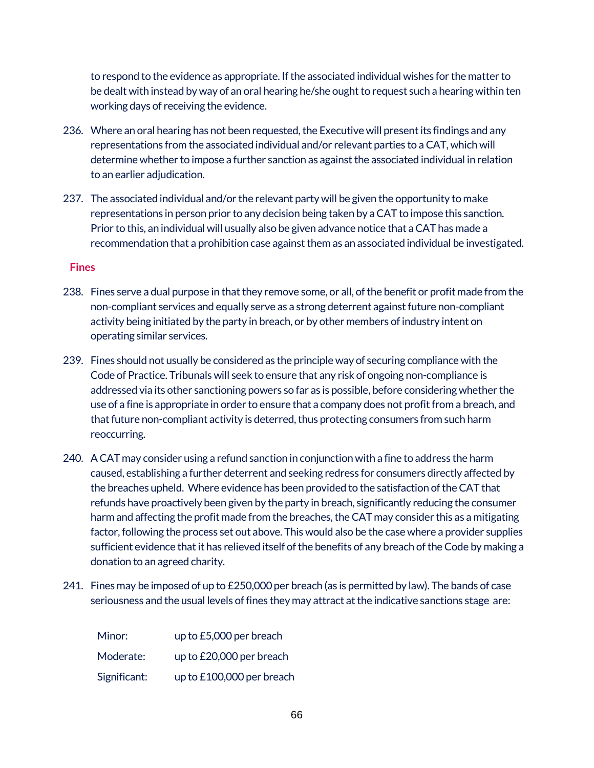to respond to the evidence as appropriate. If the associated individual wishes for the matter to be dealt with instead by way of an oral hearing he/she ought to request such a hearing within ten working days of receiving the evidence.

- 236. Where an oral hearing has not been requested, the Executive will present its findings and any representations from the associated individual and/or relevant parties to a CAT, which will determine whether to impose a further sanction as against the associated individual in relation to an earlier adjudication.
- 237. The associated individual and/or the relevant party will be given the opportunity to make representations in person prior to any decision being taken by a CAT to impose this sanction. Prior to this, an individual will usually also be given advance notice that a CAT has made a recommendation that a prohibition case against them as an associated individual be investigated.

#### **Fines**

- 238. Fines serve a dual purpose in that they remove some, or all, of the benefit or profit made from the non-compliant services and equally serve as a strong deterrent against future non-compliant activity being initiated by the party in breach, or by other members of industry intent on operating similar services.
- 239. Fines should not usually be considered as the principle way of securing compliance with the Code of Practice. Tribunals will seek to ensure that any risk of ongoing non-compliance is addressed via its other sanctioning powers so far as is possible, before considering whether the use of a fine is appropriate in order to ensure that a company does not profit from a breach, and that future non-compliant activity is deterred, thus protecting consumers from such harm reoccurring.
- 240. A CAT may consider using a refund sanction in conjunction with a fine to address the harm caused, establishing a further deterrent and seeking redress for consumers directly affected by the breaches upheld. Where evidence has been provided to the satisfaction of the CAT that refunds have proactively been given by the party in breach, significantly reducing the consumer harm and affecting the profit made from the breaches, the CAT may consider this as a mitigating factor, following the process set out above. This would also be the case where a provider supplies sufficient evidence that it has relieved itself of the benefits of any breach of the Code by making a donation to an agreed charity.
- 241. Fines may be imposed of up to £250,000 per breach (as is permitted by law). The bands of case seriousness and the usual levels of fines they may attract at the indicative sanctions stage are:

| Minor:       | up to £5,000 per breach   |
|--------------|---------------------------|
| Moderate:    | up to £20,000 per breach  |
| Significant: | up to £100,000 per breach |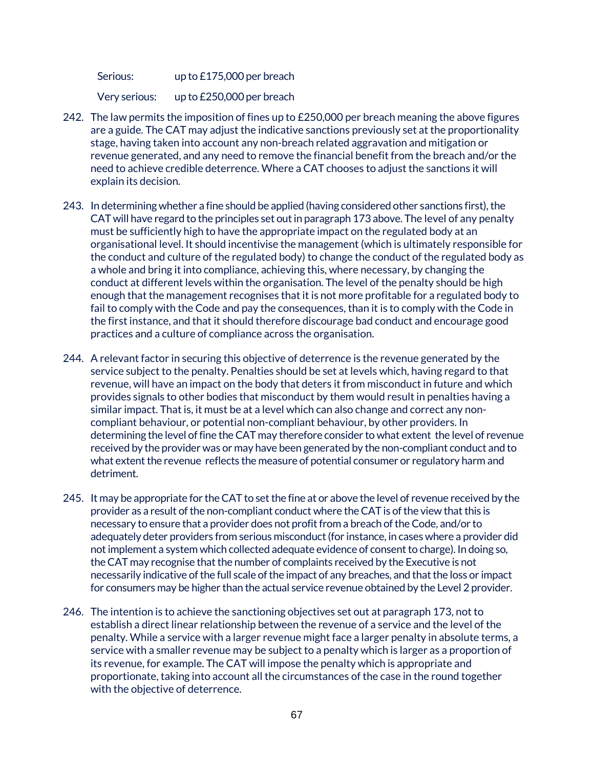Serious: up to £175,000 per breach

Very serious: up to £250,000 per breach

- 242. The law permits the imposition of fines up to  $£250,000$  per breach meaning the above figures are a guide. The CAT may adjust the indicative sanctions previously set at the proportionality stage, having taken into account any non-breach related aggravation and mitigation or revenue generated, and any need to remove the financial benefit from the breach and/or the need to achieve credible deterrence. Where a CAT chooses to adjust the sanctions it will explain its decision.
- 243. In determining whether a fine should be applied (having considered other sanctions first), the CAT will have regard to the principles set out in paragraph 173 above. The level of any penalty must be sufficiently high to have the appropriate impact on the regulated body at an organisational level. It should incentivise the management (which is ultimately responsible for the conduct and culture of the regulated body) to change the conduct of the regulated body as a whole and bring it into compliance, achieving this, where necessary, by changing the conduct at different levels within the organisation. The level of the penalty should be high enough that the management recognises that it is not more profitable for a regulated body to fail to comply with the Code and pay the consequences, than it is to comply with the Code in the first instance, and that it should therefore discourage bad conduct and encourage good practices and a culture of compliance across the organisation.
- 244. A relevant factor in securing this objective of deterrence is the revenue generated by the service subject to the penalty. Penalties should be set at levels which, having regard to that revenue, will have an impact on the body that deters it from misconduct in future and which provides signals to other bodies that misconduct by them would result in penalties having a similar impact. That is, it must be at a level which can also change and correct any noncompliant behaviour, or potential non-compliant behaviour, by other providers. In determining the level of fine the CAT may therefore consider to what extent the level of revenue received by the provider was or may have been generated by the non-compliant conduct and to what extent the revenue reflects the measure of potential consumer or regulatory harm and detriment.
- 245. It may be appropriate for the CAT to set the fine at or above the level of revenue received by the provider as a result of the non-compliant conduct where the CAT is of the view that this is necessary to ensure that a provider does not profit from a breach of the Code, and/or to adequately deter providers from serious misconduct (for instance, in cases where a provider did not implement a system which collected adequate evidence of consent to charge). In doing so, the CAT may recognise that the number of complaints received by the Executive is not necessarily indicative of the full scale of the impact of any breaches, and that the loss or impact for consumers may be higher than the actual service revenue obtained by the Level 2 provider.
- 246. The intention is to achieve the sanctioning objectives set out at paragraph 173, not to establish a direct linear relationship between the revenue of a service and the level of the penalty. While a service with a larger revenue might face a larger penalty in absolute terms, a service with a smaller revenue may be subject to a penalty which is larger as a proportion of its revenue, for example. The CAT will impose the penalty which is appropriate and proportionate, taking into account all the circumstances of the case in the round together with the objective of deterrence.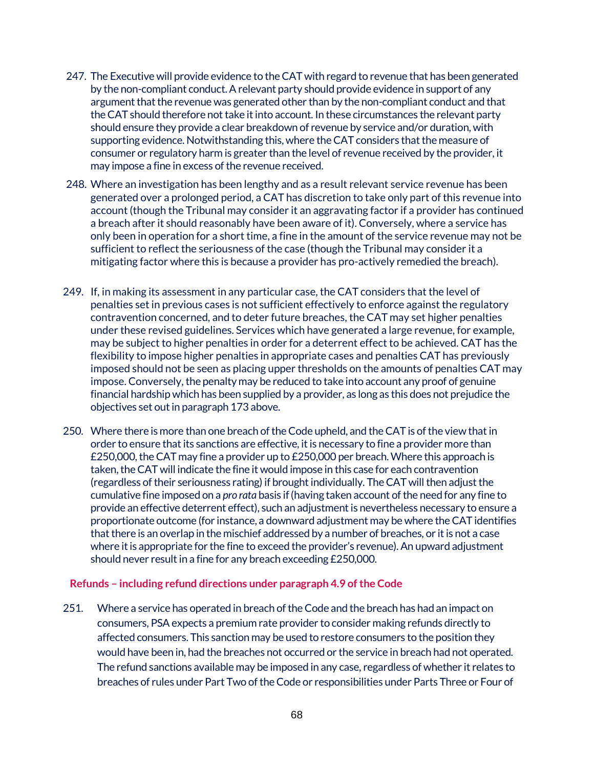- 247. The Executive will provide evidence to the CAT with regard to revenue that has been generated by the non-compliant conduct. A relevant party should provide evidence in support of any argument that the revenue was generated other than by the non-compliant conduct and that the CAT should therefore not take it into account. In these circumstances the relevant party should ensure they provide a clear breakdown of revenue by service and/or duration, with supporting evidence. Notwithstanding this, where the CAT considers that the measure of consumer or regulatory harm is greater than the level of revenue received by the provider, it may impose a fine in excess of the revenue received.
- 248. Where an investigation has been lengthy and as a result relevant service revenue has been generated over a prolonged period, a CAT has discretion to take only part of this revenue into account (though the Tribunal may consider it an aggravating factor if a provider has continued a breach after it should reasonably have been aware of it). Conversely, where a service has only been in operation for a short time, a fine in the amount of the service revenue may not be sufficient to reflect the seriousness of the case (though the Tribunal may consider it a mitigating factor where this is because a provider has pro-actively remedied the breach).
- 249. If, in making its assessment in any particular case, the CAT considers that the level of penalties set in previous cases is not sufficient effectively to enforce against the regulatory contravention concerned, and to deter future breaches, the CAT may set higher penalties under these revised guidelines. Services which have generated a large revenue, for example, may be subject to higher penalties in order for a deterrent effect to be achieved. CAT has the flexibility to impose higher penalties in appropriate cases and penalties CAT has previously imposed should not be seen as placing upper thresholds on the amounts of penalties CAT may impose. Conversely, the penalty may be reduced to take into account any proof of genuine financial hardship which has been supplied by a provider, as long as this does not prejudice the objectives set out in paragraph 173 above.
- 250. Where there is more than one breach of the Code upheld, and the CAT is of the view that in order to ensure that its sanctions are effective, it is necessary to fine a provider more than £250,000, the CAT may fine a provider up to £250,000 per breach. Where this approach is taken, the CAT will indicate the fine it would impose in this case for each contravention (regardless of their seriousness rating) if brought individually. The CAT will then adjustthe cumulative fine imposed on a *pro rata* basis if (having taken account of the need for any fine to provide an effective deterrent effect), such an adjustmentis nevertheless necessary to ensure a proportionate outcome (for instance, a downward adjustment may be where the CAT identifies that there is an overlap in the mischief addressed by a number of breaches, or it is not a case where it is appropriate for the fine to exceed the provider's revenue). An upward adjustment should never result in a fine for any breach exceeding £250,000.

#### **Refunds – including refund directions under paragraph 4.9 of the Code**

251. Where a service has operated in breach of the Code and the breach has had an impact on consumers, PSAexpects a premium rate provider to consider making refunds directly to affected consumers. This sanction may be used to restore consumers to the position they would have been in, had the breaches not occurred or the service in breach had not operated. The refund sanctions available may be imposed in any case, regardless of whether it relates to breaches of rules under Part Two of the Code or responsibilities under Parts Three or Four of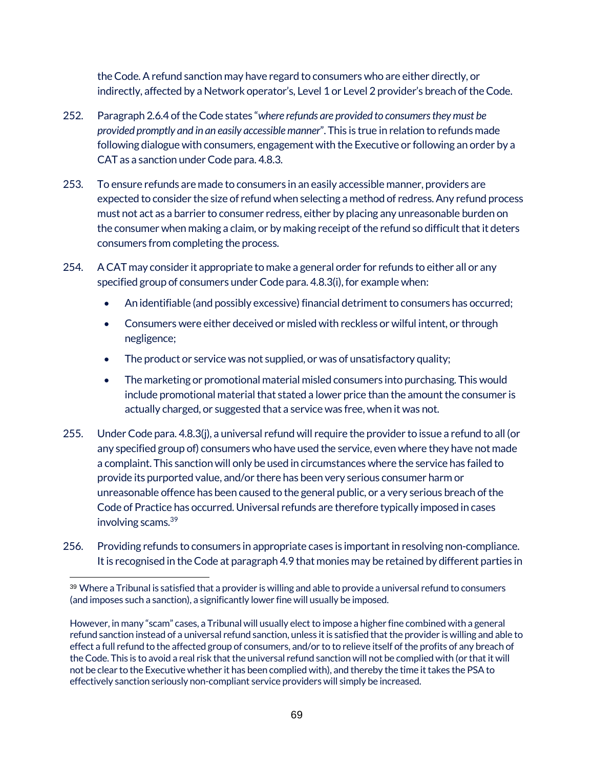the Code. A refund sanction may have regard to consumers who are either directly, or indirectly, affected by a Network operator's, Level 1 or Level 2 provider's breach of the Code.

- 252. Paragraph 2.6.4 of the Code states "*where refunds are provided to consumers they must be provided promptly and in an easily accessible manner*". This is true in relation to refunds made following dialogue with consumers, engagement with the Executive or following an order by a CAT as a sanction under Code para. 4.8.3.
- 253. To ensure refunds are made to consumers in an easily accessible manner, providers are expected to consider the size of refund when selecting a method of redress. Any refund process must not act as a barrier to consumer redress, either by placing any unreasonable burden on the consumer when making a claim, or by making receipt of the refund so difficult that it deters consumers from completing the process.
- 254. A CAT may consider it appropriate to make a general order for refunds to either all or any specified group of consumers under Code para. 4.8.3(i), for example when:
	- An identifiable (and possibly excessive) financial detriment to consumers has occurred;
	- Consumers were either deceived or misled with reckless or wilful intent, or through negligence;
	- The product or service was not supplied, or was of unsatisfactory quality;
	- The marketing or promotional material misled consumers into purchasing. This would include promotional material that stated a lower price than the amount the consumer is actually charged, or suggested that a service was free, when it was not.
- 255. Under Code para. 4.8.3(j), a universal refund will require the provider to issue a refund to all (or any specified group of) consumers who have used the service, even where they have not made a complaint. This sanction will only be used in circumstances where the service has failed to provide its purported value, and/or there has been very serious consumer harm or unreasonable offence has been caused to the general public, or a very serious breach of the Code of Practice has occurred. Universal refunds are therefore typically imposed in cases involving scams.39
- 256. Providing refunds to consumers in appropriate cases is important in resolving non-compliance. It is recognised in the Code at paragraph 4.9 that monies may be retained by different parties in

 <sup>39</sup> Where a Tribunal is satisfied that a provider is willing and able to provide a universal refund to consumers (and imposes such a sanction), a significantly lower fine will usually be imposed.

However, in many "scam" cases, a Tribunal will usually elect to impose a higher fine combined with a general refund sanction instead of a universal refund sanction, unless it is satisfied that the provider is willing and able to effect a full refund to the affected group of consumers, and/or to to relieve itself ofthe profits of any breach of the Code. This is to avoid a real risk that the universal refund sanction will not be complied with (or that it will not be clear to the Executive whether it has been complied with), and thereby the time it takes the PSA to effectively sanction seriously non-compliant service providers will simply be increased.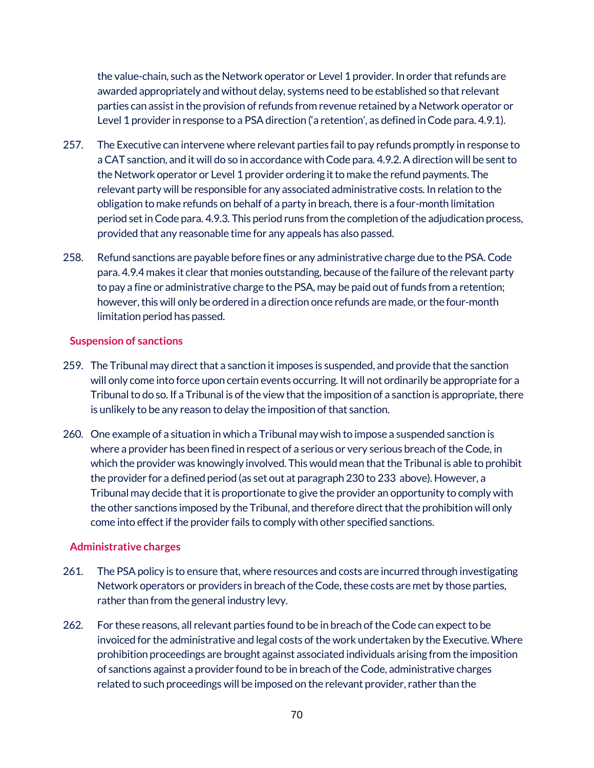the value-chain, such as the Network operator or Level 1 provider. In order that refunds are awarded appropriately and without delay, systems need to be established so that relevant parties can assist in the provision of refunds from revenue retained by a Network operator or Level 1 provider in response to a PSA direction ('a retention', as defined in Code para. 4.9.1).

- 257. The Executive can intervene where relevant parties fail to pay refunds promptly in response to a CAT sanction, and it will do so in accordance with Code para. 4.9.2. A direction will be sent to the Network operator or Level 1 provider ordering it to make the refund payments. The relevant party will be responsible for any associated administrative costs. In relation to the obligation to make refunds on behalf of a party in breach, there is a four-month limitation period set in Code para. 4.9.3. This period runs from the completion of the adjudication process, provided that any reasonable time for any appeals has also passed.
- 258. Refund sanctions are payable before fines or any administrative charge due to the PSA. Code para. 4.9.4 makes it clear that monies outstanding, because of the failure of the relevant party to pay a fine or administrative charge to the PSA, may be paid out of funds from a retention; however, this will only be ordered in a direction once refunds are made, or the four-month limitation period has passed.

#### **Suspension of sanctions**

- 259. The Tribunal may direct that a sanction it imposes is suspended, and provide that the sanction will only come into force upon certain events occurring. It will not ordinarily be appropriate for a Tribunal to do so. If a Tribunal is of the view that the imposition of a sanction is appropriate, there is unlikely to be any reason to delay the imposition of that sanction.
- 260. One example of a situation in which a Tribunal may wish to impose a suspended sanction is where a provider has been fined in respect of a serious or very serious breach of the Code, in which the provider was knowingly involved. This would mean that the Tribunal is able to prohibit the provider for a defined period (as set out at paragraph 230 to 233 above). However, a Tribunal may decide that it is proportionate to give the provider an opportunity to comply with the other sanctions imposed by the Tribunal, and therefore direct that the prohibition will only come into effect if the provider fails to comply with other specified sanctions.

### **Administrative charges**

- 261. The PSA policy is to ensure that, where resources and costs are incurred through investigating Network operators or providers in breach of the Code, these costs are met by those parties, rather than from the general industry levy.
- 262. For these reasons, all relevant parties found to be in breach of the Code can expect to be invoiced for the administrative and legal costs of the work undertaken by the Executive. Where prohibition proceedings are brought against associated individuals arising from the imposition of sanctions against a provider found to be in breach of the Code, administrative charges related to such proceedings will be imposed on the relevant provider, rather than the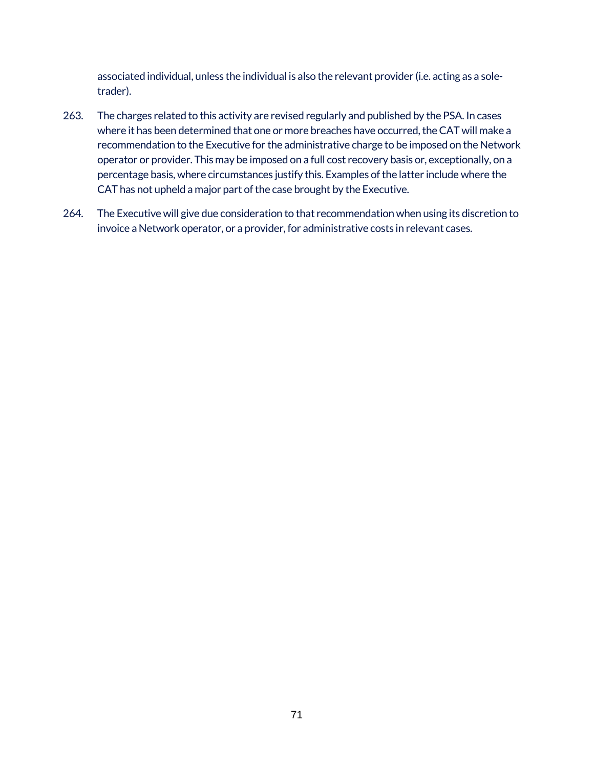associated individual, unless the individual is also the relevant provider (i.e. acting as a soletrader).

- 263. The charges related to this activity are revised regularly and published by the PSA. In cases where it has been determined that one or more breaches have occurred, the CAT will make a recommendation to the Executive for the administrative charge to be imposed on the Network operator or provider. This may be imposed on a full cost recovery basis or, exceptionally, on a percentage basis, where circumstances justify this. Examples of the latter include where the CAT has not upheld a major part of the case brought by the Executive.
- 264. The Executive will give due consideration to that recommendation when using its discretion to invoice a Network operator, or a provider, for administrative costs in relevant cases.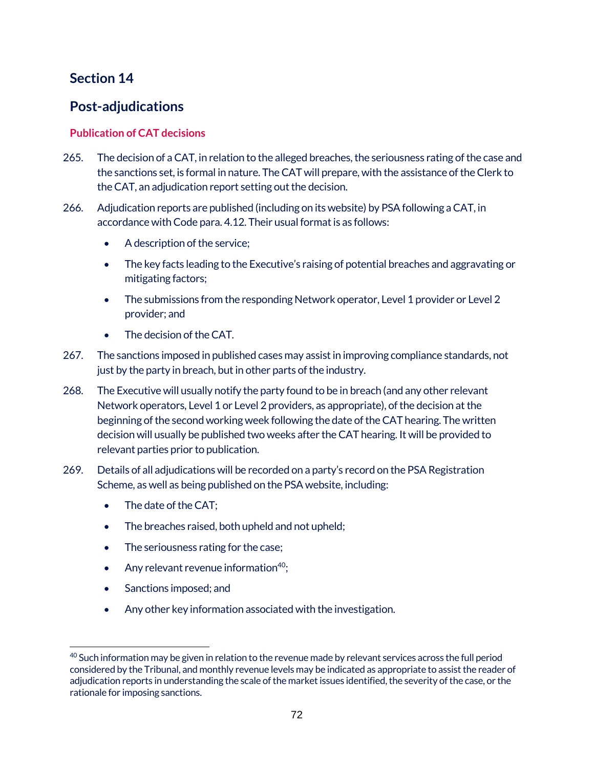# **Section 14**

# **Post-adjudications**

# **Publication of CAT decisions**

- 265. The decision of a CAT, in relation to the alleged breaches, the seriousness rating of the case and the sanctions set, is formal in nature. The CAT will prepare, with the assistance of the Clerk to the CAT, an adjudication report setting out the decision.
- 266. Adjudication reports are published (including on its website) by PSA following a CAT, in accordance with Code para. 4.12. Their usual format is as follows:
	- A description of the service;
	- The key facts leading to the Executive's raising of potential breaches and aggravating or mitigating factors;
	- The submissions from the responding Network operator, Level 1 provider or Level 2 provider; and
	- The decision of the CAT.
- 267. The sanctions imposed in published cases may assist in improving compliance standards, not just by the party in breach, but in other parts of the industry.
- 268. The Executive will usually notify the party found to be in breach (and any other relevant Network operators, Level 1 or Level 2 providers, as appropriate), of the decision at the beginning of the second working week following the date of the CAT hearing. The written decision will usually be published two weeks after the CAT hearing. It will be provided to relevant parties prior to publication.
- 269. Details of all adjudications will be recorded on a party's record on the PSA Registration Scheme, as well as being published on the PSA website, including:
	- The date of the CAT;
	- The breaches raised, both upheld and not upheld;
	- The seriousness rating for the case;
	- Any relevant revenue information $40$ ;
	- Sanctions imposed; and
	- Any other key information associated with the investigation.

 $\overline{a}$ <sup>40</sup> Such information may be given in relation to the revenue made by relevant services across the full period considered by the Tribunal, and monthly revenue levels may be indicated as appropriate to assist the reader of adjudication reports in understanding the scale of the market issues identified, the severity of the case, or the rationale for imposing sanctions.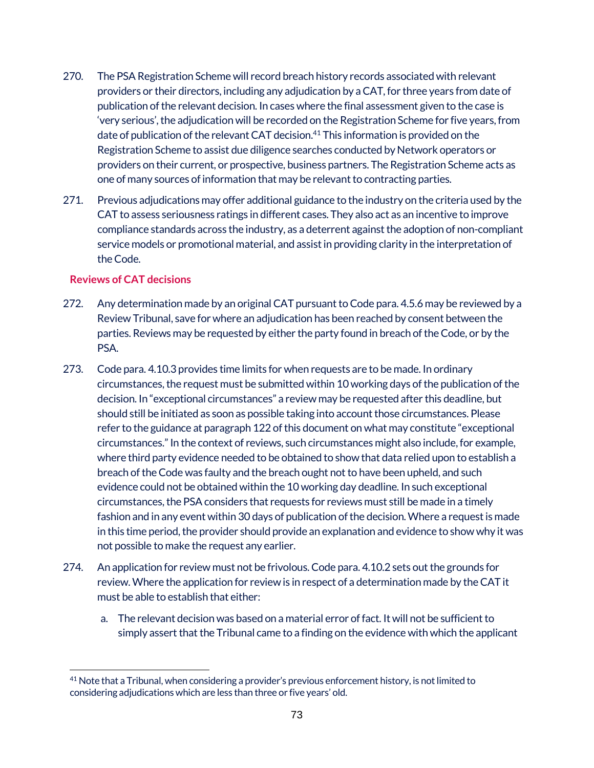- 270. The PSA Registration Scheme will record breach history records associated with relevant providers or their directors, including any adjudication by a CAT, for three years from date of publication of the relevant decision. In cases where the final assessment given to the case is 'very serious', the adjudication will be recorded on the Registration Scheme for five years, from date of publication of the relevant CAT decision.<sup>41</sup> This information is provided on the Registration Scheme to assist due diligence searches conducted by Network operators or providers on their current, or prospective, business partners. The Registration Scheme acts as one of many sources of information that may be relevant to contracting parties.
- 271. Previous adjudications may offer additional guidance to the industry on the criteria used by the CAT to assess seriousness ratings in different cases. They also act as an incentive to improve compliance standards across the industry, as a deterrent against the adoption of non-compliant service models or promotional material, and assist in providing clarity in the interpretation of the Code.

### **Reviews of CAT decisions**

- 272. Any determination made by an original CAT pursuant to Code para. 4.5.6 may be reviewed by a Review Tribunal, save for where an adjudication has been reached by consent between the parties. Reviews may be requested by either the party found in breach of the Code, or by the PSA.
- 273. Code para. 4.10.3 provides time limits for when requests are to be made. In ordinary circumstances, the request must be submitted within 10 working days of the publication of the decision. In "exceptional circumstances" a review may be requested after this deadline, but should still be initiated as soon as possible taking into account those circumstances. Please refer to the guidance at paragraph 122 of this document on what may constitute "exceptional circumstances." In the context of reviews, such circumstances might also include, for example, where third party evidence needed to be obtained to show that data relied upon to establish a breach of the Code was faulty and the breach ought not to have been upheld, and such evidence could not be obtained within the 10 working day deadline. In such exceptional circumstances, the PSAconsiders that requests for reviews must still be made in a timely fashion and in any event within 30 days of publication of the decision. Where a request is made in this time period, the provider should provide an explanation and evidence to show why it was not possible to make the request any earlier.
- 274. An application for review must not be frivolous. Code para. 4.10.2 sets out the grounds for review. Where the application for review is in respect of a determination made by the CAT it must be able to establish that either:
	- a. The relevant decision was based on a material error of fact. It will not be sufficient to simply assert that the Tribunal came to a finding on the evidence with which the applicant

 $\overline{a}$ <sup>41</sup> Note that a Tribunal, when considering a provider's previous enforcement history, is not limited to considering adjudications which are less than three or five years' old.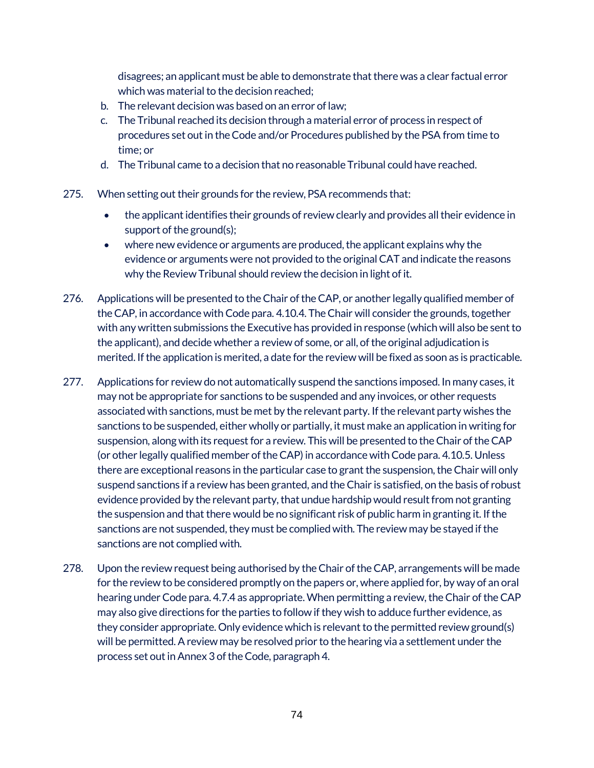disagrees; an applicant must be able to demonstrate that there was a clear factual error which was material to the decision reached;

- b. The relevant decision was based on an error of law;
- c. The Tribunal reached its decision through a material error of process in respect of procedures set out in the Code and/or Procedures published by the PSA from time to time; or
- d. The Tribunal came to a decision that no reasonable Tribunal could have reached.
- 275. When setting out their grounds for the review, PSA recommends that:
	- the applicant identifies their grounds of review clearly and provides all their evidence in support of the ground(s);
	- where new evidence or arguments are produced, the applicant explains why the evidence or arguments were not provided to the original CAT and indicate the reasons why the Review Tribunal should review the decision in light of it.
- 276. Applications will be presented to the Chair of the CAP, or another legally qualified member of the CAP, in accordance with Code para. 4.10.4. The Chair will consider the grounds, together with any written submissions the Executive has provided in response (which will also be sent to the applicant), and decide whether a review of some, or all, of the original adjudication is merited. If the application is merited, a date for the review will be fixed as soon as is practicable.
- 277. Applications for review do not automatically suspend the sanctions imposed. In many cases, it may not be appropriate for sanctions to be suspended and any invoices, or other requests associated with sanctions, must be met by the relevant party. If the relevant party wishes the sanctions to be suspended, either wholly or partially, it must make an application in writing for suspension, along with its request for a review. This will be presented to the Chair of the CAP (or other legally qualified member of the CAP) in accordance with Code para. 4.10.5. Unless there are exceptional reasons in the particular case to grant the suspension, the Chair will only suspend sanctions if a review has been granted, and the Chair is satisfied, on the basis of robust evidence provided by the relevant party, that undue hardship would result from not granting the suspension and that there would be no significant risk of public harm in granting it. If the sanctions are not suspended, they must be complied with. The review may be stayed if the sanctions are not complied with.
- 278. Upon the review request being authorised by the Chair of the CAP, arrangements will be made for the review to be considered promptly on the papers or, where applied for, by way of an oral hearing under Code para. 4.7.4 as appropriate. When permitting a review, the Chair of the CAP may also give directions for the parties to follow if they wish to adduce further evidence, as they consider appropriate. Only evidence which is relevant to the permitted review ground(s) will be permitted. A review may be resolved prior to the hearing via a settlement under the process set out in Annex 3 of the Code, paragraph 4.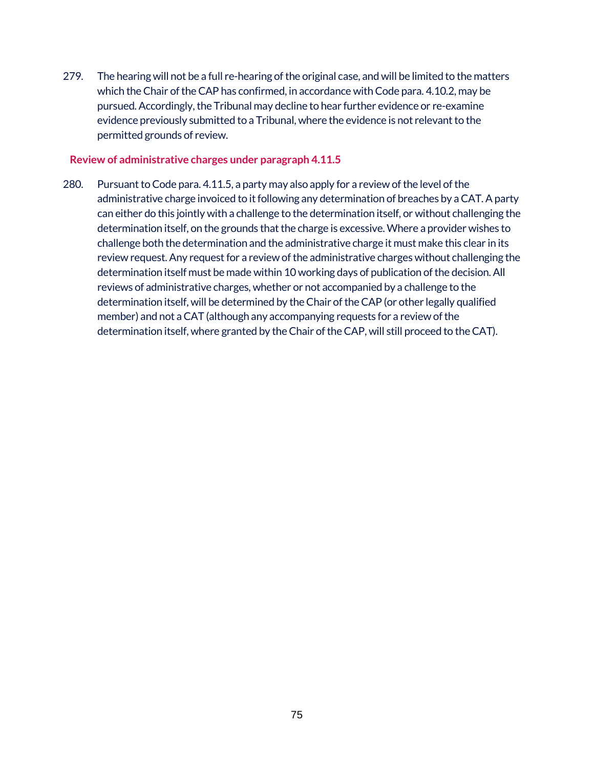279. The hearing will not be a full re-hearing of the original case, and will be limited to the matters which the Chair of the CAP has confirmed, in accordance with Code para. 4.10.2, may be pursued. Accordingly, the Tribunal may decline to hear further evidence or re-examine evidence previously submitted to a Tribunal, where the evidence is not relevant to the permitted grounds of review.

#### **Review of administrative charges under paragraph 4.11.5**

280. Pursuant to Code para. 4.11.5, a party may also apply for a review of the level of the administrative charge invoiced to it following any determination of breaches by a CAT. A party can either do this jointly with a challenge to the determination itself, or without challenging the determination itself, on the grounds that the charge is excessive. Where a provider wishes to challenge both the determination and the administrative charge it must make this clear in its review request. Any request for a review of the administrative charges without challenging the determination itself must be made within 10 working days of publication of the decision. All reviews of administrative charges, whether or not accompanied by a challenge to the determination itself, will be determined by the Chair of the CAP (or other legally qualified member) and not a CAT (although any accompanying requests for a review of the determination itself, where granted by the Chair of the CAP, will still proceed to the CAT).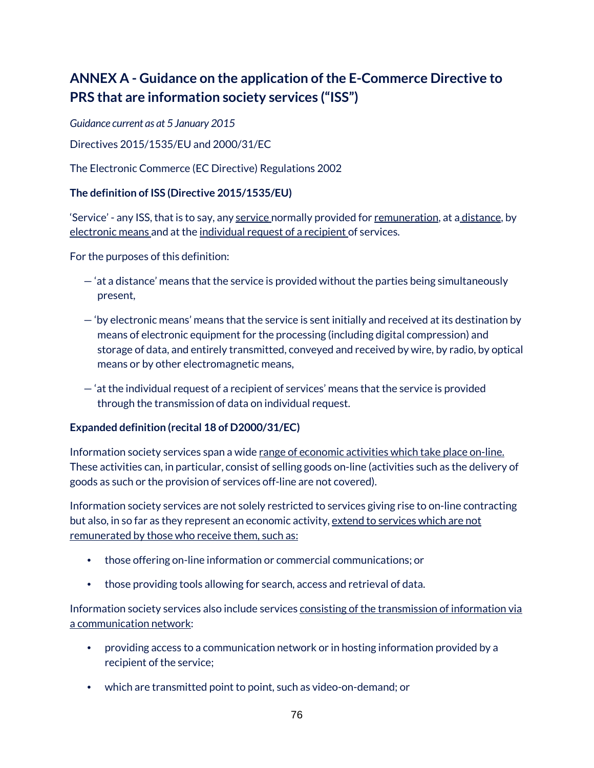# **ANNEX A - Guidance on the application of the E-Commerce Directive to PRS that are information society services ("ISS")**

*Guidance current as at 5 January 2015*

Directives 2015/1535/EU and 2000/31/EC

The Electronic Commerce (EC Directive) Regulations 2002

#### **The definition of ISS (Directive 2015/1535/EU)**

'Service' - any ISS, that is to say, any <u>service n</u>ormally provided for <u>remuneration</u>, at a <u>distance,</u> by electronic means and at the individual request of a recipient of services.

For the purposes of this definition:

- 'at a distance' means that the service is provided without the parties being simultaneously present,
- 'by electronic means' means that the service is sent initially and received at its destination by means of electronic equipment for the processing (including digital compression) and storage of data, and entirely transmitted, conveyed and received by wire, by radio, by optical means or by other electromagnetic means,
- 'at the individual request of a recipient of services' means that the service is provided through the transmission of data on individual request.

#### **Expanded definition (recital 18 of D2000/31/EC)**

Information society services span a wide range of economic activities which take place on-line. These activities can, in particular, consist of selling goods on-line (activities such as the delivery of goods as such or the provision of services off-line are not covered).

Information society services are not solely restricted to services giving rise to on-line contracting but also, in so far as they represent an economic activity, extend to services which are not remunerated by those who receive them, such as:

- those offering on-line information or commercial communications; or
- those providing tools allowing for search, access and retrieval of data.

Information society services also include services consisting of the transmission of information via a communication network:

- providing access to a communication network or in hosting information provided by a recipient of the service;
- which are transmitted point to point, such as video-on-demand; or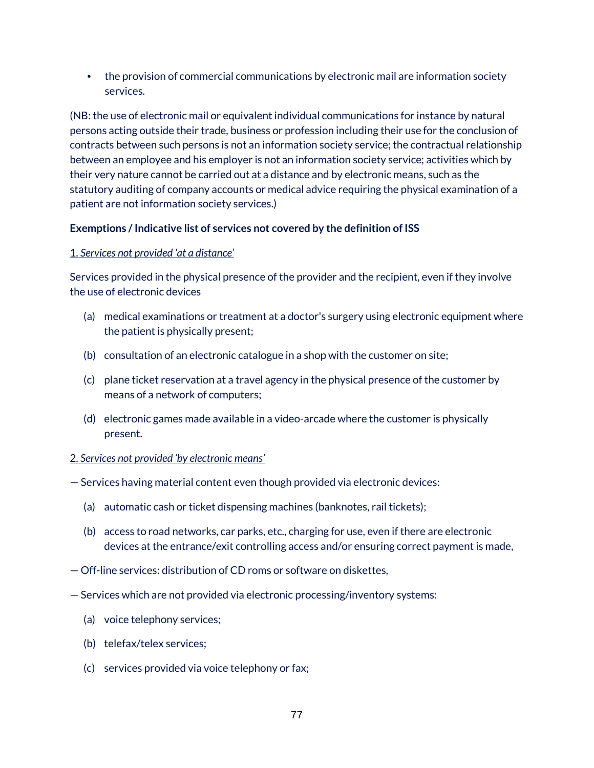• the provision of commercial communications by electronic mail are information society services.

(NB: the use of electronic mail or equivalent individual communications for instance by natural persons acting outside their trade, business or profession including their use for the conclusion of contracts between such persons is not an information society service; the contractual relationship between an employee and his employer is not an information society service; activities which by their very nature cannot be carried out at a distance and by electronic means, such as the statutory auditing of company accounts or medical advice requiring the physical examination of a patient are not information society services.)

### **Exemptions / Indicative list of services not covered by the definition of ISS**

## 1. *Services not provided 'at a distance'*

Services provided in the physical presence of the provider and the recipient, even if they involve the use of electronic devices

- (a) medical examinations or treatment at a doctor's surgery using electronic equipment where the patient is physically present;
- (b) consultation of an electronic catalogue in a shop with the customer on site;
- (c) plane ticket reservation at a travel agency in the physical presence of the customer by means of a network of computers;
- (d) electronic games made available in a video-arcade where the customer is physically present.

### 2. *Services not provided 'by electronic means'*

- Services having material content even though provided via electronic devices:
	- (a) automatic cash or ticket dispensing machines (banknotes, rail tickets);
	- (b) access to road networks, car parks, etc., charging for use, even if there are electronic devices at the entrance/exit controlling access and/or ensuring correct payment is made,
- Off-line services: distribution of CD roms or software on diskettes,
- Services which are not provided via electronic processing/inventory systems:
	- (a) voice telephony services;
	- (b) telefax/telex services;
	- (c) services provided via voice telephony or fax;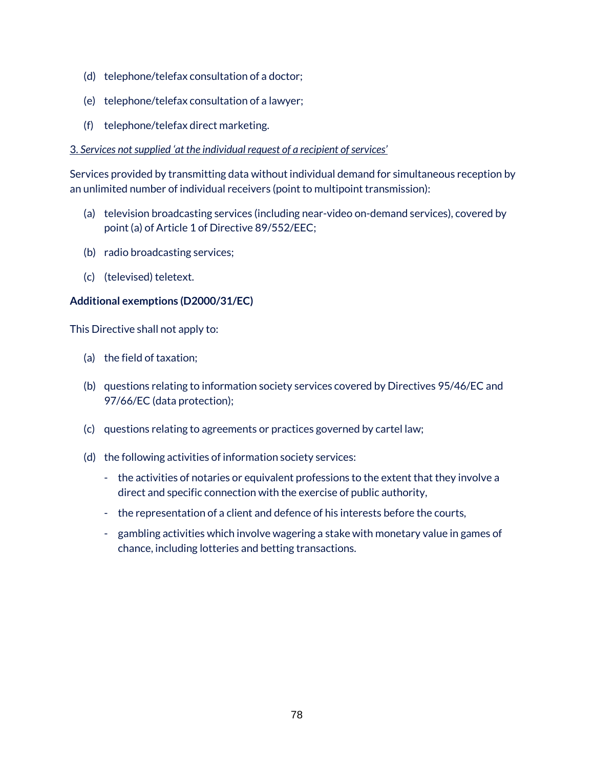- (d) telephone/telefax consultation of a doctor;
- (e) telephone/telefax consultation of a lawyer;
- (f) telephone/telefax direct marketing.

#### 3. *Services not supplied 'at the individual request of a recipient of services'*

Services provided by transmitting data without individual demand for simultaneous reception by an unlimited number of individual receivers (point to multipoint transmission):

- (a) television broadcasting services (including near-video on-demand services), covered by point (a) of Article 1 of Directive 89/552/EEC;
- (b) radio broadcasting services;
- (c) (televised) teletext.

### **Additional exemptions (D2000/31/EC)**

This Directive shall not apply to:

- (a) the field of taxation;
- (b) questions relating to information society services covered by Directives 95/46/EC and 97/66/EC (data protection);
- (c) questions relating to agreements or practices governed by cartel law;
- (d) the following activities of information society services:
	- the activities of notaries or equivalent professions to the extent that they involve a direct and specific connection with the exercise of public authority,
	- the representation of a client and defence of his interests before the courts,
	- gambling activities which involve wagering a stake with monetary value in games of chance, including lotteries and betting transactions.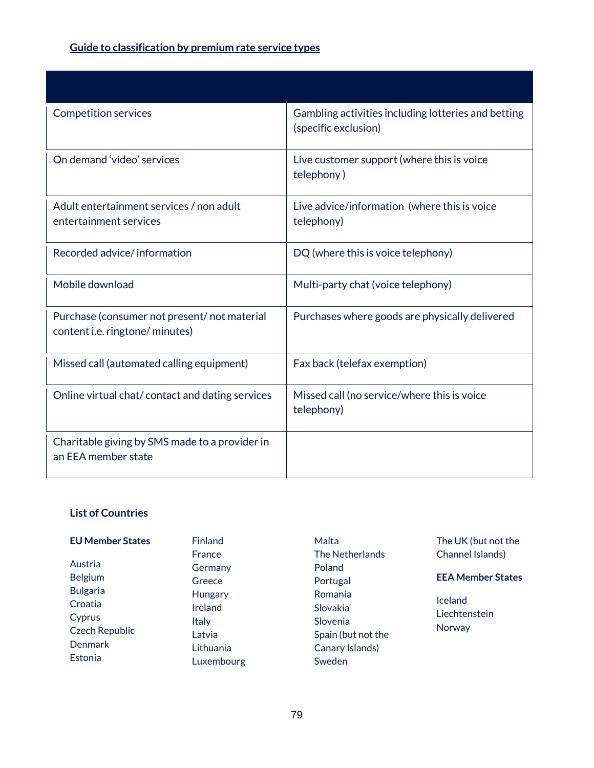# **Guide to classification by premium rate service types**

| <b>Competition services</b>                                                           | Gambling activities including lotteries and betting<br>(specific exclusion) |
|---------------------------------------------------------------------------------------|-----------------------------------------------------------------------------|
| On demand 'video' services                                                            | Live customer support (where this is voice<br>telephony)                    |
| Adult entertainment services / non adult<br>entertainment services                    | Live advice/information (where this is voice<br>telephony)                  |
| Recorded advice/information                                                           | DQ (where this is voice telephony)                                          |
| Mobile download                                                                       | Multi-party chat (voice telephony)                                          |
| Purchase (consumer not present/not material<br>content <i>i.e.</i> ringtone/ minutes) | Purchases where goods are physically delivered                              |
| Missed call (automated calling equipment)                                             | Fax back (telefax exemption)                                                |
| Online virtual chat/contact and dating services                                       | Missed call (no service/where this is voice<br>telephony)                   |
| Charitable giving by SMS made to a provider in<br>an EEA member state                 |                                                                             |

## **List of Countries**

| <b>EU Member States</b> | <b>Finland</b> | Malta              | The UK (but not the      |
|-------------------------|----------------|--------------------|--------------------------|
|                         | France         | The Netherlands    | Channel Islands)         |
| Austria                 | Germany        | Poland             |                          |
| <b>Belgium</b>          | Greece         | Portugal           | <b>EEA Member States</b> |
| <b>Bulgaria</b>         | Hungary        | Romania            |                          |
| Croatia                 | Ireland        | Slovakia           | <b>Iceland</b>           |
| Cyprus                  | <b>Italy</b>   | Slovenia           | Liechtenstein            |
| Czech Republic          | Latvia         | Spain (but not the | Norway                   |
| <b>Denmark</b>          | Lithuania      | Canary Islands)    |                          |
| Estonia                 | Luxembourg     | Sweden             |                          |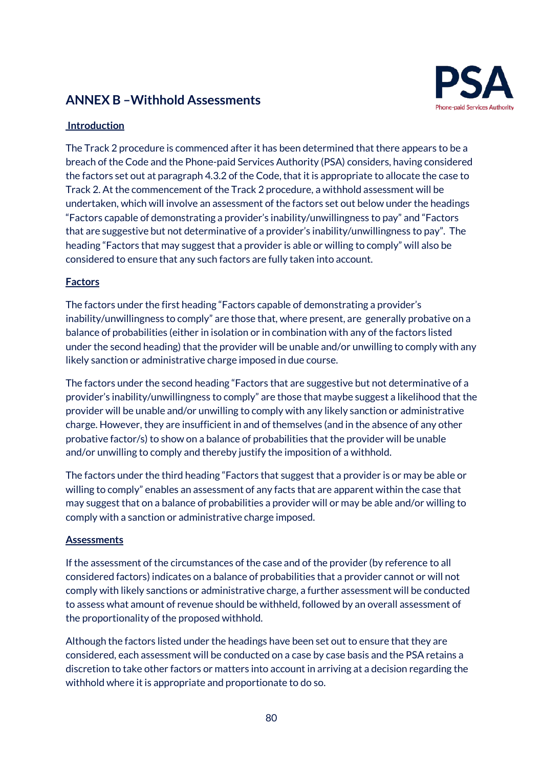# **ANNEX B –Withhold Assessments**



## **Introduction**

The Track 2 procedure is commenced after it has been determined that there appears to be a breach of the Code and the Phone-paid Services Authority (PSA) considers, having considered the factors set out at paragraph 4.3.2 of the Code, that it is appropriate to allocate the case to Track 2. At the commencement of the Track 2 procedure, a withhold assessment will be undertaken, which will involve an assessment of the factors set out below under the headings "Factors capable of demonstrating a provider's inability/unwillingness to pay" and "Factors that are suggestive but not determinative of a provider's inability/unwillingness to pay". The heading "Factors that may suggest that a provider is able or willing to comply" will also be considered to ensure that any such factors are fully taken into account.

### **Factors**

The factors under the first heading "Factors capable of demonstrating a provider's inability/unwillingness to comply" are those that, where present, are generally probative on a balance of probabilities (either in isolation or in combination with any of the factors listed under the second heading) that the provider will be unable and/or unwilling to comply with any likely sanction or administrative charge imposed in due course.

The factors under the second heading "Factors that are suggestive but not determinative of a provider's inability/unwillingness to comply" are those that maybe suggest a likelihood that the provider will be unable and/or unwilling to comply with any likely sanction or administrative charge. However, they are insufficient in and of themselves (and in the absence of any other probative factor/s) to show on a balance of probabilities that the provider will be unable and/or unwilling to comply and thereby justify the imposition of a withhold.

The factors under the third heading "Factors that suggest that a provider is or may be able or willing to comply" enables an assessment of any facts that are apparent within the case that may suggest that on a balance of probabilities a provider will or may be able and/or willing to comply with a sanction or administrative charge imposed.

#### **Assessments**

If the assessment of the circumstances of the case and of the provider (by reference to all considered factors) indicates on a balance of probabilities that a provider cannot or will not comply with likely sanctions or administrative charge, a further assessment will be conducted to assess what amount of revenue should be withheld, followed by an overall assessment of the proportionality of the proposed withhold.

Although the factors listed under the headings have been set out to ensure that they are considered, each assessment will be conducted on a case by case basis and the PSA retains a discretion to take other factors or matters into account in arriving at a decision regarding the withhold where it is appropriate and proportionate to do so.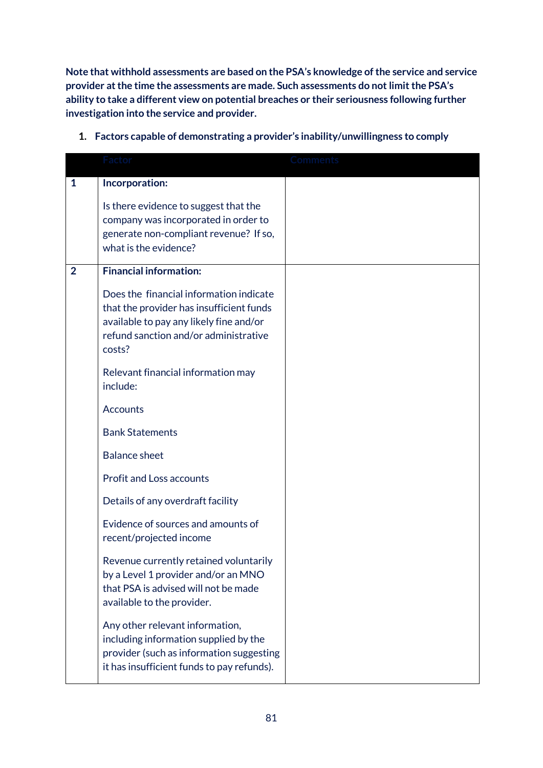**Note that withhold assessments are based on the PSA's knowledge of the service and service provider at the time the assessments are made. Such assessments do not limit the PSA's ability to take a different view on potential breaches or their seriousness following further investigation into the service and provider.** 

|                | Factor                                                                                                                                                                            | <b>Comments</b> |
|----------------|-----------------------------------------------------------------------------------------------------------------------------------------------------------------------------------|-----------------|
| $\mathbf{1}$   | Incorporation:                                                                                                                                                                    |                 |
|                | Is there evidence to suggest that the<br>company was incorporated in order to<br>generate non-compliant revenue? If so,<br>what is the evidence?                                  |                 |
| $\overline{2}$ | <b>Financial information:</b>                                                                                                                                                     |                 |
|                | Does the financial information indicate<br>that the provider has insufficient funds<br>available to pay any likely fine and/or<br>refund sanction and/or administrative<br>costs? |                 |
|                | Relevant financial information may<br>include:                                                                                                                                    |                 |
|                | <b>Accounts</b>                                                                                                                                                                   |                 |
|                | <b>Bank Statements</b>                                                                                                                                                            |                 |
|                | <b>Balance sheet</b>                                                                                                                                                              |                 |
|                | <b>Profit and Loss accounts</b>                                                                                                                                                   |                 |
|                | Details of any overdraft facility                                                                                                                                                 |                 |
|                | Evidence of sources and amounts of<br>recent/projected income                                                                                                                     |                 |
|                | Revenue currently retained voluntarily<br>by a Level 1 provider and/or an MNO<br>that PSA is advised will not be made<br>available to the provider.                               |                 |
|                | Any other relevant information,<br>including information supplied by the<br>provider (such as information suggesting<br>it has insufficient funds to pay refunds).                |                 |

## **1. Factors capable of demonstrating a provider's inability/unwillingness to comply**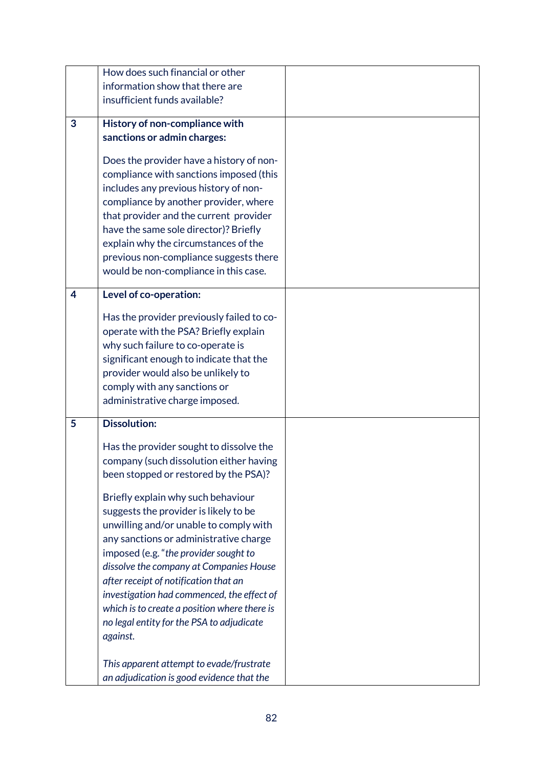|   | How does such financial or other             |  |
|---|----------------------------------------------|--|
|   | information show that there are              |  |
|   | insufficient funds available?                |  |
|   |                                              |  |
| 3 | History of non-compliance with               |  |
|   | sanctions or admin charges:                  |  |
|   |                                              |  |
|   | Does the provider have a history of non-     |  |
|   | compliance with sanctions imposed (this      |  |
|   | includes any previous history of non-        |  |
|   | compliance by another provider, where        |  |
|   | that provider and the current provider       |  |
|   | have the same sole director)? Briefly        |  |
|   | explain why the circumstances of the         |  |
|   | previous non-compliance suggests there       |  |
|   | would be non-compliance in this case.        |  |
|   |                                              |  |
| 4 | Level of co-operation:                       |  |
|   | Has the provider previously failed to co-    |  |
|   | operate with the PSA? Briefly explain        |  |
|   | why such failure to co-operate is            |  |
|   | significant enough to indicate that the      |  |
|   | provider would also be unlikely to           |  |
|   | comply with any sanctions or                 |  |
|   | administrative charge imposed.               |  |
|   |                                              |  |
| 5 | <b>Dissolution:</b>                          |  |
|   | Has the provider sought to dissolve the      |  |
|   | company (such dissolution either having      |  |
|   | been stopped or restored by the PSA)?        |  |
|   |                                              |  |
|   | Briefly explain why such behaviour           |  |
|   | suggests the provider is likely to be        |  |
|   | unwilling and/or unable to comply with       |  |
|   | any sanctions or administrative charge       |  |
|   | imposed (e.g. "the provider sought to        |  |
|   | dissolve the company at Companies House      |  |
|   | after receipt of notification that an        |  |
|   | investigation had commenced, the effect of   |  |
|   | which is to create a position where there is |  |
|   | no legal entity for the PSA to adjudicate    |  |
|   | against.                                     |  |
|   |                                              |  |
|   | This apparent attempt to evade/frustrate     |  |
|   | an adjudication is good evidence that the    |  |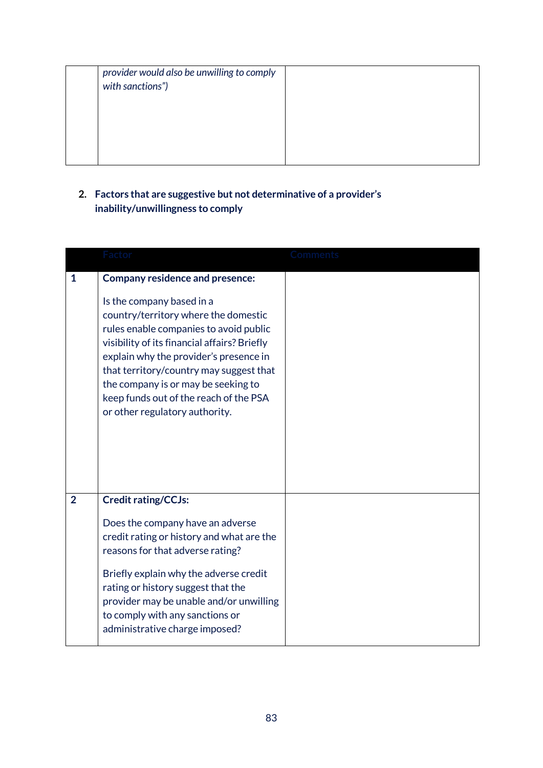| provider would also be unwilling to comply<br>with sanctions") |  |
|----------------------------------------------------------------|--|
|                                                                |  |
|                                                                |  |
|                                                                |  |

## **2. Factors that are suggestive but not determinative of a provider's inability/unwillingness to comply**

|                | Factor                                                                                                                                                                                                                                                                                                                                                                                                        | Comments |
|----------------|---------------------------------------------------------------------------------------------------------------------------------------------------------------------------------------------------------------------------------------------------------------------------------------------------------------------------------------------------------------------------------------------------------------|----------|
| 1              | <b>Company residence and presence:</b><br>Is the company based in a<br>country/territory where the domestic<br>rules enable companies to avoid public<br>visibility of its financial affairs? Briefly<br>explain why the provider's presence in<br>that territory/country may suggest that<br>the company is or may be seeking to<br>keep funds out of the reach of the PSA<br>or other regulatory authority. |          |
| $\overline{2}$ | <b>Credit rating/CCJs:</b><br>Does the company have an adverse<br>credit rating or history and what are the<br>reasons for that adverse rating?<br>Briefly explain why the adverse credit<br>rating or history suggest that the<br>provider may be unable and/or unwilling<br>to comply with any sanctions or<br>administrative charge imposed?                                                               |          |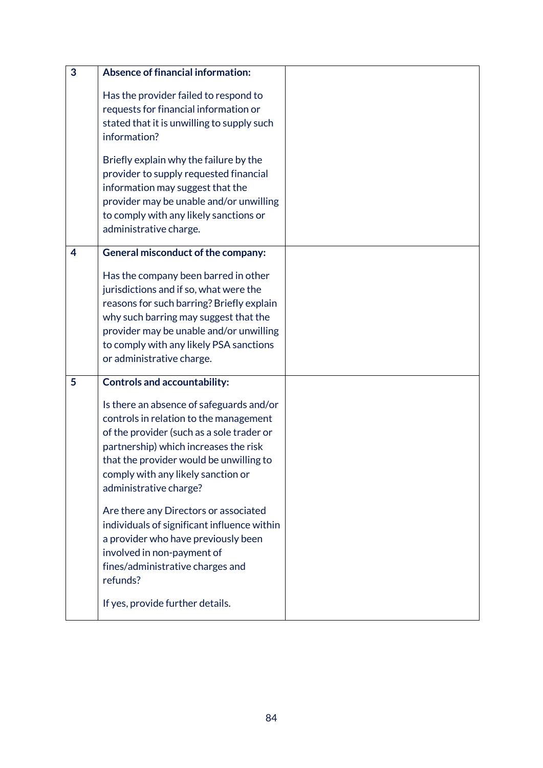| 3 | <b>Absence of financial information:</b>                                                                                                                                                                                                                                                |  |
|---|-----------------------------------------------------------------------------------------------------------------------------------------------------------------------------------------------------------------------------------------------------------------------------------------|--|
|   | Has the provider failed to respond to<br>requests for financial information or<br>stated that it is unwilling to supply such<br>information?                                                                                                                                            |  |
|   | Briefly explain why the failure by the<br>provider to supply requested financial<br>information may suggest that the<br>provider may be unable and/or unwilling<br>to comply with any likely sanctions or<br>administrative charge.                                                     |  |
| 4 | General misconduct of the company:                                                                                                                                                                                                                                                      |  |
|   | Has the company been barred in other<br>jurisdictions and if so, what were the<br>reasons for such barring? Briefly explain<br>why such barring may suggest that the<br>provider may be unable and/or unwilling<br>to comply with any likely PSA sanctions<br>or administrative charge. |  |
| 5 | <b>Controls and accountability:</b>                                                                                                                                                                                                                                                     |  |
|   | Is there an absence of safeguards and/or<br>controls in relation to the management<br>of the provider (such as a sole trader or<br>partnership) which increases the risk<br>that the provider would be unwilling to<br>comply with any likely sanction or<br>administrative charge?     |  |
|   | Are there any Directors or associated<br>individuals of significant influence within<br>a provider who have previously been<br>involved in non-payment of<br>fines/administrative charges and<br>refunds?                                                                               |  |
|   | If yes, provide further details.                                                                                                                                                                                                                                                        |  |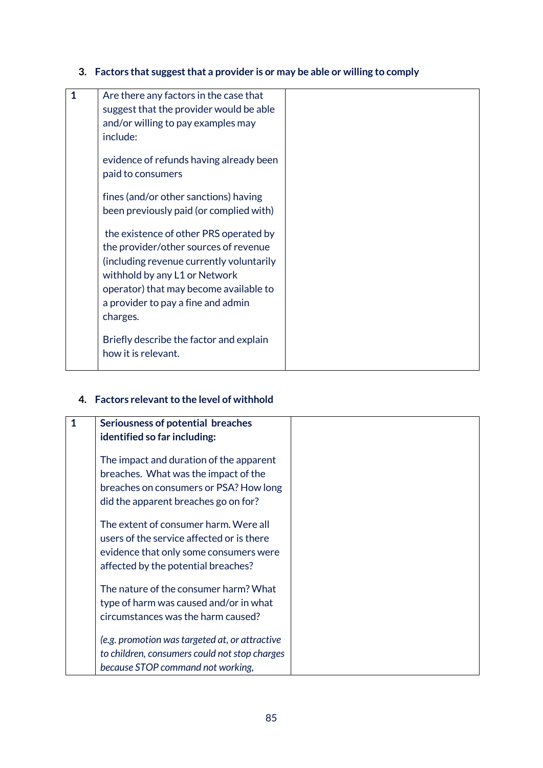**3. Factors that suggest that a provider is or may be able or willing to comply**

| $\mathbf 1$ | Are there any factors in the case that<br>suggest that the provider would be able<br>and/or willing to pay examples may<br>include:                                                                                                                      |  |
|-------------|----------------------------------------------------------------------------------------------------------------------------------------------------------------------------------------------------------------------------------------------------------|--|
|             | evidence of refunds having already been<br>paid to consumers                                                                                                                                                                                             |  |
|             | fines (and/or other sanctions) having<br>been previously paid (or complied with)                                                                                                                                                                         |  |
|             | the existence of other PRS operated by<br>the provider/other sources of revenue<br>(including revenue currently voluntarily<br>withhold by any L1 or Network<br>operator) that may become available to<br>a provider to pay a fine and admin<br>charges. |  |
|             | Briefly describe the factor and explain<br>how it is relevant.                                                                                                                                                                                           |  |

# **4. Factors relevant to the level of withhold**

| 1 | Seriousness of potential breaches              |  |
|---|------------------------------------------------|--|
|   | identified so far including:                   |  |
|   | The impact and duration of the apparent        |  |
|   | breaches. What was the impact of the           |  |
|   | breaches on consumers or PSA? How long         |  |
|   | did the apparent breaches go on for?           |  |
|   | The extent of consumer harm. Were all          |  |
|   | users of the service affected or is there      |  |
|   | evidence that only some consumers were         |  |
|   | affected by the potential breaches?            |  |
|   | The nature of the consumer harm? What          |  |
|   | type of harm was caused and/or in what         |  |
|   | circumstances was the harm caused?             |  |
|   | (e.g. promotion was targeted at, or attractive |  |
|   | to children, consumers could not stop charges  |  |
|   | because STOP command not working,              |  |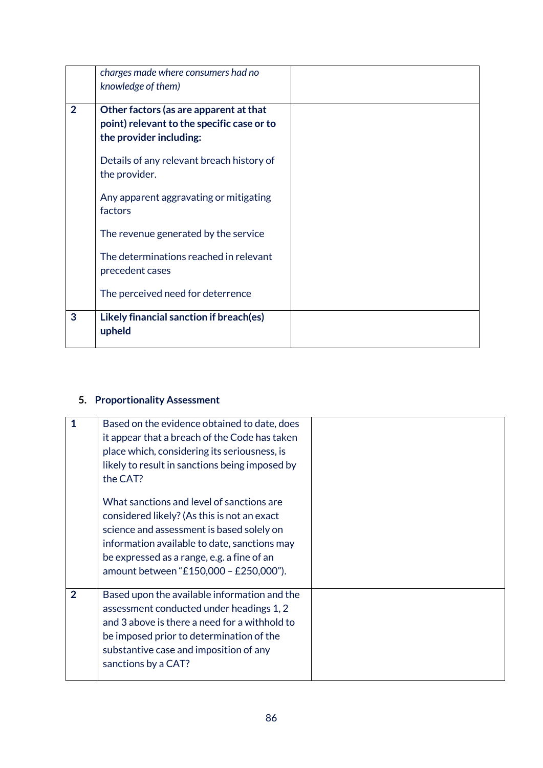|                | charges made where consumers had no<br>knowledge of them)                                                       |  |
|----------------|-----------------------------------------------------------------------------------------------------------------|--|
| $\overline{2}$ | Other factors (as are apparent at that<br>point) relevant to the specific case or to<br>the provider including: |  |
|                | Details of any relevant breach history of<br>the provider.                                                      |  |
|                | Any apparent aggravating or mitigating<br>factors                                                               |  |
|                | The revenue generated by the service                                                                            |  |
|                | The determinations reached in relevant<br>precedent cases                                                       |  |
|                | The perceived need for deterrence                                                                               |  |
| 3              | Likely financial sanction if breach(es)<br>upheld                                                               |  |

## **5. Proportionality Assessment**

| 1              | Based on the evidence obtained to date, does<br>it appear that a breach of the Code has taken<br>place which, considering its seriousness, is<br>likely to result in sanctions being imposed by<br>the CAT?                                                                   |  |
|----------------|-------------------------------------------------------------------------------------------------------------------------------------------------------------------------------------------------------------------------------------------------------------------------------|--|
|                | What sanctions and level of sanctions are<br>considered likely? (As this is not an exact<br>science and assessment is based solely on<br>information available to date, sanctions may<br>be expressed as a range, e.g. a fine of an<br>amount between "£150,000 - £250,000"). |  |
| $\overline{2}$ | Based upon the available information and the<br>assessment conducted under headings 1, 2<br>and 3 above is there a need for a withhold to<br>be imposed prior to determination of the<br>substantive case and imposition of any<br>sanctions by a CAT?                        |  |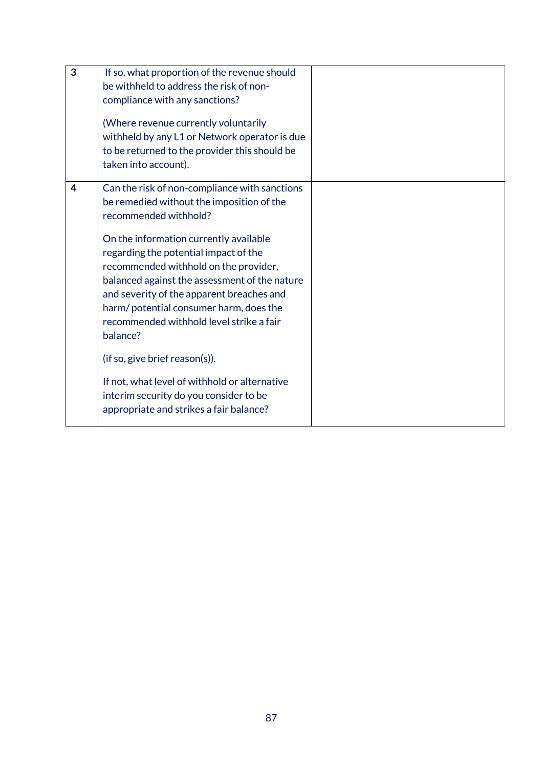| 3 | If so, what proportion of the revenue should<br>be withheld to address the risk of non-<br>compliance with any sanctions?<br>(Where revenue currently voluntarily<br>withheld by any L1 or Network operator is due<br>to be returned to the provider this should be<br>taken into account).                                                                                                                                                                                                                                                                                                                              |  |
|---|--------------------------------------------------------------------------------------------------------------------------------------------------------------------------------------------------------------------------------------------------------------------------------------------------------------------------------------------------------------------------------------------------------------------------------------------------------------------------------------------------------------------------------------------------------------------------------------------------------------------------|--|
| 4 | Can the risk of non-compliance with sanctions<br>be remedied without the imposition of the<br>recommended withhold?<br>On the information currently available<br>regarding the potential impact of the<br>recommended withhold on the provider,<br>balanced against the assessment of the nature<br>and severity of the apparent breaches and<br>harm/ potential consumer harm, does the<br>recommended withhold level strike a fair<br>balance?<br>(if so, give brief reason(s)).<br>If not, what level of withhold or alternative<br>interim security do you consider to be<br>appropriate and strikes a fair balance? |  |